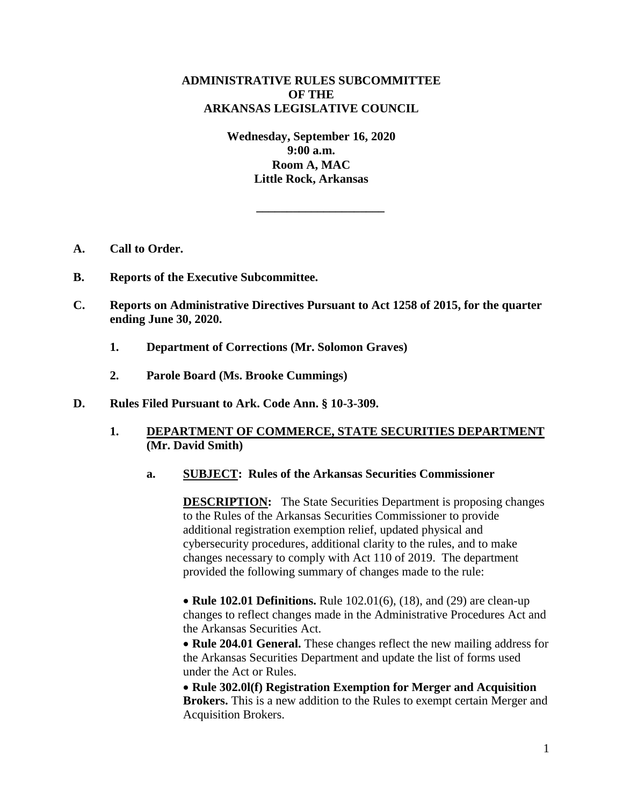# **ADMINISTRATIVE RULES SUBCOMMITTEE OF THE ARKANSAS LEGISLATIVE COUNCIL**

**Wednesday, September 16, 2020 9:00 a.m. Room A, MAC Little Rock, Arkansas**

**\_\_\_\_\_\_\_\_\_\_\_\_\_\_\_\_\_\_\_\_\_**

- **A. Call to Order.**
- **B. Reports of the Executive Subcommittee.**
- **C. Reports on Administrative Directives Pursuant to Act 1258 of 2015, for the quarter ending June 30, 2020.**
	- **1. Department of Corrections (Mr. Solomon Graves)**
	- **2. Parole Board (Ms. Brooke Cummings)**
- **D. Rules Filed Pursuant to Ark. Code Ann. § 10-3-309.**

### **1. DEPARTMENT OF COMMERCE, STATE SECURITIES DEPARTMENT (Mr. David Smith)**

### **a. SUBJECT: Rules of the Arkansas Securities Commissioner**

**DESCRIPTION:** The State Securities Department is proposing changes to the Rules of the Arkansas Securities Commissioner to provide additional registration exemption relief, updated physical and cybersecurity procedures, additional clarity to the rules, and to make changes necessary to comply with Act 110 of 2019. The department provided the following summary of changes made to the rule:

• **Rule 102.01 Definitions.** Rule 102.01(6), (18), and (29) are clean-up changes to reflect changes made in the Administrative Procedures Act and the Arkansas Securities Act.

 **Rule 204.01 General.** These changes reflect the new mailing address for the Arkansas Securities Department and update the list of forms used under the Act or Rules.

 **Rule 302.0l(f) Registration Exemption for Merger and Acquisition Brokers.** This is a new addition to the Rules to exempt certain Merger and Acquisition Brokers.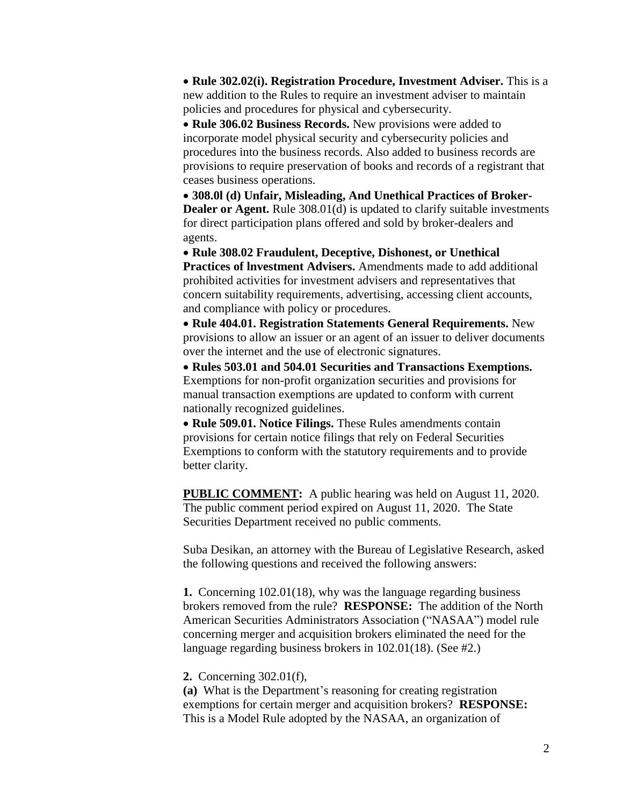**Rule 302.02(i). Registration Procedure, Investment Adviser.** This is a new addition to the Rules to require an investment adviser to maintain policies and procedures for physical and cybersecurity.

• Rule 306.02 Business Records. New provisions were added to incorporate model physical security and cybersecurity policies and procedures into the business records. Also added to business records are provisions to require preservation of books and records of a registrant that ceases business operations.

 **308.0l (d) Unfair, Misleading, And Unethical Practices of Broker-Dealer or Agent.** Rule 308.01(d) is updated to clarify suitable investments for direct participation plans offered and sold by broker-dealers and agents.

 **Rule 308.02 Fraudulent, Deceptive, Dishonest, or Unethical Practices of lnvestment Advisers.** Amendments made to add additional prohibited activities for investment advisers and representatives that concern suitability requirements, advertising, accessing client accounts, and compliance with policy or procedures.

 **Rule 404.01. Registration Statements General Requirements.** New provisions to allow an issuer or an agent of an issuer to deliver documents over the internet and the use of electronic signatures.

 **Rules 503.01 and 504.01 Securities and Transactions Exemptions.** Exemptions for non-profit organization securities and provisions for manual transaction exemptions are updated to conform with current nationally recognized guidelines.

 **Rule 509.01. Notice Filings.** These Rules amendments contain provisions for certain notice filings that rely on Federal Securities Exemptions to conform with the statutory requirements and to provide better clarity.

**PUBLIC COMMENT:** A public hearing was held on August 11, 2020. The public comment period expired on August 11, 2020. The State Securities Department received no public comments.

Suba Desikan, an attorney with the Bureau of Legislative Research, asked the following questions and received the following answers:

**1.** Concerning 102.01(18), why was the language regarding business brokers removed from the rule? **RESPONSE:** The addition of the North American Securities Administrators Association ("NASAA") model rule concerning merger and acquisition brokers eliminated the need for the language regarding business brokers in 102.01(18). (See #2.)

**2.** Concerning 302.01(f),

**(a)** What is the Department's reasoning for creating registration exemptions for certain merger and acquisition brokers? **RESPONSE:**  This is a Model Rule adopted by the NASAA, an organization of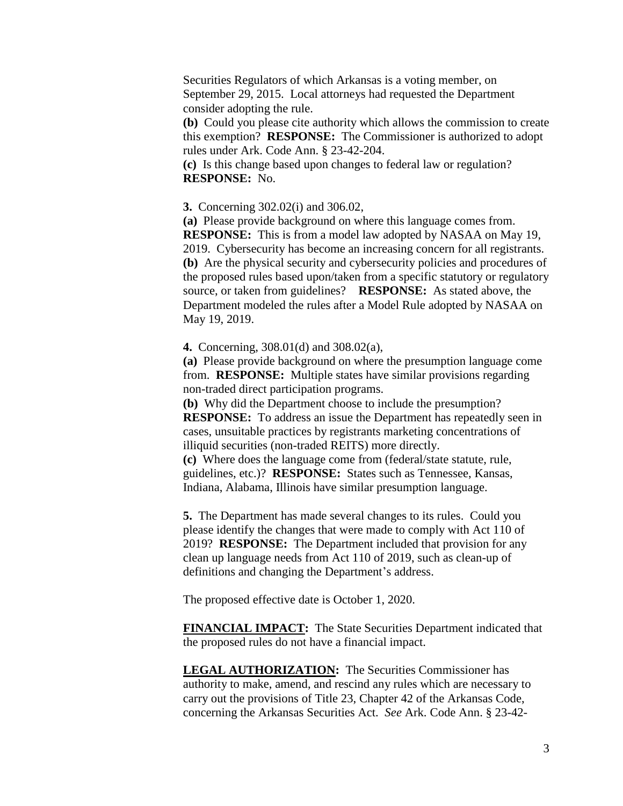Securities Regulators of which Arkansas is a voting member, on September 29, 2015. Local attorneys had requested the Department consider adopting the rule.

**(b)** Could you please cite authority which allows the commission to create this exemption? **RESPONSE:** The Commissioner is authorized to adopt rules under Ark. Code Ann. § 23-42-204.

**(c)** Is this change based upon changes to federal law or regulation? **RESPONSE:** No.

**3.** Concerning 302.02(i) and 306.02,

**(a)** Please provide background on where this language comes from. **RESPONSE:** This is from a model law adopted by NASAA on May 19, 2019. Cybersecurity has become an increasing concern for all registrants. **(b)** Are the physical security and cybersecurity policies and procedures of the proposed rules based upon/taken from a specific statutory or regulatory source, or taken from guidelines? **RESPONSE:** As stated above, the Department modeled the rules after a Model Rule adopted by NASAA on May 19, 2019.

**4.** Concerning, 308.01(d) and 308.02(a),

**(a)** Please provide background on where the presumption language come from. **RESPONSE:** Multiple states have similar provisions regarding non-traded direct participation programs.

**(b)** Why did the Department choose to include the presumption? **RESPONSE:** To address an issue the Department has repeatedly seen in cases, unsuitable practices by registrants marketing concentrations of illiquid securities (non-traded REITS) more directly.

**(c)** Where does the language come from (federal/state statute, rule, guidelines, etc.)? **RESPONSE:** States such as Tennessee, Kansas, Indiana, Alabama, Illinois have similar presumption language.

**5.** The Department has made several changes to its rules. Could you please identify the changes that were made to comply with Act 110 of 2019? **RESPONSE:** The Department included that provision for any clean up language needs from Act 110 of 2019, such as clean-up of definitions and changing the Department's address.

The proposed effective date is October 1, 2020.

**FINANCIAL IMPACT:** The State Securities Department indicated that the proposed rules do not have a financial impact.

**LEGAL AUTHORIZATION:** The Securities Commissioner has authority to make, amend, and rescind any rules which are necessary to carry out the provisions of Title 23, Chapter 42 of the Arkansas Code, concerning the Arkansas Securities Act. *See* Ark. Code Ann. § 23-42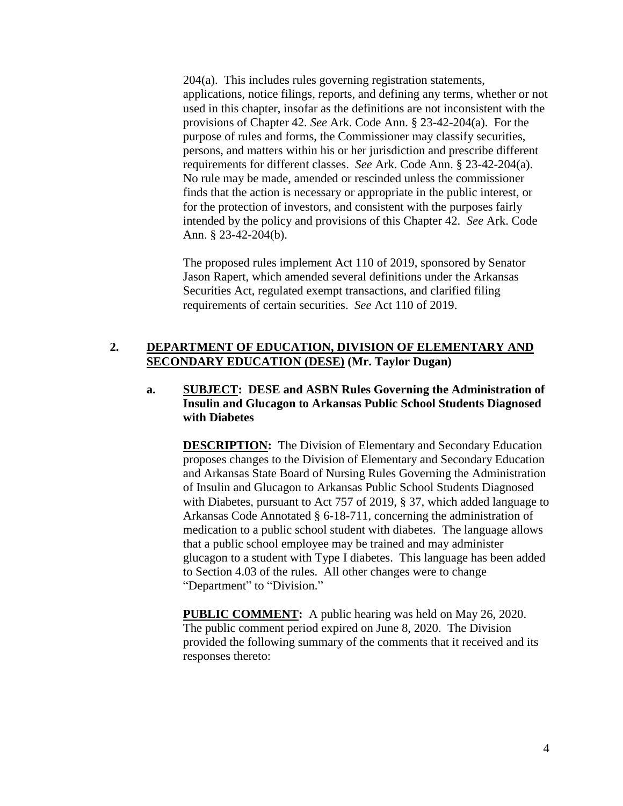204(a). This includes rules governing registration statements, applications, notice filings, reports, and defining any terms, whether or not used in this chapter, insofar as the definitions are not inconsistent with the provisions of Chapter 42. *See* Ark. Code Ann. § 23-42-204(a). For the purpose of rules and forms, the Commissioner may classify securities, persons, and matters within his or her jurisdiction and prescribe different requirements for different classes. *See* Ark. Code Ann. § 23-42-204(a). No rule may be made, amended or rescinded unless the commissioner finds that the action is necessary or appropriate in the public interest, or for the protection of investors, and consistent with the purposes fairly intended by the policy and provisions of this Chapter 42. *See* Ark. Code Ann. § 23-42-204(b).

The proposed rules implement Act 110 of 2019, sponsored by Senator Jason Rapert, which amended several definitions under the Arkansas Securities Act, regulated exempt transactions, and clarified filing requirements of certain securities. *See* Act 110 of 2019.

# **2. DEPARTMENT OF EDUCATION, DIVISION OF ELEMENTARY AND SECONDARY EDUCATION (DESE) (Mr. Taylor Dugan)**

# **a. SUBJECT: DESE and ASBN Rules Governing the Administration of Insulin and Glucagon to Arkansas Public School Students Diagnosed with Diabetes**

**DESCRIPTION:** The Division of Elementary and Secondary Education proposes changes to the Division of Elementary and Secondary Education and Arkansas State Board of Nursing Rules Governing the Administration of Insulin and Glucagon to Arkansas Public School Students Diagnosed with Diabetes, pursuant to Act 757 of 2019, § 37, which added language to Arkansas Code Annotated § 6-18-711, concerning the administration of medication to a public school student with diabetes. The language allows that a public school employee may be trained and may administer glucagon to a student with Type I diabetes. This language has been added to Section 4.03 of the rules. All other changes were to change "Department" to "Division."

**PUBLIC COMMENT:** A public hearing was held on May 26, 2020. The public comment period expired on June 8, 2020. The Division provided the following summary of the comments that it received and its responses thereto: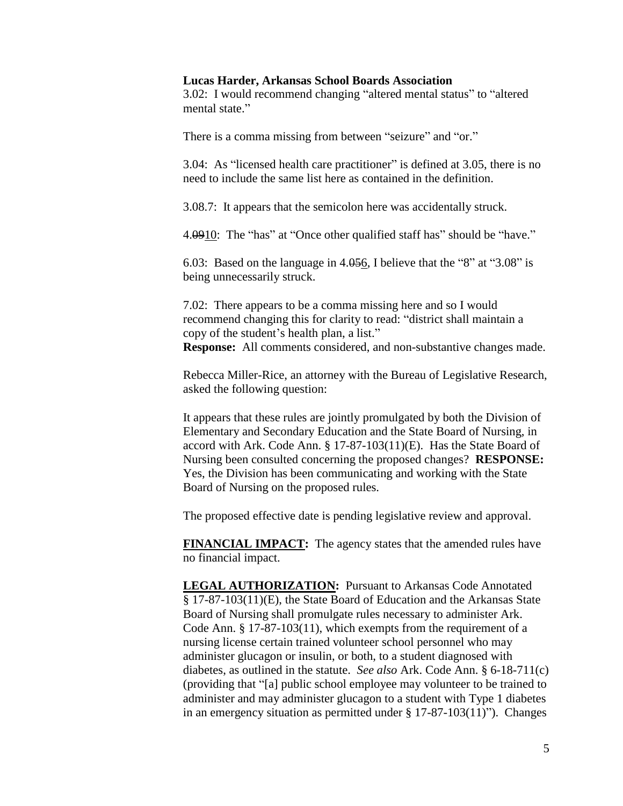### **Lucas Harder, Arkansas School Boards Association**

3.02: I would recommend changing "altered mental status" to "altered mental state."

There is a comma missing from between "seizure" and "or."

3.04: As "licensed health care practitioner" is defined at 3.05, there is no need to include the same list here as contained in the definition.

3.08.7: It appears that the semicolon here was accidentally struck.

4.0910: The "has" at "Once other qualified staff has" should be "have."

6.03: Based on the language in 4.056, I believe that the "8" at "3.08" is being unnecessarily struck.

7.02: There appears to be a comma missing here and so I would recommend changing this for clarity to read: "district shall maintain a copy of the student's health plan, a list." **Response:** All comments considered, and non-substantive changes made.

Rebecca Miller-Rice, an attorney with the Bureau of Legislative Research, asked the following question:

It appears that these rules are jointly promulgated by both the Division of Elementary and Secondary Education and the State Board of Nursing, in accord with Ark. Code Ann. § 17-87-103(11)(E). Has the State Board of Nursing been consulted concerning the proposed changes? **RESPONSE:** Yes, the Division has been communicating and working with the State Board of Nursing on the proposed rules.

The proposed effective date is pending legislative review and approval.

**FINANCIAL IMPACT:** The agency states that the amended rules have no financial impact.

**LEGAL AUTHORIZATION:** Pursuant to Arkansas Code Annotated § 17-87-103(11)(E), the State Board of Education and the Arkansas State Board of Nursing shall promulgate rules necessary to administer Ark. Code Ann. § 17-87-103(11), which exempts from the requirement of a nursing license certain trained volunteer school personnel who may administer glucagon or insulin, or both, to a student diagnosed with diabetes, as outlined in the statute. *See also* Ark. Code Ann. § 6-18-711(c) (providing that "[a] public school employee may volunteer to be trained to administer and may administer glucagon to a student with Type 1 diabetes in an emergency situation as permitted under § 17-87-103(11)"). Changes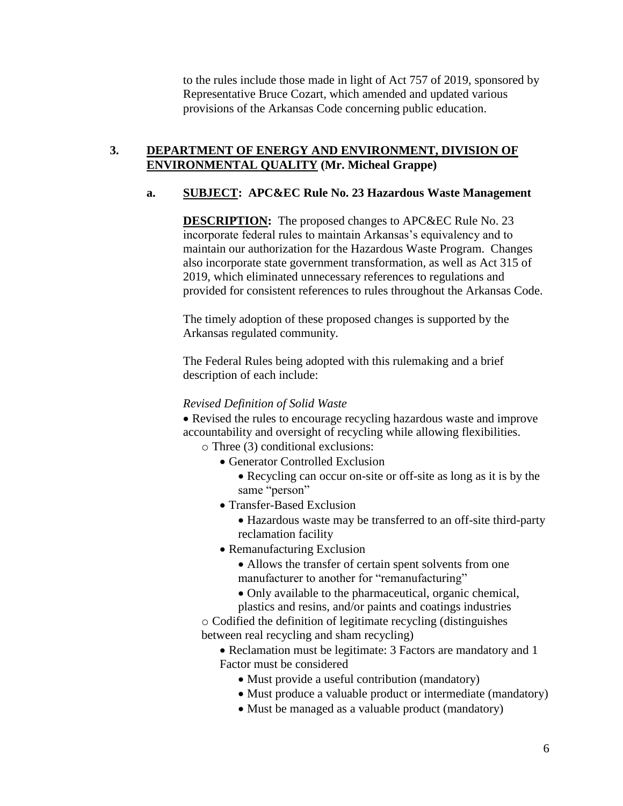to the rules include those made in light of Act 757 of 2019, sponsored by Representative Bruce Cozart, which amended and updated various provisions of the Arkansas Code concerning public education.

# **3. DEPARTMENT OF ENERGY AND ENVIRONMENT, DIVISION OF ENVIRONMENTAL QUALITY (Mr. Micheal Grappe)**

# **a. SUBJECT: APC&EC Rule No. 23 Hazardous Waste Management**

**DESCRIPTION:** The proposed changes to APC&EC Rule No. 23 incorporate federal rules to maintain Arkansas's equivalency and to maintain our authorization for the Hazardous Waste Program. Changes also incorporate state government transformation, as well as Act 315 of 2019, which eliminated unnecessary references to regulations and provided for consistent references to rules throughout the Arkansas Code.

The timely adoption of these proposed changes is supported by the Arkansas regulated community.

The Federal Rules being adopted with this rulemaking and a brief description of each include:

### *Revised Definition of Solid Waste*

• Revised the rules to encourage recycling hazardous waste and improve accountability and oversight of recycling while allowing flexibilities. o Three (3) conditional exclusions:

- Generator Controlled Exclusion
	- Recycling can occur on-site or off-site as long as it is by the same "person"
- Transfer-Based Exclusion
	- Hazardous waste may be transferred to an off-site third-party reclamation facility
- Remanufacturing Exclusion
	- Allows the transfer of certain spent solvents from one manufacturer to another for "remanufacturing"
	- Only available to the pharmaceutical, organic chemical, plastics and resins, and/or paints and coatings industries

o Codified the definition of legitimate recycling (distinguishes between real recycling and sham recycling)

• Reclamation must be legitimate: 3 Factors are mandatory and 1 Factor must be considered

- Must provide a useful contribution (mandatory)
- Must produce a valuable product or intermediate (mandatory)
- Must be managed as a valuable product (mandatory)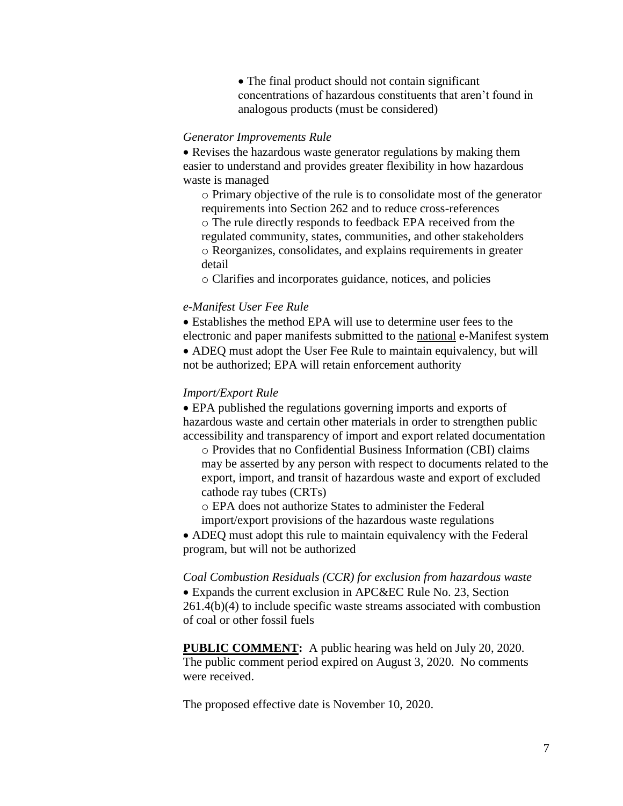The final product should not contain significant concentrations of hazardous constituents that aren't found in analogous products (must be considered)

### *Generator Improvements Rule*

• Revises the hazardous waste generator regulations by making them easier to understand and provides greater flexibility in how hazardous waste is managed

o Primary objective of the rule is to consolidate most of the generator requirements into Section 262 and to reduce cross-references o The rule directly responds to feedback EPA received from the regulated community, states, communities, and other stakeholders o Reorganizes, consolidates, and explains requirements in greater detail

o Clarifies and incorporates guidance, notices, and policies

### *e-Manifest User Fee Rule*

 Establishes the method EPA will use to determine user fees to the electronic and paper manifests submitted to the national e-Manifest system ADEQ must adopt the User Fee Rule to maintain equivalency, but will not be authorized; EPA will retain enforcement authority

### *Import/Export Rule*

 EPA published the regulations governing imports and exports of hazardous waste and certain other materials in order to strengthen public accessibility and transparency of import and export related documentation

o Provides that no Confidential Business Information (CBI) claims may be asserted by any person with respect to documents related to the export, import, and transit of hazardous waste and export of excluded cathode ray tubes (CRTs)

o EPA does not authorize States to administer the Federal import/export provisions of the hazardous waste regulations

 ADEQ must adopt this rule to maintain equivalency with the Federal program, but will not be authorized

*Coal Combustion Residuals (CCR) for exclusion from hazardous waste* Expands the current exclusion in APC&EC Rule No. 23, Section 261.4(b)(4) to include specific waste streams associated with combustion of coal or other fossil fuels

**PUBLIC COMMENT:** A public hearing was held on July 20, 2020. The public comment period expired on August 3, 2020. No comments were received.

The proposed effective date is November 10, 2020.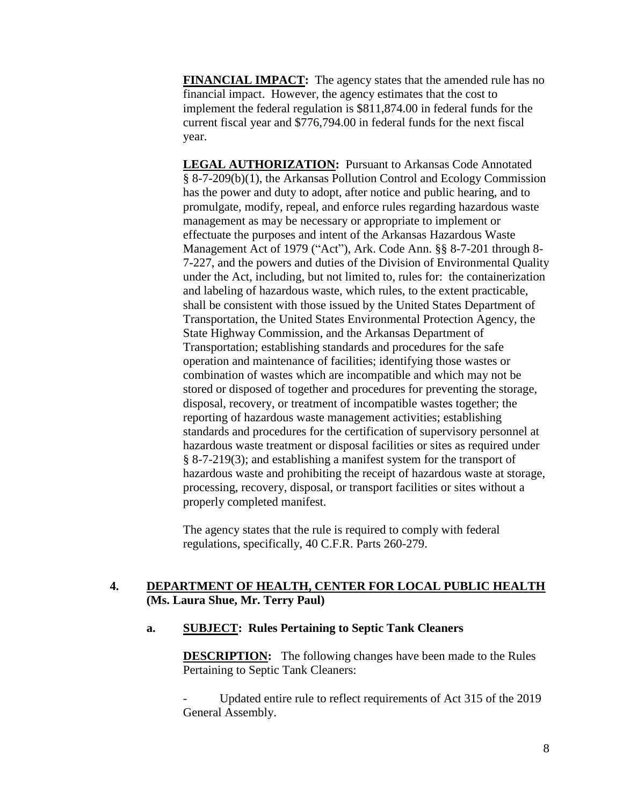**FINANCIAL IMPACT:** The agency states that the amended rule has no financial impact. However, the agency estimates that the cost to implement the federal regulation is \$811,874.00 in federal funds for the current fiscal year and \$776,794.00 in federal funds for the next fiscal year.

**LEGAL AUTHORIZATION:** Pursuant to Arkansas Code Annotated § 8-7-209(b)(1), the Arkansas Pollution Control and Ecology Commission has the power and duty to adopt, after notice and public hearing, and to promulgate, modify, repeal, and enforce rules regarding hazardous waste management as may be necessary or appropriate to implement or effectuate the purposes and intent of the Arkansas Hazardous Waste Management Act of 1979 ("Act"), Ark. Code Ann. §§ 8-7-201 through 8- 7-227, and the powers and duties of the Division of Environmental Quality under the Act, including, but not limited to, rules for: the containerization and labeling of hazardous waste, which rules, to the extent practicable, shall be consistent with those issued by the United States Department of Transportation, the United States Environmental Protection Agency, the State Highway Commission, and the Arkansas Department of Transportation; establishing standards and procedures for the safe operation and maintenance of facilities; identifying those wastes or combination of wastes which are incompatible and which may not be stored or disposed of together and procedures for preventing the storage, disposal, recovery, or treatment of incompatible wastes together; the reporting of hazardous waste management activities; establishing standards and procedures for the certification of supervisory personnel at hazardous waste treatment or disposal facilities or sites as required under § 8-7-219(3); and establishing a manifest system for the transport of hazardous waste and prohibiting the receipt of hazardous waste at storage, processing, recovery, disposal, or transport facilities or sites without a properly completed manifest.

The agency states that the rule is required to comply with federal regulations, specifically, 40 C.F.R. Parts 260-279.

# **4. DEPARTMENT OF HEALTH, CENTER FOR LOCAL PUBLIC HEALTH (Ms. Laura Shue, Mr. Terry Paul)**

# **a. SUBJECT: Rules Pertaining to Septic Tank Cleaners**

**DESCRIPTION:** The following changes have been made to the Rules Pertaining to Septic Tank Cleaners:

Updated entire rule to reflect requirements of Act 315 of the 2019 General Assembly.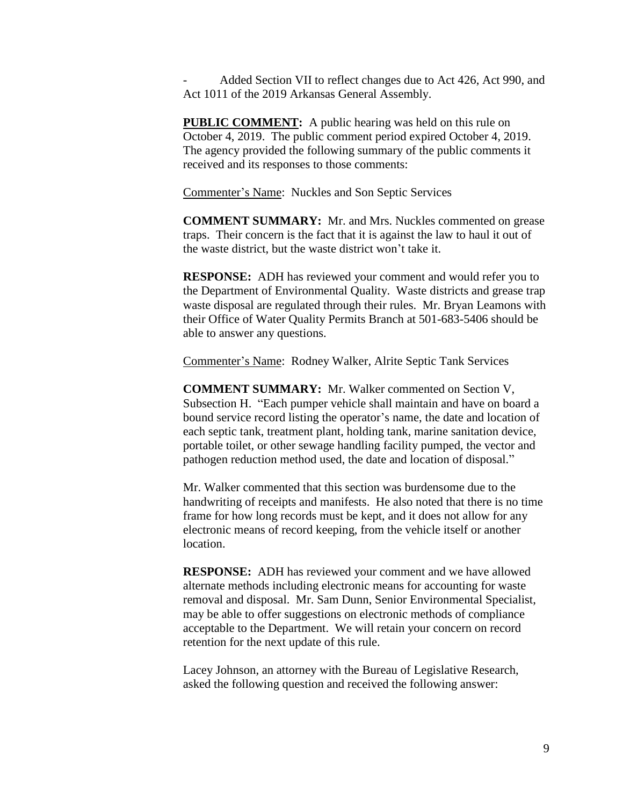Added Section VII to reflect changes due to Act 426, Act 990, and Act 1011 of the 2019 Arkansas General Assembly.

**PUBLIC COMMENT:** A public hearing was held on this rule on October 4, 2019. The public comment period expired October 4, 2019. The agency provided the following summary of the public comments it received and its responses to those comments:

Commenter's Name: Nuckles and Son Septic Services

**COMMENT SUMMARY:** Mr. and Mrs. Nuckles commented on grease traps. Their concern is the fact that it is against the law to haul it out of the waste district, but the waste district won't take it.

**RESPONSE:** ADH has reviewed your comment and would refer you to the Department of Environmental Quality. Waste districts and grease trap waste disposal are regulated through their rules. Mr. Bryan Leamons with their Office of Water Quality Permits Branch at 501-683-5406 should be able to answer any questions.

Commenter's Name: Rodney Walker, Alrite Septic Tank Services

**COMMENT SUMMARY:** Mr. Walker commented on Section V, Subsection H. "Each pumper vehicle shall maintain and have on board a bound service record listing the operator's name, the date and location of each septic tank, treatment plant, holding tank, marine sanitation device, portable toilet, or other sewage handling facility pumped, the vector and pathogen reduction method used, the date and location of disposal."

Mr. Walker commented that this section was burdensome due to the handwriting of receipts and manifests. He also noted that there is no time frame for how long records must be kept, and it does not allow for any electronic means of record keeping, from the vehicle itself or another location.

**RESPONSE:** ADH has reviewed your comment and we have allowed alternate methods including electronic means for accounting for waste removal and disposal. Mr. Sam Dunn, Senior Environmental Specialist, may be able to offer suggestions on electronic methods of compliance acceptable to the Department. We will retain your concern on record retention for the next update of this rule.

Lacey Johnson, an attorney with the Bureau of Legislative Research, asked the following question and received the following answer: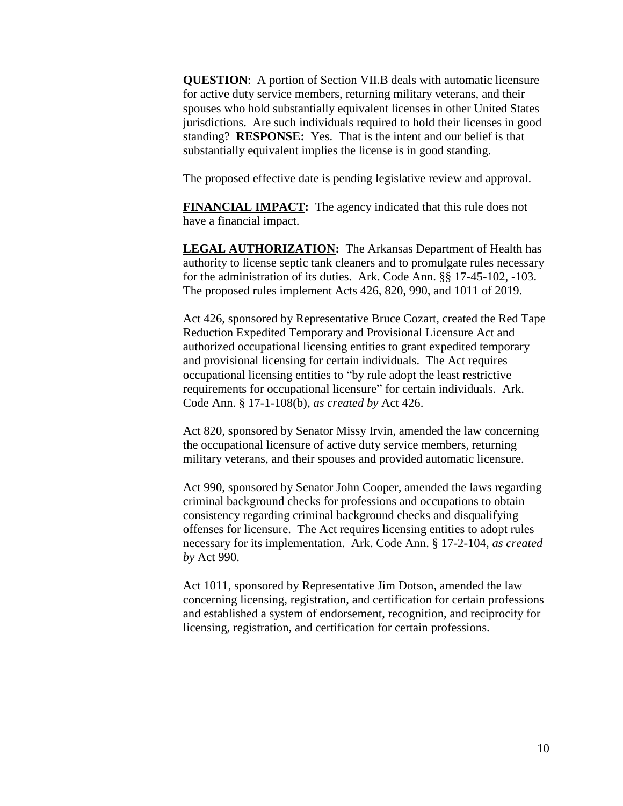**QUESTION**: A portion of Section VII.B deals with automatic licensure for active duty service members, returning military veterans, and their spouses who hold substantially equivalent licenses in other United States jurisdictions. Are such individuals required to hold their licenses in good standing? **RESPONSE:** Yes. That is the intent and our belief is that substantially equivalent implies the license is in good standing.

The proposed effective date is pending legislative review and approval.

**FINANCIAL IMPACT:** The agency indicated that this rule does not have a financial impact.

**LEGAL AUTHORIZATION:** The Arkansas Department of Health has authority to license septic tank cleaners and to promulgate rules necessary for the administration of its duties. Ark. Code Ann. §§ 17-45-102, -103. The proposed rules implement Acts 426, 820, 990, and 1011 of 2019.

Act 426, sponsored by Representative Bruce Cozart, created the Red Tape Reduction Expedited Temporary and Provisional Licensure Act and authorized occupational licensing entities to grant expedited temporary and provisional licensing for certain individuals. The Act requires occupational licensing entities to "by rule adopt the least restrictive requirements for occupational licensure" for certain individuals. Ark. Code Ann. § 17-1-108(b), *as created by* Act 426.

Act 820, sponsored by Senator Missy Irvin, amended the law concerning the occupational licensure of active duty service members, returning military veterans, and their spouses and provided automatic licensure.

Act 990, sponsored by Senator John Cooper, amended the laws regarding criminal background checks for professions and occupations to obtain consistency regarding criminal background checks and disqualifying offenses for licensure. The Act requires licensing entities to adopt rules necessary for its implementation. Ark. Code Ann. § 17-2-104, *as created by* Act 990.

Act 1011, sponsored by Representative Jim Dotson, amended the law concerning licensing, registration, and certification for certain professions and established a system of endorsement, recognition, and reciprocity for licensing, registration, and certification for certain professions.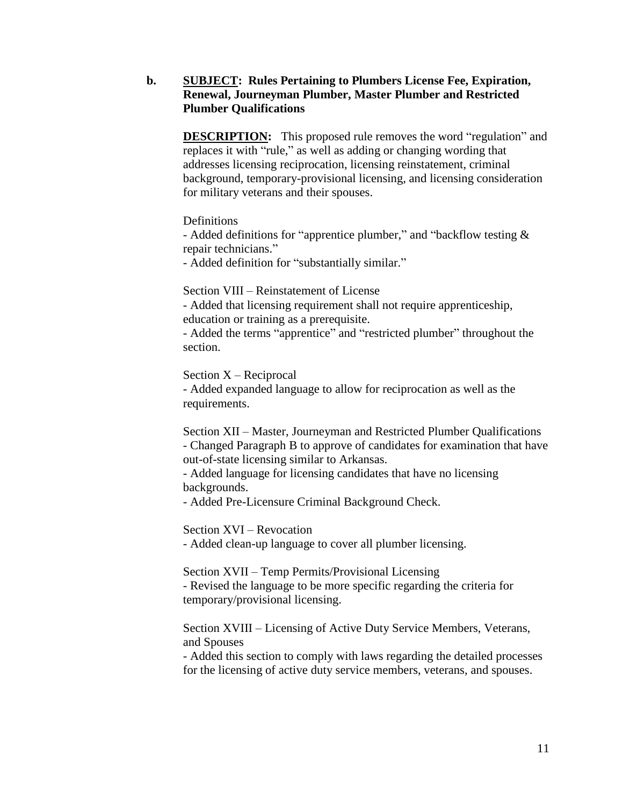# **b. SUBJECT: Rules Pertaining to Plumbers License Fee, Expiration, Renewal, Journeyman Plumber, Master Plumber and Restricted Plumber Qualifications**

**DESCRIPTION:** This proposed rule removes the word "regulation" and replaces it with "rule," as well as adding or changing wording that addresses licensing reciprocation, licensing reinstatement, criminal background, temporary-provisional licensing, and licensing consideration for military veterans and their spouses.

**Definitions** 

- Added definitions for "apprentice plumber," and "backflow testing & repair technicians."

- Added definition for "substantially similar."

Section VIII – Reinstatement of License

- Added that licensing requirement shall not require apprenticeship, education or training as a prerequisite.

- Added the terms "apprentice" and "restricted plumber" throughout the section.

Section X – Reciprocal

- Added expanded language to allow for reciprocation as well as the requirements.

Section XII – Master, Journeyman and Restricted Plumber Qualifications - Changed Paragraph B to approve of candidates for examination that have out-of-state licensing similar to Arkansas.

- Added language for licensing candidates that have no licensing backgrounds.

- Added Pre-Licensure Criminal Background Check.

Section XVI – Revocation

- Added clean-up language to cover all plumber licensing.

Section XVII – Temp Permits/Provisional Licensing - Revised the language to be more specific regarding the criteria for temporary/provisional licensing.

Section XVIII – Licensing of Active Duty Service Members, Veterans, and Spouses

- Added this section to comply with laws regarding the detailed processes for the licensing of active duty service members, veterans, and spouses.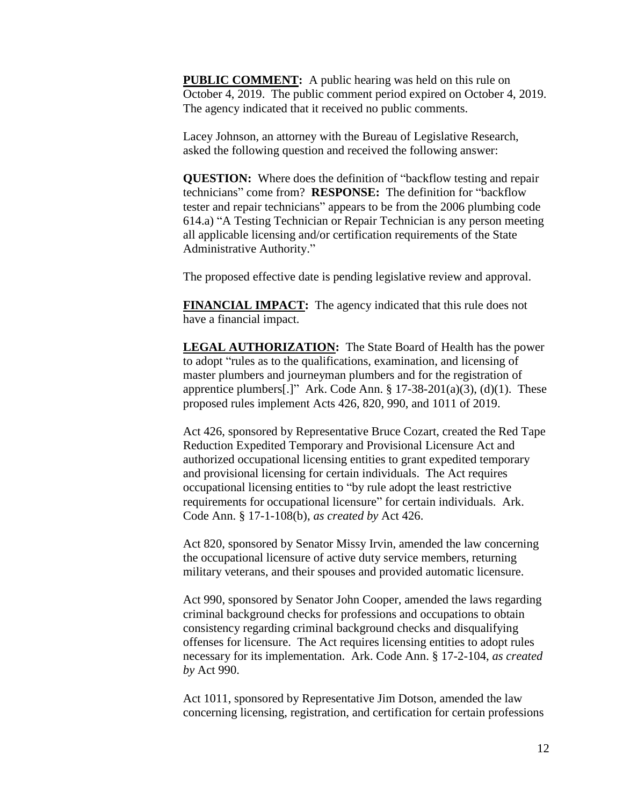**PUBLIC COMMENT:** A public hearing was held on this rule on October 4, 2019. The public comment period expired on October 4, 2019. The agency indicated that it received no public comments.

Lacey Johnson, an attorney with the Bureau of Legislative Research, asked the following question and received the following answer:

**QUESTION:** Where does the definition of "backflow testing and repair technicians" come from? **RESPONSE:** The definition for "backflow tester and repair technicians" appears to be from the 2006 plumbing code 614.a) "A Testing Technician or Repair Technician is any person meeting all applicable licensing and/or certification requirements of the State Administrative Authority."

The proposed effective date is pending legislative review and approval.

**FINANCIAL IMPACT:** The agency indicated that this rule does not have a financial impact.

**LEGAL AUTHORIZATION:** The State Board of Health has the power to adopt "rules as to the qualifications, examination, and licensing of master plumbers and journeyman plumbers and for the registration of apprentice plumbers[.]" Ark. Code Ann.  $\S 17-38-201(a)(3)$ , (d)(1). These proposed rules implement Acts 426, 820, 990, and 1011 of 2019.

Act 426, sponsored by Representative Bruce Cozart, created the Red Tape Reduction Expedited Temporary and Provisional Licensure Act and authorized occupational licensing entities to grant expedited temporary and provisional licensing for certain individuals. The Act requires occupational licensing entities to "by rule adopt the least restrictive requirements for occupational licensure" for certain individuals. Ark. Code Ann. § 17-1-108(b), *as created by* Act 426.

Act 820, sponsored by Senator Missy Irvin, amended the law concerning the occupational licensure of active duty service members, returning military veterans, and their spouses and provided automatic licensure.

Act 990, sponsored by Senator John Cooper, amended the laws regarding criminal background checks for professions and occupations to obtain consistency regarding criminal background checks and disqualifying offenses for licensure. The Act requires licensing entities to adopt rules necessary for its implementation. Ark. Code Ann. § 17-2-104, *as created by* Act 990.

Act 1011, sponsored by Representative Jim Dotson, amended the law concerning licensing, registration, and certification for certain professions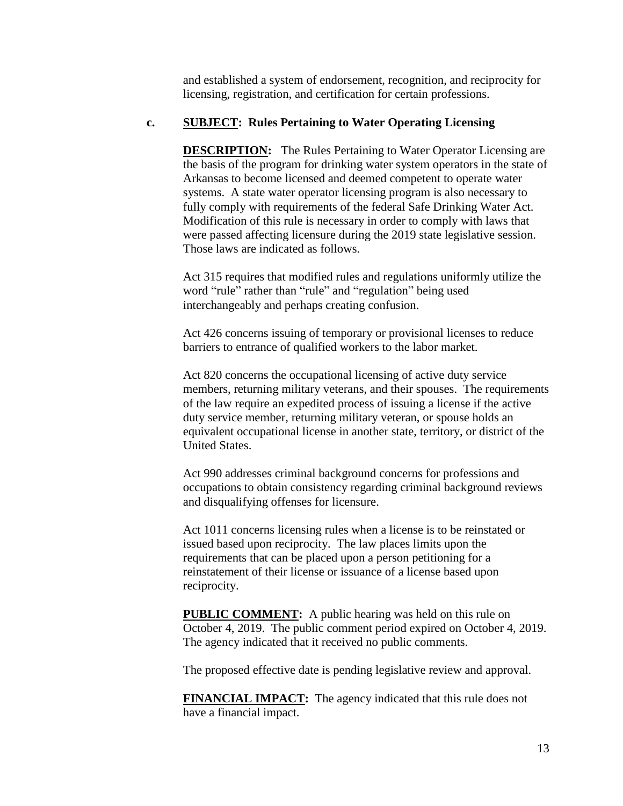and established a system of endorsement, recognition, and reciprocity for licensing, registration, and certification for certain professions.

# **c. SUBJECT: Rules Pertaining to Water Operating Licensing**

**DESCRIPTION:** The Rules Pertaining to Water Operator Licensing are the basis of the program for drinking water system operators in the state of Arkansas to become licensed and deemed competent to operate water systems. A state water operator licensing program is also necessary to fully comply with requirements of the federal Safe Drinking Water Act. Modification of this rule is necessary in order to comply with laws that were passed affecting licensure during the 2019 state legislative session. Those laws are indicated as follows.

Act 315 requires that modified rules and regulations uniformly utilize the word "rule" rather than "rule" and "regulation" being used interchangeably and perhaps creating confusion.

Act 426 concerns issuing of temporary or provisional licenses to reduce barriers to entrance of qualified workers to the labor market.

Act 820 concerns the occupational licensing of active duty service members, returning military veterans, and their spouses. The requirements of the law require an expedited process of issuing a license if the active duty service member, returning military veteran, or spouse holds an equivalent occupational license in another state, territory, or district of the United States.

Act 990 addresses criminal background concerns for professions and occupations to obtain consistency regarding criminal background reviews and disqualifying offenses for licensure.

Act 1011 concerns licensing rules when a license is to be reinstated or issued based upon reciprocity. The law places limits upon the requirements that can be placed upon a person petitioning for a reinstatement of their license or issuance of a license based upon reciprocity.

**PUBLIC COMMENT:** A public hearing was held on this rule on October 4, 2019. The public comment period expired on October 4, 2019. The agency indicated that it received no public comments.

The proposed effective date is pending legislative review and approval.

**FINANCIAL IMPACT:** The agency indicated that this rule does not have a financial impact.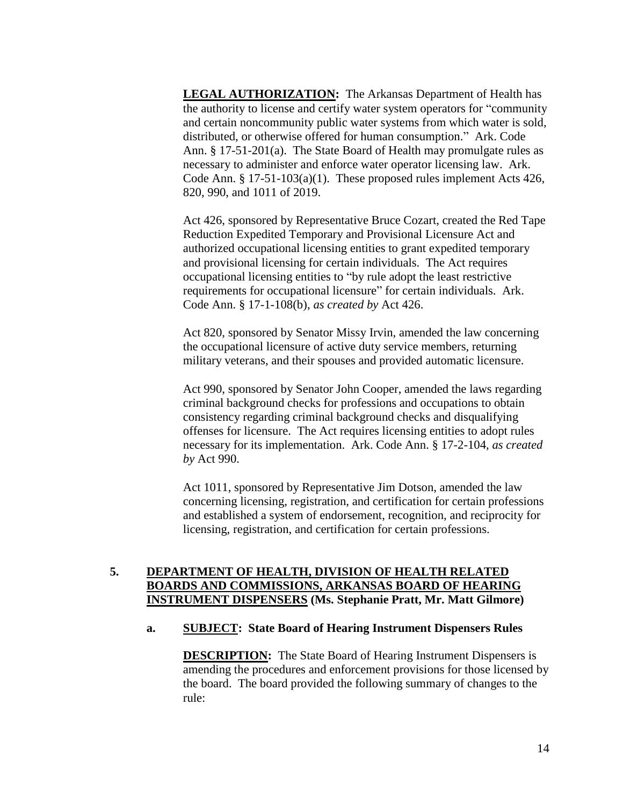**LEGAL AUTHORIZATION:** The Arkansas Department of Health has the authority to license and certify water system operators for "community and certain noncommunity public water systems from which water is sold, distributed, or otherwise offered for human consumption." Ark. Code Ann. § 17-51-201(a). The State Board of Health may promulgate rules as necessary to administer and enforce water operator licensing law. Ark. Code Ann. § 17-51-103(a)(1). These proposed rules implement Acts 426, 820, 990, and 1011 of 2019.

Act 426, sponsored by Representative Bruce Cozart, created the Red Tape Reduction Expedited Temporary and Provisional Licensure Act and authorized occupational licensing entities to grant expedited temporary and provisional licensing for certain individuals. The Act requires occupational licensing entities to "by rule adopt the least restrictive requirements for occupational licensure" for certain individuals. Ark. Code Ann. § 17-1-108(b), *as created by* Act 426.

Act 820, sponsored by Senator Missy Irvin, amended the law concerning the occupational licensure of active duty service members, returning military veterans, and their spouses and provided automatic licensure.

Act 990, sponsored by Senator John Cooper, amended the laws regarding criminal background checks for professions and occupations to obtain consistency regarding criminal background checks and disqualifying offenses for licensure. The Act requires licensing entities to adopt rules necessary for its implementation. Ark. Code Ann. § 17-2-104, *as created by* Act 990.

Act 1011, sponsored by Representative Jim Dotson, amended the law concerning licensing, registration, and certification for certain professions and established a system of endorsement, recognition, and reciprocity for licensing, registration, and certification for certain professions.

# **5. DEPARTMENT OF HEALTH, DIVISION OF HEALTH RELATED BOARDS AND COMMISSIONS, ARKANSAS BOARD OF HEARING INSTRUMENT DISPENSERS (Ms. Stephanie Pratt, Mr. Matt Gilmore)**

### **a. SUBJECT: State Board of Hearing Instrument Dispensers Rules**

**DESCRIPTION:** The State Board of Hearing Instrument Dispensers is amending the procedures and enforcement provisions for those licensed by the board. The board provided the following summary of changes to the rule: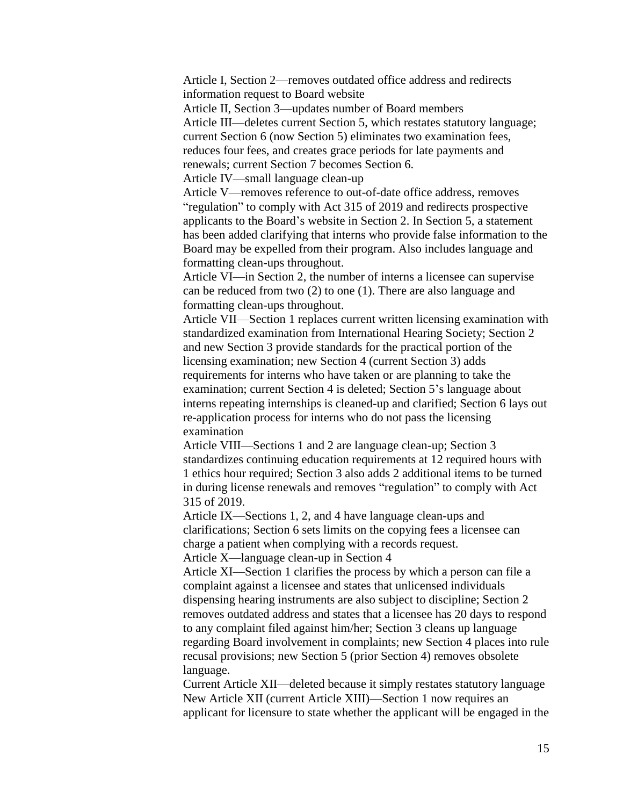Article I, Section 2—removes outdated office address and redirects information request to Board website

Article II, Section 3—updates number of Board members

Article III—deletes current Section 5, which restates statutory language; current Section 6 (now Section 5) eliminates two examination fees, reduces four fees, and creates grace periods for late payments and renewals; current Section 7 becomes Section 6.

Article IV—small language clean-up

Article V—removes reference to out-of-date office address, removes "regulation" to comply with Act 315 of 2019 and redirects prospective applicants to the Board's website in Section 2. In Section 5, a statement has been added clarifying that interns who provide false information to the Board may be expelled from their program. Also includes language and formatting clean-ups throughout.

Article VI—in Section 2, the number of interns a licensee can supervise can be reduced from two (2) to one (1). There are also language and formatting clean-ups throughout.

Article VII—Section 1 replaces current written licensing examination with standardized examination from International Hearing Society; Section 2 and new Section 3 provide standards for the practical portion of the licensing examination; new Section 4 (current Section 3) adds requirements for interns who have taken or are planning to take the examination; current Section 4 is deleted; Section 5's language about interns repeating internships is cleaned-up and clarified; Section 6 lays out re-application process for interns who do not pass the licensing examination

Article VIII—Sections 1 and 2 are language clean-up; Section 3 standardizes continuing education requirements at 12 required hours with 1 ethics hour required; Section 3 also adds 2 additional items to be turned in during license renewals and removes "regulation" to comply with Act 315 of 2019.

Article IX—Sections 1, 2, and 4 have language clean-ups and clarifications; Section 6 sets limits on the copying fees a licensee can charge a patient when complying with a records request.

Article X—language clean-up in Section 4

Article XI—Section 1 clarifies the process by which a person can file a complaint against a licensee and states that unlicensed individuals dispensing hearing instruments are also subject to discipline; Section 2 removes outdated address and states that a licensee has 20 days to respond to any complaint filed against him/her; Section 3 cleans up language regarding Board involvement in complaints; new Section 4 places into rule recusal provisions; new Section 5 (prior Section 4) removes obsolete language.

Current Article XII—deleted because it simply restates statutory language New Article XII (current Article XIII)—Section 1 now requires an applicant for licensure to state whether the applicant will be engaged in the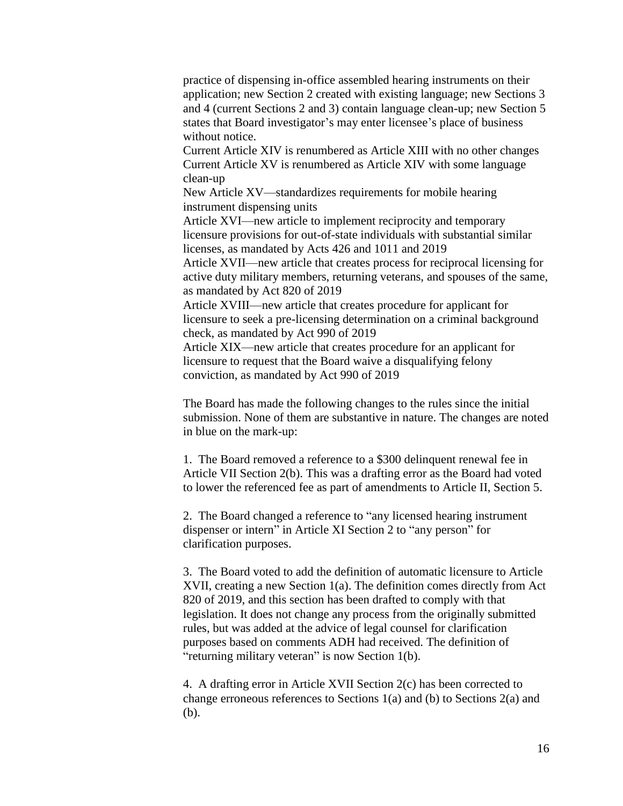practice of dispensing in-office assembled hearing instruments on their application; new Section 2 created with existing language; new Sections 3 and 4 (current Sections 2 and 3) contain language clean-up; new Section 5 states that Board investigator's may enter licensee's place of business without notice.

Current Article XIV is renumbered as Article XIII with no other changes Current Article XV is renumbered as Article XIV with some language clean-up

New Article XV—standardizes requirements for mobile hearing instrument dispensing units

Article XVI—new article to implement reciprocity and temporary licensure provisions for out-of-state individuals with substantial similar licenses, as mandated by Acts 426 and 1011 and 2019

Article XVII—new article that creates process for reciprocal licensing for active duty military members, returning veterans, and spouses of the same, as mandated by Act 820 of 2019

Article XVIII—new article that creates procedure for applicant for licensure to seek a pre-licensing determination on a criminal background check, as mandated by Act 990 of 2019

Article XIX—new article that creates procedure for an applicant for licensure to request that the Board waive a disqualifying felony conviction, as mandated by Act 990 of 2019

The Board has made the following changes to the rules since the initial submission. None of them are substantive in nature. The changes are noted in blue on the mark-up:

1. The Board removed a reference to a \$300 delinquent renewal fee in Article VII Section 2(b). This was a drafting error as the Board had voted to lower the referenced fee as part of amendments to Article II, Section 5.

2. The Board changed a reference to "any licensed hearing instrument dispenser or intern" in Article XI Section 2 to "any person" for clarification purposes.

3. The Board voted to add the definition of automatic licensure to Article XVII, creating a new Section 1(a). The definition comes directly from Act 820 of 2019, and this section has been drafted to comply with that legislation. It does not change any process from the originally submitted rules, but was added at the advice of legal counsel for clarification purposes based on comments ADH had received. The definition of "returning military veteran" is now Section 1(b).

4. A drafting error in Article XVII Section 2(c) has been corrected to change erroneous references to Sections 1(a) and (b) to Sections 2(a) and (b).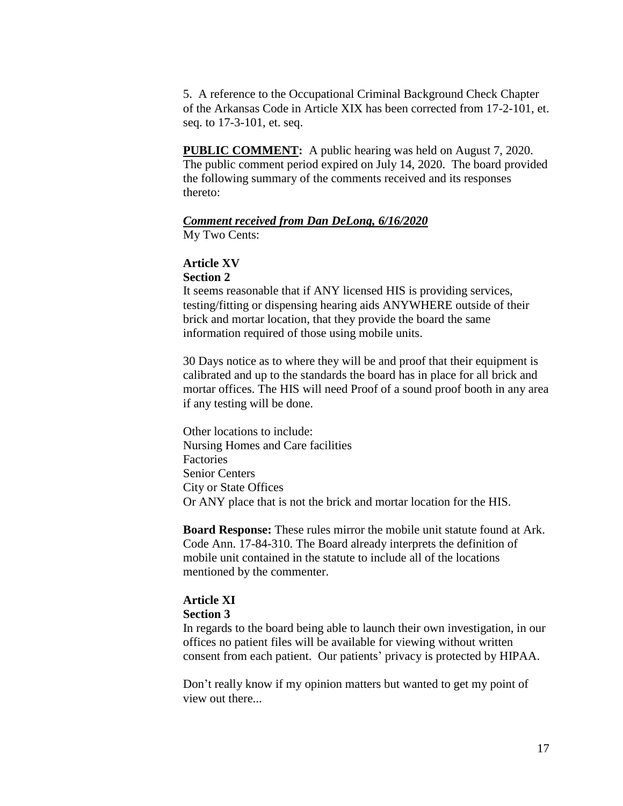5. A reference to the Occupational Criminal Background Check Chapter of the Arkansas Code in Article XIX has been corrected from 17-2-101, et. seq. to 17-3-101, et. seq.

**PUBLIC COMMENT:** A public hearing was held on August 7, 2020. The public comment period expired on July 14, 2020. The board provided the following summary of the comments received and its responses thereto:

### *Comment received from Dan DeLong, 6/16/2020* My Two Cents:

**Article XV Section 2**

It seems reasonable that if ANY licensed HIS is providing services, testing/fitting or dispensing hearing aids ANYWHERE outside of their brick and mortar location, that they provide the board the same information required of those using mobile units.

30 Days notice as to where they will be and proof that their equipment is calibrated and up to the standards the board has in place for all brick and mortar offices. The HIS will need Proof of a sound proof booth in any area if any testing will be done.

Other locations to include: Nursing Homes and Care facilities Factories Senior Centers City or State Offices Or ANY place that is not the brick and mortar location for the HIS.

**Board Response:** These rules mirror the mobile unit statute found at Ark. Code Ann. 17-84-310. The Board already interprets the definition of mobile unit contained in the statute to include all of the locations mentioned by the commenter.

# **Article XI**

### **Section 3**

In regards to the board being able to launch their own investigation, in our offices no patient files will be available for viewing without written consent from each patient. Our patients' privacy is protected by HIPAA.

Don't really know if my opinion matters but wanted to get my point of view out there...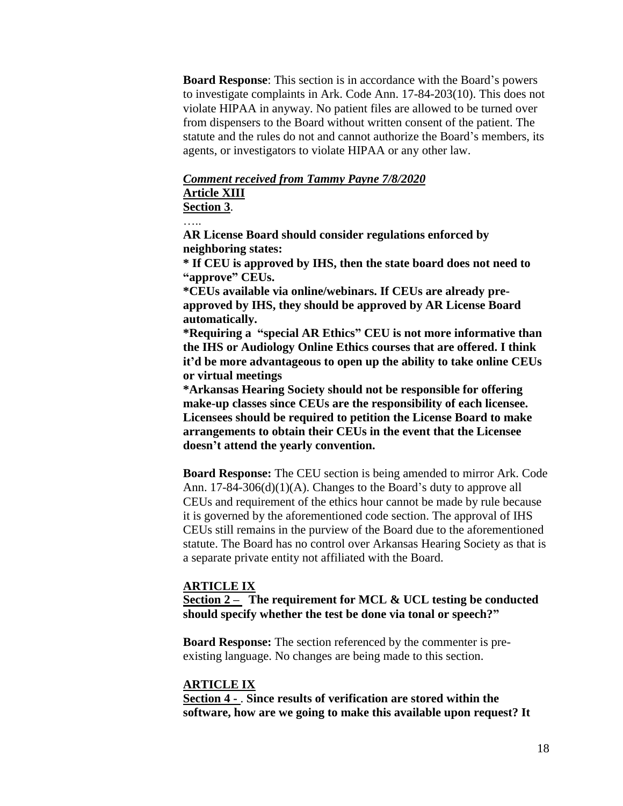**Board Response**: This section is in accordance with the Board's powers to investigate complaints in Ark. Code Ann. 17-84-203(10). This does not violate HIPAA in anyway. No patient files are allowed to be turned over from dispensers to the Board without written consent of the patient. The statute and the rules do not and cannot authorize the Board's members, its agents, or investigators to violate HIPAA or any other law.

# *Comment received from Tammy Payne 7/8/2020* **Article XIII**

**Section 3**.

….<br>……

**AR License Board should consider regulations enforced by neighboring states:**

**\* If CEU is approved by IHS, then the state board does not need to "approve" CEUs.**

**\*CEUs available via online/webinars. If CEUs are already preapproved by IHS, they should be approved by AR License Board automatically.**

**\*Requiring a "special AR Ethics" CEU is not more informative than the IHS or Audiology Online Ethics courses that are offered. I think it'd be more advantageous to open up the ability to take online CEUs or virtual meetings**

**\*Arkansas Hearing Society should not be responsible for offering make-up classes since CEUs are the responsibility of each licensee. Licensees should be required to petition the License Board to make arrangements to obtain their CEUs in the event that the Licensee doesn't attend the yearly convention.**

**Board Response:** The CEU section is being amended to mirror Ark. Code Ann. 17-84-306(d)(1)(A). Changes to the Board's duty to approve all CEUs and requirement of the ethics hour cannot be made by rule because it is governed by the aforementioned code section. The approval of IHS CEUs still remains in the purview of the Board due to the aforementioned statute. The Board has no control over Arkansas Hearing Society as that is a separate private entity not affiliated with the Board.

### **ARTICLE IX**

**Section 2 – The requirement for MCL & UCL testing be conducted should specify whether the test be done via tonal or speech?"**

**Board Response:** The section referenced by the commenter is preexisting language. No changes are being made to this section.

### **ARTICLE IX**

**Section 4 -** . **Since results of verification are stored within the software, how are we going to make this available upon request? It**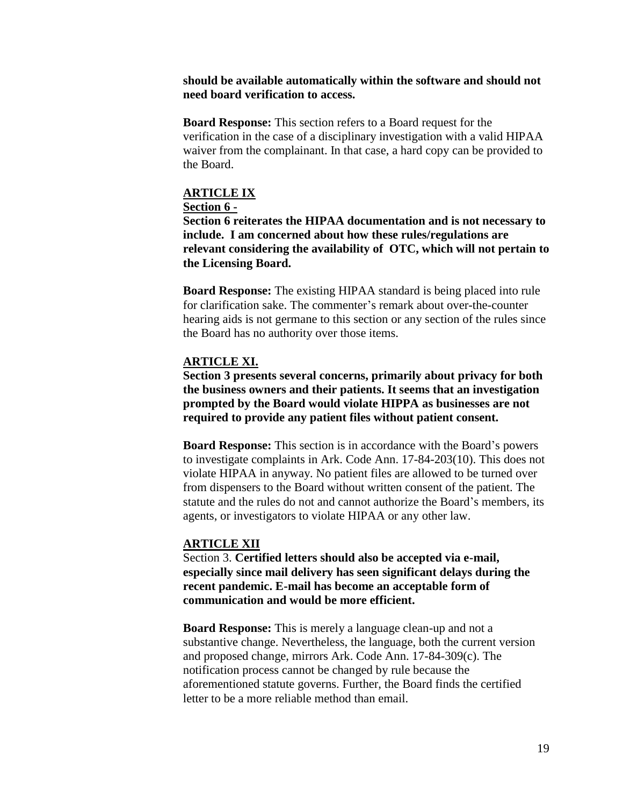### **should be available automatically within the software and should not need board verification to access.**

**Board Response:** This section refers to a Board request for the verification in the case of a disciplinary investigation with a valid HIPAA waiver from the complainant. In that case, a hard copy can be provided to the Board.

# **ARTICLE IX**

### **Section 6 -**

**Section 6 reiterates the HIPAA documentation and is not necessary to include. I am concerned about how these rules/regulations are relevant considering the availability of OTC, which will not pertain to the Licensing Board.**

**Board Response:** The existing HIPAA standard is being placed into rule for clarification sake. The commenter's remark about over-the-counter hearing aids is not germane to this section or any section of the rules since the Board has no authority over those items.

# **ARTICLE XI.**

**Section 3 presents several concerns, primarily about privacy for both the business owners and their patients. It seems that an investigation prompted by the Board would violate HIPPA as businesses are not required to provide any patient files without patient consent.**

**Board Response:** This section is in accordance with the Board's powers to investigate complaints in Ark. Code Ann. 17-84-203(10). This does not violate HIPAA in anyway. No patient files are allowed to be turned over from dispensers to the Board without written consent of the patient. The statute and the rules do not and cannot authorize the Board's members, its agents, or investigators to violate HIPAA or any other law.

### **ARTICLE XII**

Section 3. **Certified letters should also be accepted via e-mail, especially since mail delivery has seen significant delays during the recent pandemic. E-mail has become an acceptable form of communication and would be more efficient.**

**Board Response:** This is merely a language clean-up and not a substantive change. Nevertheless, the language, both the current version and proposed change, mirrors Ark. Code Ann. 17-84-309(c). The notification process cannot be changed by rule because the aforementioned statute governs. Further, the Board finds the certified letter to be a more reliable method than email.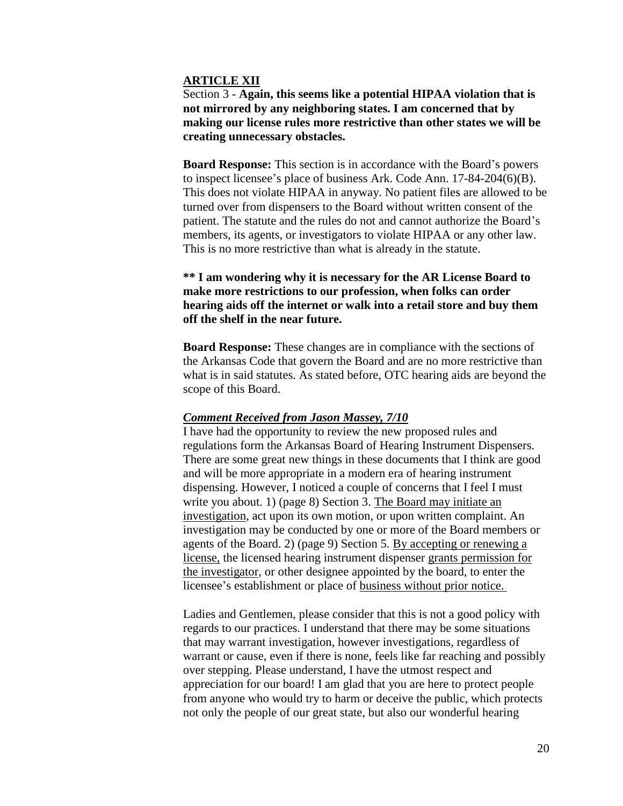### **ARTICLE XII**

Section 3 - **Again, this seems like a potential HIPAA violation that is not mirrored by any neighboring states. I am concerned that by making our license rules more restrictive than other states we will be creating unnecessary obstacles.**

**Board Response:** This section is in accordance with the Board's powers to inspect licensee's place of business Ark. Code Ann. 17-84-204(6)(B). This does not violate HIPAA in anyway. No patient files are allowed to be turned over from dispensers to the Board without written consent of the patient. The statute and the rules do not and cannot authorize the Board's members, its agents, or investigators to violate HIPAA or any other law. This is no more restrictive than what is already in the statute.

**\*\* I am wondering why it is necessary for the AR License Board to make more restrictions to our profession, when folks can order hearing aids off the internet or walk into a retail store and buy them off the shelf in the near future.**

**Board Response:** These changes are in compliance with the sections of the Arkansas Code that govern the Board and are no more restrictive than what is in said statutes. As stated before, OTC hearing aids are beyond the scope of this Board.

### *Comment Received from Jason Massey, 7/10*

I have had the opportunity to review the new proposed rules and regulations form the Arkansas Board of Hearing Instrument Dispensers. There are some great new things in these documents that I think are good and will be more appropriate in a modern era of hearing instrument dispensing. However, I noticed a couple of concerns that I feel I must write you about. 1) (page 8) Section 3. The Board may initiate an investigation, act upon its own motion, or upon written complaint. An investigation may be conducted by one or more of the Board members or agents of the Board. 2) (page 9) Section 5. By accepting or renewing a license, the licensed hearing instrument dispenser grants permission for the investigator, or other designee appointed by the board, to enter the licensee's establishment or place of business without prior notice.

Ladies and Gentlemen, please consider that this is not a good policy with regards to our practices. I understand that there may be some situations that may warrant investigation, however investigations, regardless of warrant or cause, even if there is none, feels like far reaching and possibly over stepping. Please understand, I have the utmost respect and appreciation for our board! I am glad that you are here to protect people from anyone who would try to harm or deceive the public, which protects not only the people of our great state, but also our wonderful hearing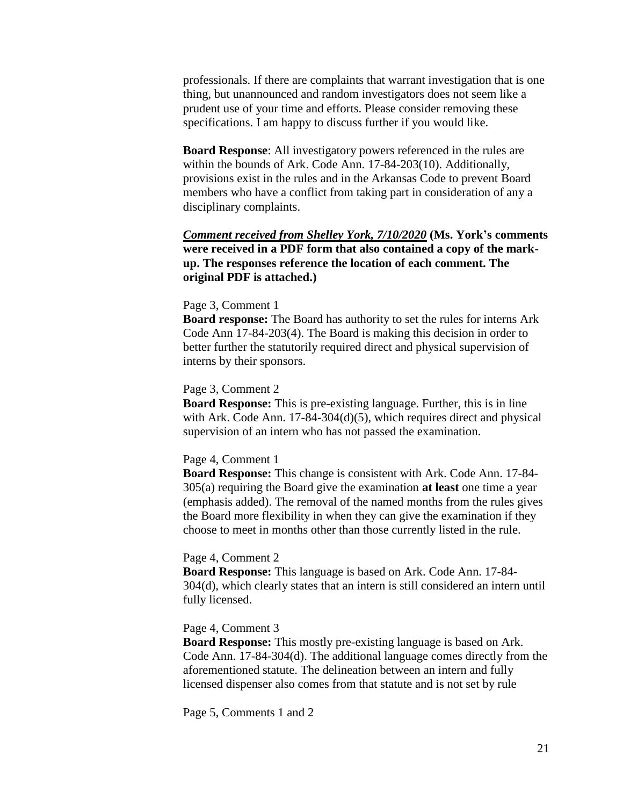professionals. If there are complaints that warrant investigation that is one thing, but unannounced and random investigators does not seem like a prudent use of your time and efforts. Please consider removing these specifications. I am happy to discuss further if you would like.

**Board Response**: All investigatory powers referenced in the rules are within the bounds of Ark. Code Ann. 17-84-203(10). Additionally, provisions exist in the rules and in the Arkansas Code to prevent Board members who have a conflict from taking part in consideration of any a disciplinary complaints.

*Comment received from Shelley York, 7/10/2020* **(Ms. York's comments were received in a PDF form that also contained a copy of the markup. The responses reference the location of each comment. The original PDF is attached.)**

#### Page 3, Comment 1

**Board response:** The Board has authority to set the rules for interns Ark Code Ann 17-84-203(4). The Board is making this decision in order to better further the statutorily required direct and physical supervision of interns by their sponsors.

#### Page 3, Comment 2

**Board Response:** This is pre-existing language. Further, this is in line with Ark. Code Ann. 17-84-304(d)(5), which requires direct and physical supervision of an intern who has not passed the examination.

#### Page 4, Comment 1

**Board Response:** This change is consistent with Ark. Code Ann. 17-84- 305(a) requiring the Board give the examination **at least** one time a year (emphasis added). The removal of the named months from the rules gives the Board more flexibility in when they can give the examination if they choose to meet in months other than those currently listed in the rule.

#### Page 4, Comment 2

**Board Response:** This language is based on Ark. Code Ann. 17-84- 304(d), which clearly states that an intern is still considered an intern until fully licensed.

#### Page 4, Comment 3

**Board Response:** This mostly pre-existing language is based on Ark. Code Ann. 17-84-304(d). The additional language comes directly from the aforementioned statute. The delineation between an intern and fully licensed dispenser also comes from that statute and is not set by rule

Page 5, Comments 1 and 2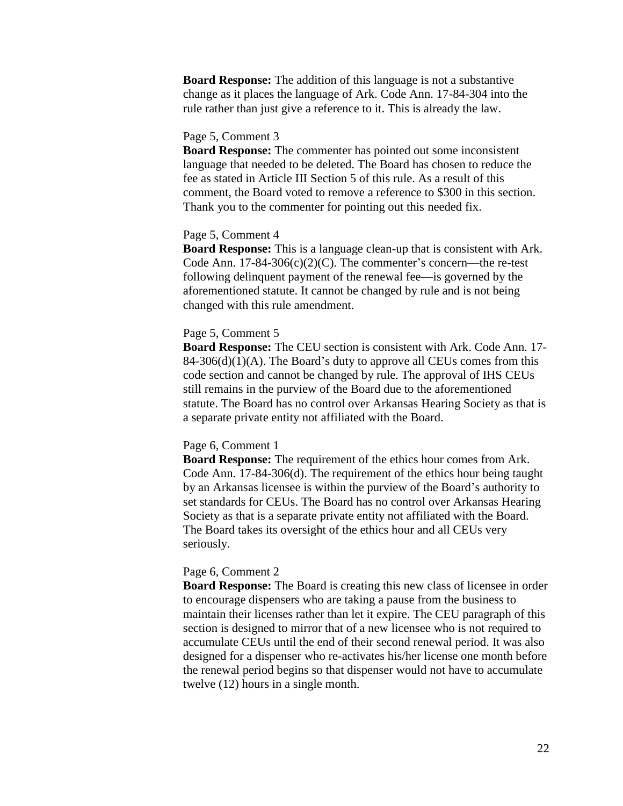**Board Response:** The addition of this language is not a substantive change as it places the language of Ark. Code Ann. 17-84-304 into the rule rather than just give a reference to it. This is already the law.

### Page 5, Comment 3

**Board Response:** The commenter has pointed out some inconsistent language that needed to be deleted. The Board has chosen to reduce the fee as stated in Article III Section 5 of this rule. As a result of this comment, the Board voted to remove a reference to \$300 in this section. Thank you to the commenter for pointing out this needed fix.

### Page 5, Comment 4

**Board Response:** This is a language clean-up that is consistent with Ark. Code Ann. 17-84-306(c)(2)(C). The commenter's concern—the re-test following delinquent payment of the renewal fee—is governed by the aforementioned statute. It cannot be changed by rule and is not being changed with this rule amendment.

### Page 5, Comment 5

**Board Response:** The CEU section is consistent with Ark. Code Ann. 17-  $84-306(d)(1)(A)$ . The Board's duty to approve all CEUs comes from this code section and cannot be changed by rule. The approval of IHS CEUs still remains in the purview of the Board due to the aforementioned statute. The Board has no control over Arkansas Hearing Society as that is a separate private entity not affiliated with the Board.

### Page 6, Comment 1

**Board Response:** The requirement of the ethics hour comes from Ark. Code Ann. 17-84-306(d). The requirement of the ethics hour being taught by an Arkansas licensee is within the purview of the Board's authority to set standards for CEUs. The Board has no control over Arkansas Hearing Society as that is a separate private entity not affiliated with the Board. The Board takes its oversight of the ethics hour and all CEUs very seriously.

### Page 6, Comment 2

**Board Response:** The Board is creating this new class of licensee in order to encourage dispensers who are taking a pause from the business to maintain their licenses rather than let it expire. The CEU paragraph of this section is designed to mirror that of a new licensee who is not required to accumulate CEUs until the end of their second renewal period. It was also designed for a dispenser who re-activates his/her license one month before the renewal period begins so that dispenser would not have to accumulate twelve (12) hours in a single month.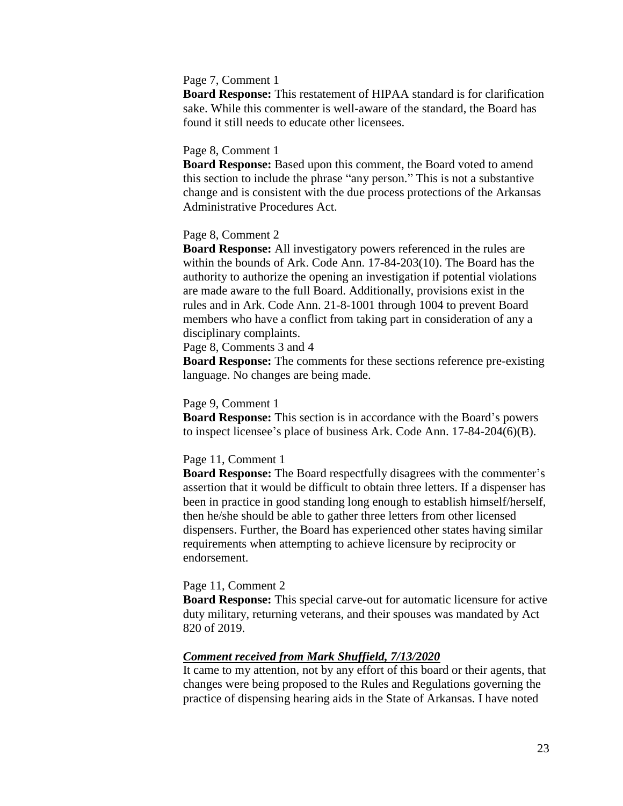### Page 7, Comment 1

**Board Response:** This restatement of HIPAA standard is for clarification sake. While this commenter is well-aware of the standard, the Board has found it still needs to educate other licensees.

#### Page 8, Comment 1

**Board Response:** Based upon this comment, the Board voted to amend this section to include the phrase "any person." This is not a substantive change and is consistent with the due process protections of the Arkansas Administrative Procedures Act.

### Page 8, Comment 2

**Board Response:** All investigatory powers referenced in the rules are within the bounds of Ark. Code Ann. 17-84-203(10). The Board has the authority to authorize the opening an investigation if potential violations are made aware to the full Board. Additionally, provisions exist in the rules and in Ark. Code Ann. 21-8-1001 through 1004 to prevent Board members who have a conflict from taking part in consideration of any a disciplinary complaints.

Page 8, Comments 3 and 4

**Board Response:** The comments for these sections reference pre-existing language. No changes are being made.

### Page 9, Comment 1

**Board Response:** This section is in accordance with the Board's powers to inspect licensee's place of business Ark. Code Ann. 17-84-204(6)(B).

#### Page 11, Comment 1

**Board Response:** The Board respectfully disagrees with the commenter's assertion that it would be difficult to obtain three letters. If a dispenser has been in practice in good standing long enough to establish himself/herself, then he/she should be able to gather three letters from other licensed dispensers. Further, the Board has experienced other states having similar requirements when attempting to achieve licensure by reciprocity or endorsement.

#### Page 11, Comment 2

**Board Response:** This special carve-out for automatic licensure for active duty military, returning veterans, and their spouses was mandated by Act 820 of 2019.

### *Comment received from Mark Shuffield, 7/13/2020*

It came to my attention, not by any effort of this board or their agents, that changes were being proposed to the Rules and Regulations governing the practice of dispensing hearing aids in the State of Arkansas. I have noted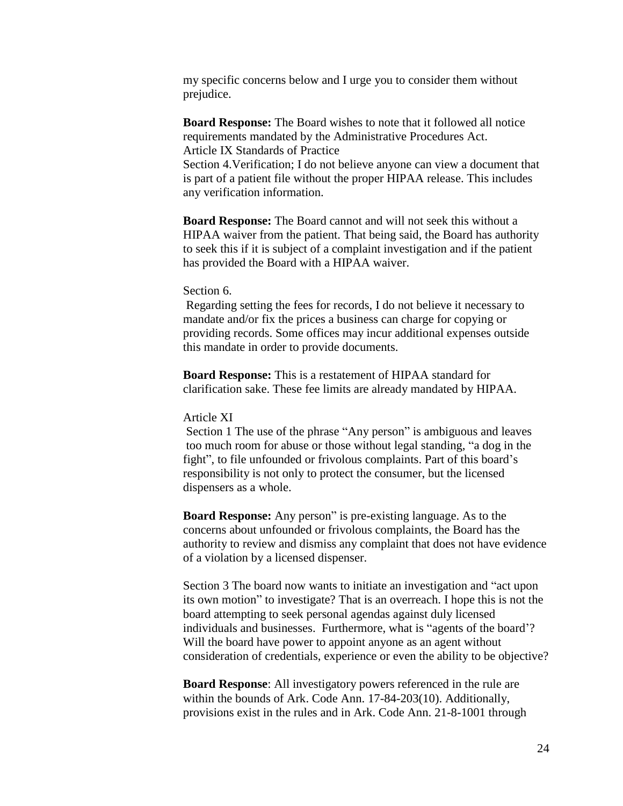my specific concerns below and I urge you to consider them without prejudice.

**Board Response:** The Board wishes to note that it followed all notice requirements mandated by the Administrative Procedures Act. Article IX Standards of Practice

Section 4.Verification; I do not believe anyone can view a document that is part of a patient file without the proper HIPAA release. This includes any verification information.

**Board Response:** The Board cannot and will not seek this without a HIPAA waiver from the patient. That being said, the Board has authority to seek this if it is subject of a complaint investigation and if the patient has provided the Board with a HIPAA waiver.

### Section 6.

Regarding setting the fees for records, I do not believe it necessary to mandate and/or fix the prices a business can charge for copying or providing records. Some offices may incur additional expenses outside this mandate in order to provide documents.

**Board Response:** This is a restatement of HIPAA standard for clarification sake. These fee limits are already mandated by HIPAA.

### Article XI

Section 1 The use of the phrase "Any person" is ambiguous and leaves too much room for abuse or those without legal standing, "a dog in the fight", to file unfounded or frivolous complaints. Part of this board's responsibility is not only to protect the consumer, but the licensed dispensers as a whole.

**Board Response:** Any person" is pre-existing language. As to the concerns about unfounded or frivolous complaints, the Board has the authority to review and dismiss any complaint that does not have evidence of a violation by a licensed dispenser.

Section 3 The board now wants to initiate an investigation and "act upon its own motion" to investigate? That is an overreach. I hope this is not the board attempting to seek personal agendas against duly licensed individuals and businesses. Furthermore, what is "agents of the board'? Will the board have power to appoint anyone as an agent without consideration of credentials, experience or even the ability to be objective?

**Board Response**: All investigatory powers referenced in the rule are within the bounds of Ark. Code Ann. 17-84-203(10). Additionally, provisions exist in the rules and in Ark. Code Ann. 21-8-1001 through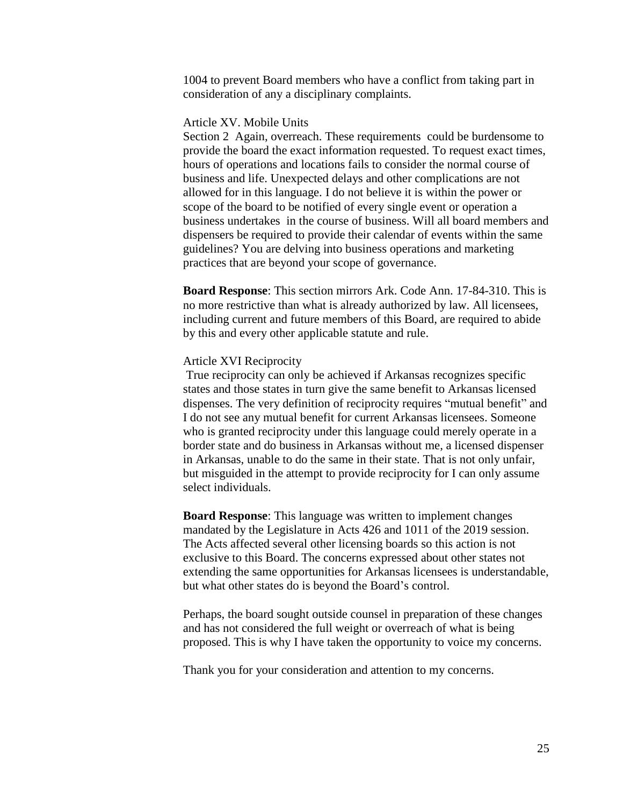1004 to prevent Board members who have a conflict from taking part in consideration of any a disciplinary complaints.

### Article XV. Mobile Units

Section 2 Again, overreach. These requirements could be burdensome to provide the board the exact information requested. To request exact times, hours of operations and locations fails to consider the normal course of business and life. Unexpected delays and other complications are not allowed for in this language. I do not believe it is within the power or scope of the board to be notified of every single event or operation a business undertakes in the course of business. Will all board members and dispensers be required to provide their calendar of events within the same guidelines? You are delving into business operations and marketing practices that are beyond your scope of governance.

**Board Response**: This section mirrors Ark. Code Ann. 17-84-310. This is no more restrictive than what is already authorized by law. All licensees, including current and future members of this Board, are required to abide by this and every other applicable statute and rule.

### Article XVI Reciprocity

True reciprocity can only be achieved if Arkansas recognizes specific states and those states in turn give the same benefit to Arkansas licensed dispenses. The very definition of reciprocity requires "mutual benefit" and I do not see any mutual benefit for current Arkansas licensees. Someone who is granted reciprocity under this language could merely operate in a border state and do business in Arkansas without me, a licensed dispenser in Arkansas, unable to do the same in their state. That is not only unfair, but misguided in the attempt to provide reciprocity for I can only assume select individuals.

**Board Response**: This language was written to implement changes mandated by the Legislature in Acts 426 and 1011 of the 2019 session. The Acts affected several other licensing boards so this action is not exclusive to this Board. The concerns expressed about other states not extending the same opportunities for Arkansas licensees is understandable, but what other states do is beyond the Board's control.

Perhaps, the board sought outside counsel in preparation of these changes and has not considered the full weight or overreach of what is being proposed. This is why I have taken the opportunity to voice my concerns.

Thank you for your consideration and attention to my concerns.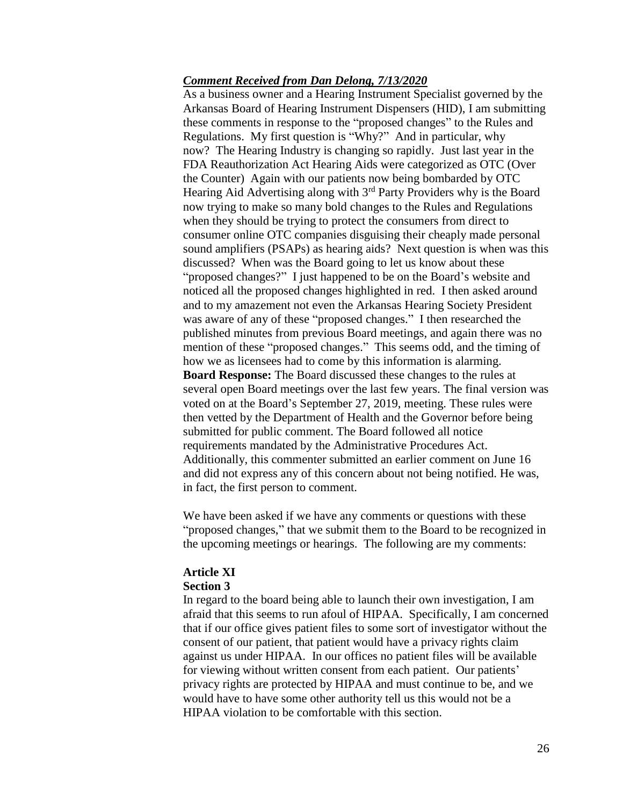# *Comment Received from Dan Delong, 7/13/2020*

As a business owner and a Hearing Instrument Specialist governed by the Arkansas Board of Hearing Instrument Dispensers (HID), I am submitting these comments in response to the "proposed changes" to the Rules and Regulations. My first question is "Why?" And in particular, why now? The Hearing Industry is changing so rapidly. Just last year in the FDA Reauthorization Act Hearing Aids were categorized as OTC (Over the Counter) Again with our patients now being bombarded by OTC Hearing Aid Advertising along with 3<sup>rd</sup> Party Providers why is the Board now trying to make so many bold changes to the Rules and Regulations when they should be trying to protect the consumers from direct to consumer online OTC companies disguising their cheaply made personal sound amplifiers (PSAPs) as hearing aids? Next question is when was this discussed? When was the Board going to let us know about these "proposed changes?" I just happened to be on the Board's website and noticed all the proposed changes highlighted in red. I then asked around and to my amazement not even the Arkansas Hearing Society President was aware of any of these "proposed changes." I then researched the published minutes from previous Board meetings, and again there was no mention of these "proposed changes." This seems odd, and the timing of how we as licensees had to come by this information is alarming. **Board Response:** The Board discussed these changes to the rules at several open Board meetings over the last few years. The final version was voted on at the Board's September 27, 2019, meeting. These rules were then vetted by the Department of Health and the Governor before being submitted for public comment. The Board followed all notice requirements mandated by the Administrative Procedures Act. Additionally, this commenter submitted an earlier comment on June 16 and did not express any of this concern about not being notified. He was, in fact, the first person to comment.

We have been asked if we have any comments or questions with these "proposed changes," that we submit them to the Board to be recognized in the upcoming meetings or hearings. The following are my comments:

# **Article XI**

# **Section 3**

In regard to the board being able to launch their own investigation, I am afraid that this seems to run afoul of HIPAA. Specifically, I am concerned that if our office gives patient files to some sort of investigator without the consent of our patient, that patient would have a privacy rights claim against us under HIPAA. In our offices no patient files will be available for viewing without written consent from each patient. Our patients' privacy rights are protected by HIPAA and must continue to be, and we would have to have some other authority tell us this would not be a HIPAA violation to be comfortable with this section.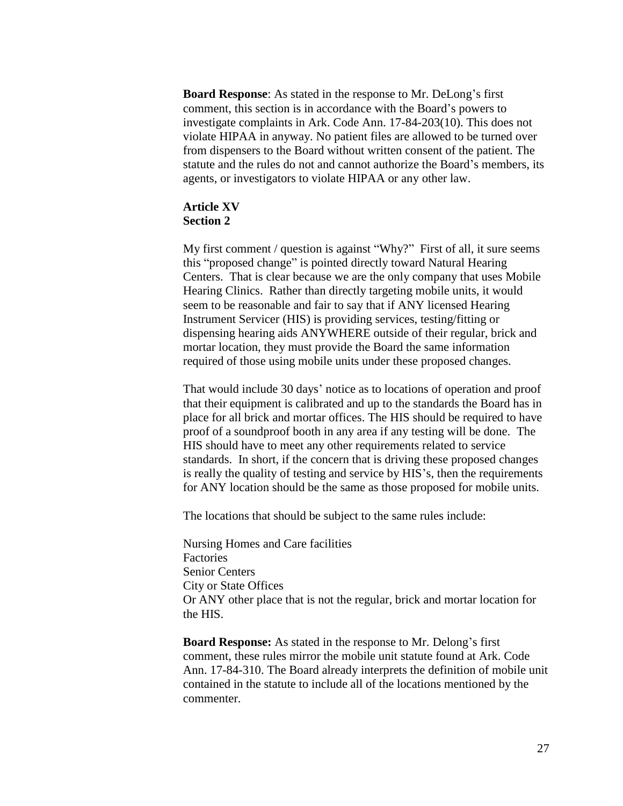**Board Response**: As stated in the response to Mr. DeLong's first comment, this section is in accordance with the Board's powers to investigate complaints in Ark. Code Ann. 17-84-203(10). This does not violate HIPAA in anyway. No patient files are allowed to be turned over from dispensers to the Board without written consent of the patient. The statute and the rules do not and cannot authorize the Board's members, its agents, or investigators to violate HIPAA or any other law.

# **Article XV Section 2**

My first comment / question is against "Why?" First of all, it sure seems this "proposed change" is pointed directly toward Natural Hearing Centers. That is clear because we are the only company that uses Mobile Hearing Clinics. Rather than directly targeting mobile units, it would seem to be reasonable and fair to say that if ANY licensed Hearing Instrument Servicer (HIS) is providing services, testing/fitting or dispensing hearing aids ANYWHERE outside of their regular, brick and mortar location, they must provide the Board the same information required of those using mobile units under these proposed changes.

That would include 30 days' notice as to locations of operation and proof that their equipment is calibrated and up to the standards the Board has in place for all brick and mortar offices. The HIS should be required to have proof of a soundproof booth in any area if any testing will be done. The HIS should have to meet any other requirements related to service standards. In short, if the concern that is driving these proposed changes is really the quality of testing and service by HIS's, then the requirements for ANY location should be the same as those proposed for mobile units.

The locations that should be subject to the same rules include:

Nursing Homes and Care facilities Factories Senior Centers City or State Offices Or ANY other place that is not the regular, brick and mortar location for the HIS.

**Board Response:** As stated in the response to Mr. Delong's first comment, these rules mirror the mobile unit statute found at Ark. Code Ann. 17-84-310. The Board already interprets the definition of mobile unit contained in the statute to include all of the locations mentioned by the commenter.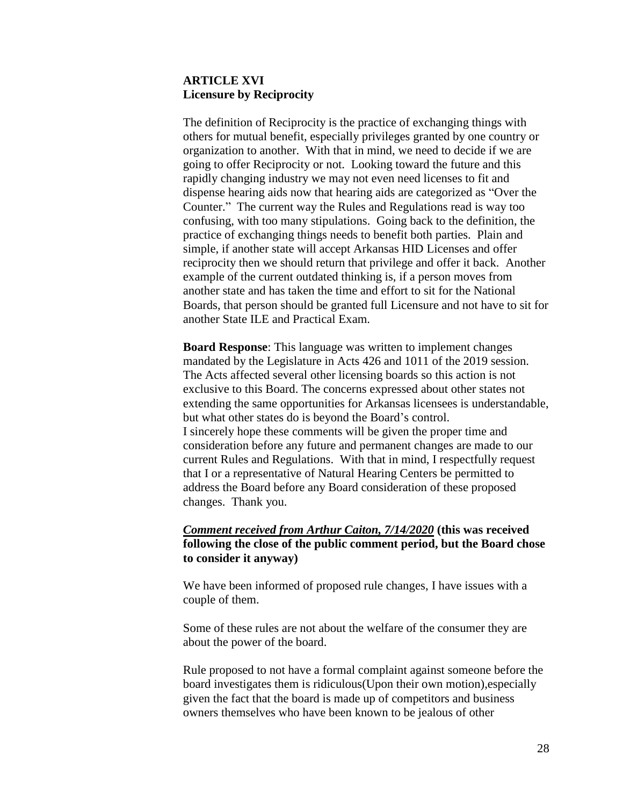# **ARTICLE XVI Licensure by Reciprocity**

The definition of Reciprocity is the practice of exchanging things with others for mutual benefit, especially privileges granted by one country or organization to another. With that in mind, we need to decide if we are going to offer Reciprocity or not. Looking toward the future and this rapidly changing industry we may not even need licenses to fit and dispense hearing aids now that hearing aids are categorized as "Over the Counter." The current way the Rules and Regulations read is way too confusing, with too many stipulations. Going back to the definition, the practice of exchanging things needs to benefit both parties. Plain and simple, if another state will accept Arkansas HID Licenses and offer reciprocity then we should return that privilege and offer it back. Another example of the current outdated thinking is, if a person moves from another state and has taken the time and effort to sit for the National Boards, that person should be granted full Licensure and not have to sit for another State ILE and Practical Exam.

**Board Response**: This language was written to implement changes mandated by the Legislature in Acts 426 and 1011 of the 2019 session. The Acts affected several other licensing boards so this action is not exclusive to this Board. The concerns expressed about other states not extending the same opportunities for Arkansas licensees is understandable, but what other states do is beyond the Board's control. I sincerely hope these comments will be given the proper time and consideration before any future and permanent changes are made to our current Rules and Regulations. With that in mind, I respectfully request that I or a representative of Natural Hearing Centers be permitted to address the Board before any Board consideration of these proposed changes. Thank you.

# *Comment received from Arthur Caiton, 7/14/2020* **(this was received following the close of the public comment period, but the Board chose to consider it anyway)**

We have been informed of proposed rule changes, I have issues with a couple of them.

Some of these rules are not about the welfare of the consumer they are about the power of the board.

Rule proposed to not have a formal complaint against someone before the board investigates them is ridiculous(Upon their own motion),especially given the fact that the board is made up of competitors and business owners themselves who have been known to be jealous of other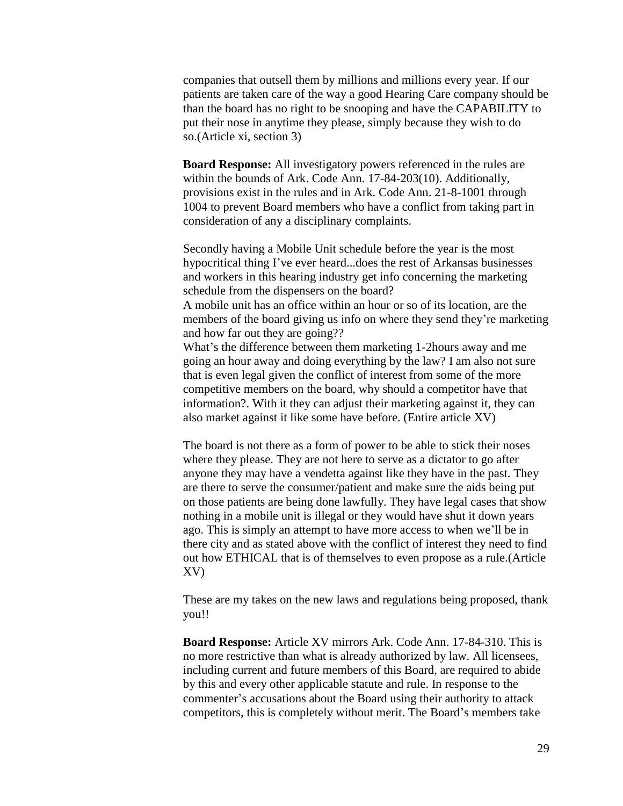companies that outsell them by millions and millions every year. If our patients are taken care of the way a good Hearing Care company should be than the board has no right to be snooping and have the CAPABILITY to put their nose in anytime they please, simply because they wish to do so.(Article xi, section 3)

**Board Response:** All investigatory powers referenced in the rules are within the bounds of Ark. Code Ann. 17-84-203(10). Additionally, provisions exist in the rules and in Ark. Code Ann. 21-8-1001 through 1004 to prevent Board members who have a conflict from taking part in consideration of any a disciplinary complaints.

Secondly having a Mobile Unit schedule before the year is the most hypocritical thing I've ever heard...does the rest of Arkansas businesses and workers in this hearing industry get info concerning the marketing schedule from the dispensers on the board?

A mobile unit has an office within an hour or so of its location, are the members of the board giving us info on where they send they're marketing and how far out they are going??

What's the difference between them marketing 1-2hours away and me going an hour away and doing everything by the law? I am also not sure that is even legal given the conflict of interest from some of the more competitive members on the board, why should a competitor have that information?. With it they can adjust their marketing against it, they can also market against it like some have before. (Entire article XV)

The board is not there as a form of power to be able to stick their noses where they please. They are not here to serve as a dictator to go after anyone they may have a vendetta against like they have in the past. They are there to serve the consumer/patient and make sure the aids being put on those patients are being done lawfully. They have legal cases that show nothing in a mobile unit is illegal or they would have shut it down years ago. This is simply an attempt to have more access to when we'll be in there city and as stated above with the conflict of interest they need to find out how ETHICAL that is of themselves to even propose as a rule.(Article XV)

These are my takes on the new laws and regulations being proposed, thank you!!

**Board Response:** Article XV mirrors Ark. Code Ann. 17-84-310. This is no more restrictive than what is already authorized by law. All licensees, including current and future members of this Board, are required to abide by this and every other applicable statute and rule. In response to the commenter's accusations about the Board using their authority to attack competitors, this is completely without merit. The Board's members take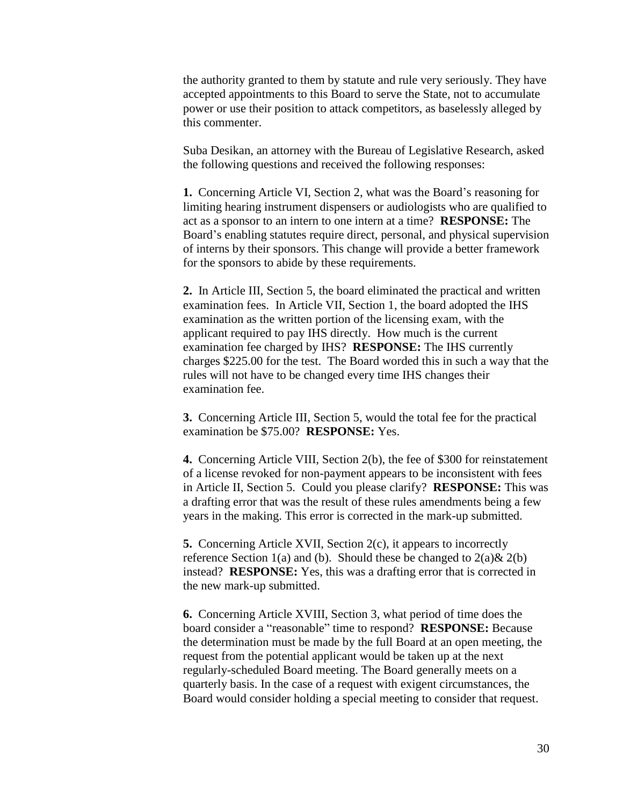the authority granted to them by statute and rule very seriously. They have accepted appointments to this Board to serve the State, not to accumulate power or use their position to attack competitors, as baselessly alleged by this commenter.

Suba Desikan, an attorney with the Bureau of Legislative Research, asked the following questions and received the following responses:

**1.** Concerning Article VI, Section 2, what was the Board's reasoning for limiting hearing instrument dispensers or audiologists who are qualified to act as a sponsor to an intern to one intern at a time? **RESPONSE:** The Board's enabling statutes require direct, personal, and physical supervision of interns by their sponsors. This change will provide a better framework for the sponsors to abide by these requirements.

**2.** In Article III, Section 5, the board eliminated the practical and written examination fees. In Article VII, Section 1, the board adopted the IHS examination as the written portion of the licensing exam, with the applicant required to pay IHS directly. How much is the current examination fee charged by IHS? **RESPONSE:** The IHS currently charges \$225.00 for the test. The Board worded this in such a way that the rules will not have to be changed every time IHS changes their examination fee.

**3.** Concerning Article III, Section 5, would the total fee for the practical examination be \$75.00? **RESPONSE:** Yes.

**4.** Concerning Article VIII, Section 2(b), the fee of \$300 for reinstatement of a license revoked for non-payment appears to be inconsistent with fees in Article II, Section 5. Could you please clarify? **RESPONSE:** This was a drafting error that was the result of these rules amendments being a few years in the making. This error is corrected in the mark-up submitted.

**5.** Concerning Article XVII, Section 2(c), it appears to incorrectly reference Section 1(a) and (b). Should these be changed to  $2(a) \& 2(b)$ instead? **RESPONSE:** Yes, this was a drafting error that is corrected in the new mark-up submitted.

**6.** Concerning Article XVIII, Section 3, what period of time does the board consider a "reasonable" time to respond? **RESPONSE:** Because the determination must be made by the full Board at an open meeting, the request from the potential applicant would be taken up at the next regularly-scheduled Board meeting. The Board generally meets on a quarterly basis. In the case of a request with exigent circumstances, the Board would consider holding a special meeting to consider that request.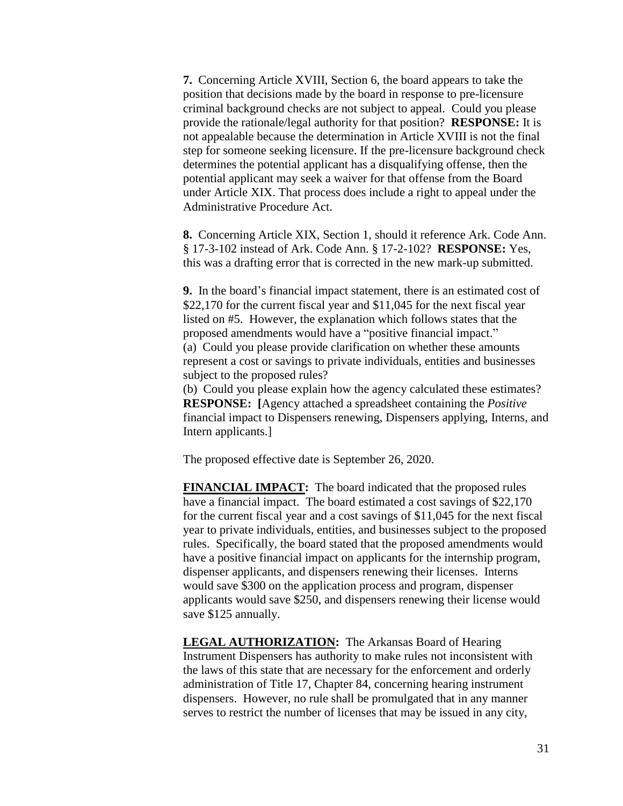**7.** Concerning Article XVIII, Section 6, the board appears to take the position that decisions made by the board in response to pre-licensure criminal background checks are not subject to appeal. Could you please provide the rationale/legal authority for that position? **RESPONSE:** It is not appealable because the determination in Article XVIII is not the final step for someone seeking licensure. If the pre-licensure background check determines the potential applicant has a disqualifying offense, then the potential applicant may seek a waiver for that offense from the Board under Article XIX. That process does include a right to appeal under the Administrative Procedure Act.

**8.** Concerning Article XIX, Section 1, should it reference Ark. Code Ann. § 17-3-102 instead of Ark. Code Ann. § 17-2-102? **RESPONSE:** Yes, this was a drafting error that is corrected in the new mark-up submitted.

**9.** In the board's financial impact statement, there is an estimated cost of \$22,170 for the current fiscal year and \$11,045 for the next fiscal year listed on #5. However, the explanation which follows states that the proposed amendments would have a "positive financial impact." (a) Could you please provide clarification on whether these amounts represent a cost or savings to private individuals, entities and businesses subject to the proposed rules?

(b) Could you please explain how the agency calculated these estimates? **RESPONSE: [**Agency attached a spreadsheet containing the *Positive* financial impact to Dispensers renewing, Dispensers applying, Interns, and Intern applicants.]

The proposed effective date is September 26, 2020.

**FINANCIAL IMPACT:** The board indicated that the proposed rules have a financial impact. The board estimated a cost savings of \$22,170 for the current fiscal year and a cost savings of \$11,045 for the next fiscal year to private individuals, entities, and businesses subject to the proposed rules. Specifically, the board stated that the proposed amendments would have a positive financial impact on applicants for the internship program, dispenser applicants, and dispensers renewing their licenses. Interns would save \$300 on the application process and program, dispenser applicants would save \$250, and dispensers renewing their license would save \$125 annually.

**LEGAL AUTHORIZATION:** The Arkansas Board of Hearing Instrument Dispensers has authority to make rules not inconsistent with the laws of this state that are necessary for the enforcement and orderly administration of Title 17, Chapter 84, concerning hearing instrument dispensers. However, no rule shall be promulgated that in any manner serves to restrict the number of licenses that may be issued in any city,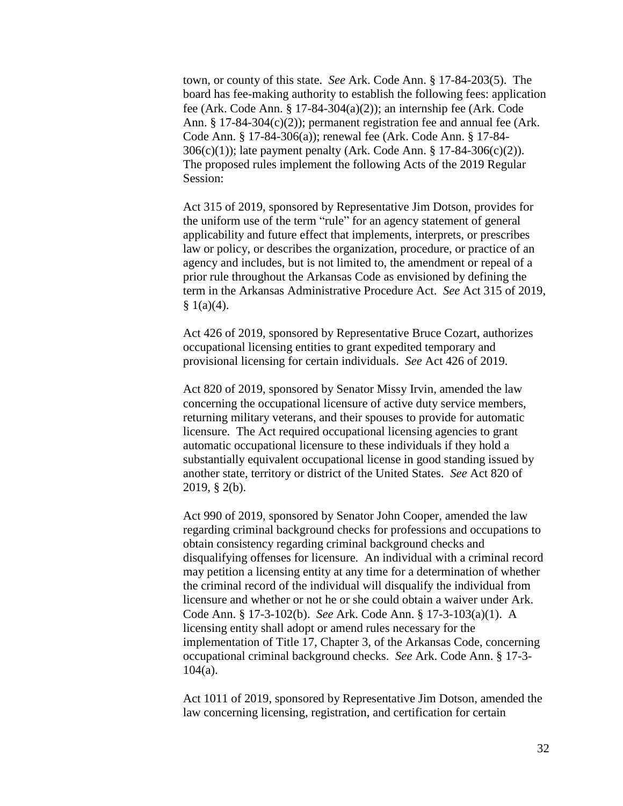town, or county of this state. *See* Ark. Code Ann. § 17-84-203(5). The board has fee-making authority to establish the following fees: application fee (Ark. Code Ann. § 17-84-304(a)(2)); an internship fee (Ark. Code Ann. § 17-84-304(c)(2)); permanent registration fee and annual fee (Ark. Code Ann. § 17-84-306(a)); renewal fee (Ark. Code Ann. § 17-84- 306(c)(1)); late payment penalty (Ark. Code Ann. § 17-84-306(c)(2)). The proposed rules implement the following Acts of the 2019 Regular Session:

Act 315 of 2019, sponsored by Representative Jim Dotson, provides for the uniform use of the term "rule" for an agency statement of general applicability and future effect that implements, interprets, or prescribes law or policy, or describes the organization, procedure, or practice of an agency and includes, but is not limited to, the amendment or repeal of a prior rule throughout the Arkansas Code as envisioned by defining the term in the Arkansas Administrative Procedure Act. *See* Act 315 of 2019,  $§ 1(a)(4).$ 

Act 426 of 2019, sponsored by Representative Bruce Cozart, authorizes occupational licensing entities to grant expedited temporary and provisional licensing for certain individuals. *See* Act 426 of 2019.

Act 820 of 2019, sponsored by Senator Missy Irvin, amended the law concerning the occupational licensure of active duty service members, returning military veterans, and their spouses to provide for automatic licensure. The Act required occupational licensing agencies to grant automatic occupational licensure to these individuals if they hold a substantially equivalent occupational license in good standing issued by another state, territory or district of the United States. *See* Act 820 of 2019, § 2(b).

Act 990 of 2019, sponsored by Senator John Cooper, amended the law regarding criminal background checks for professions and occupations to obtain consistency regarding criminal background checks and disqualifying offenses for licensure. An individual with a criminal record may petition a licensing entity at any time for a determination of whether the criminal record of the individual will disqualify the individual from licensure and whether or not he or she could obtain a waiver under Ark. Code Ann. § 17-3-102(b). *See* Ark. Code Ann. § 17-3-103(a)(1). A licensing entity shall adopt or amend rules necessary for the implementation of Title 17, Chapter 3, of the Arkansas Code, concerning occupational criminal background checks. *See* Ark. Code Ann. § 17-3- 104(a).

Act 1011 of 2019, sponsored by Representative Jim Dotson, amended the law concerning licensing, registration, and certification for certain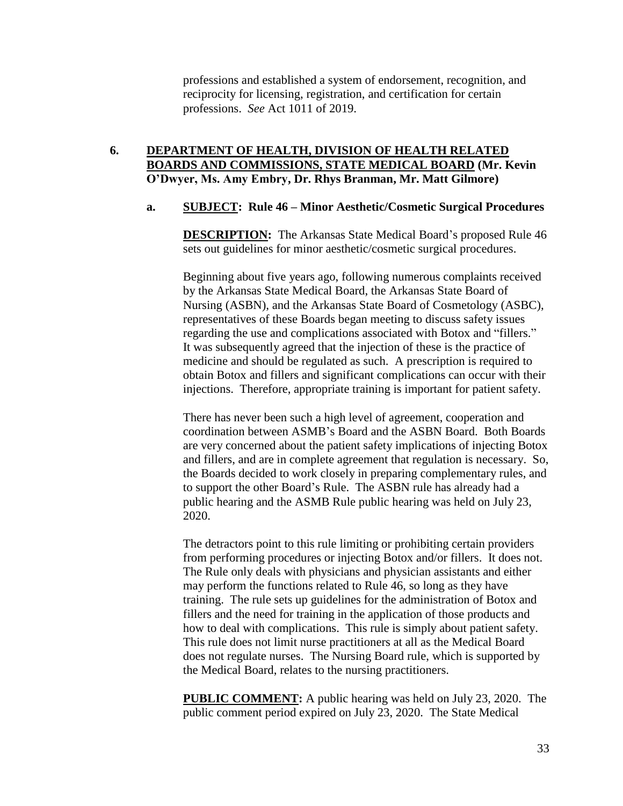professions and established a system of endorsement, recognition, and reciprocity for licensing, registration, and certification for certain professions. *See* Act 1011 of 2019.

# **6. DEPARTMENT OF HEALTH, DIVISION OF HEALTH RELATED BOARDS AND COMMISSIONS, STATE MEDICAL BOARD (Mr. Kevin O'Dwyer, Ms. Amy Embry, Dr. Rhys Branman, Mr. Matt Gilmore)**

# **a. SUBJECT: Rule 46 – Minor Aesthetic/Cosmetic Surgical Procedures**

**DESCRIPTION:** The Arkansas State Medical Board's proposed Rule 46 sets out guidelines for minor aesthetic/cosmetic surgical procedures.

Beginning about five years ago, following numerous complaints received by the Arkansas State Medical Board, the Arkansas State Board of Nursing (ASBN), and the Arkansas State Board of Cosmetology (ASBC), representatives of these Boards began meeting to discuss safety issues regarding the use and complications associated with Botox and "fillers." It was subsequently agreed that the injection of these is the practice of medicine and should be regulated as such. A prescription is required to obtain Botox and fillers and significant complications can occur with their injections. Therefore, appropriate training is important for patient safety.

There has never been such a high level of agreement, cooperation and coordination between ASMB's Board and the ASBN Board. Both Boards are very concerned about the patient safety implications of injecting Botox and fillers, and are in complete agreement that regulation is necessary. So, the Boards decided to work closely in preparing complementary rules, and to support the other Board's Rule. The ASBN rule has already had a public hearing and the ASMB Rule public hearing was held on July 23, 2020.

The detractors point to this rule limiting or prohibiting certain providers from performing procedures or injecting Botox and/or fillers. It does not. The Rule only deals with physicians and physician assistants and either may perform the functions related to Rule 46, so long as they have training. The rule sets up guidelines for the administration of Botox and fillers and the need for training in the application of those products and how to deal with complications. This rule is simply about patient safety. This rule does not limit nurse practitioners at all as the Medical Board does not regulate nurses. The Nursing Board rule, which is supported by the Medical Board, relates to the nursing practitioners.

**PUBLIC COMMENT:** A public hearing was held on July 23, 2020. The public comment period expired on July 23, 2020. The State Medical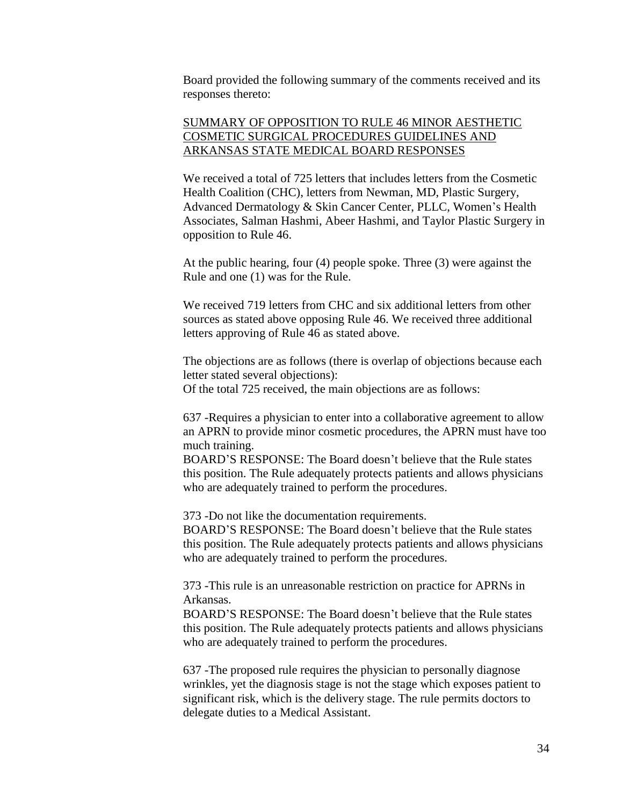Board provided the following summary of the comments received and its responses thereto:

# SUMMARY OF OPPOSITION TO RULE 46 MINOR AESTHETIC COSMETIC SURGICAL PROCEDURES GUIDELINES AND ARKANSAS STATE MEDICAL BOARD RESPONSES

We received a total of 725 letters that includes letters from the Cosmetic Health Coalition (CHC), letters from Newman, MD, Plastic Surgery, Advanced Dermatology & Skin Cancer Center, PLLC, Women's Health Associates, Salman Hashmi, Abeer Hashmi, and Taylor Plastic Surgery in opposition to Rule 46.

At the public hearing, four (4) people spoke. Three (3) were against the Rule and one (1) was for the Rule.

We received 719 letters from CHC and six additional letters from other sources as stated above opposing Rule 46. We received three additional letters approving of Rule 46 as stated above.

The objections are as follows (there is overlap of objections because each letter stated several objections):

Of the total 725 received, the main objections are as follows:

637 -Requires a physician to enter into a collaborative agreement to allow an APRN to provide minor cosmetic procedures, the APRN must have too much training.

BOARD'S RESPONSE: The Board doesn't believe that the Rule states this position. The Rule adequately protects patients and allows physicians who are adequately trained to perform the procedures.

373 -Do not like the documentation requirements.

BOARD'S RESPONSE: The Board doesn't believe that the Rule states this position. The Rule adequately protects patients and allows physicians who are adequately trained to perform the procedures.

373 -This rule is an unreasonable restriction on practice for APRNs in Arkansas.

BOARD'S RESPONSE: The Board doesn't believe that the Rule states this position. The Rule adequately protects patients and allows physicians who are adequately trained to perform the procedures.

637 -The proposed rule requires the physician to personally diagnose wrinkles, yet the diagnosis stage is not the stage which exposes patient to significant risk, which is the delivery stage. The rule permits doctors to delegate duties to a Medical Assistant.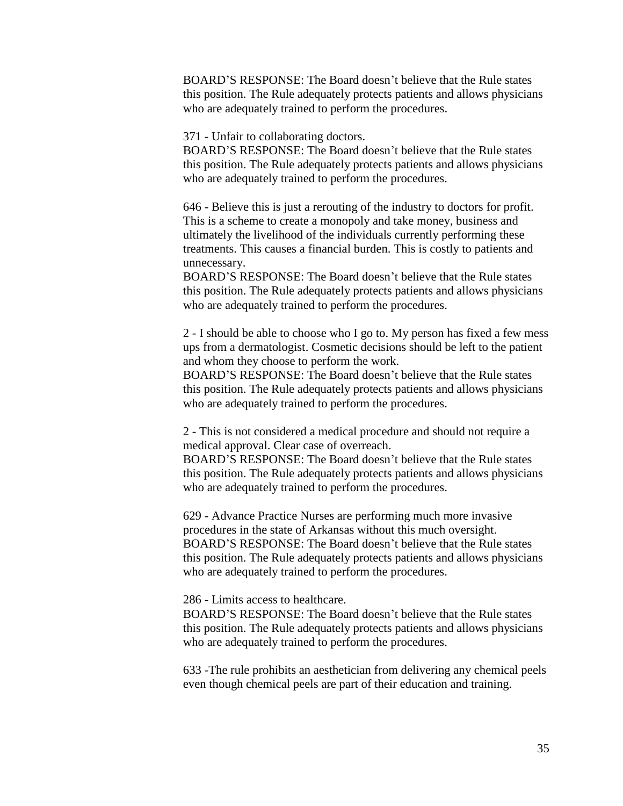BOARD'S RESPONSE: The Board doesn't believe that the Rule states this position. The Rule adequately protects patients and allows physicians who are adequately trained to perform the procedures.

371 - Unfair to collaborating doctors.

BOARD'S RESPONSE: The Board doesn't believe that the Rule states this position. The Rule adequately protects patients and allows physicians who are adequately trained to perform the procedures.

646 - Believe this is just a rerouting of the industry to doctors for profit. This is a scheme to create a monopoly and take money, business and ultimately the livelihood of the individuals currently performing these treatments. This causes a financial burden. This is costly to patients and unnecessary.

BOARD'S RESPONSE: The Board doesn't believe that the Rule states this position. The Rule adequately protects patients and allows physicians who are adequately trained to perform the procedures.

2 - I should be able to choose who I go to. My person has fixed a few mess ups from a dermatologist. Cosmetic decisions should be left to the patient and whom they choose to perform the work.

BOARD'S RESPONSE: The Board doesn't believe that the Rule states this position. The Rule adequately protects patients and allows physicians who are adequately trained to perform the procedures.

2 - This is not considered a medical procedure and should not require a medical approval. Clear case of overreach.

BOARD'S RESPONSE: The Board doesn't believe that the Rule states this position. The Rule adequately protects patients and allows physicians who are adequately trained to perform the procedures.

629 - Advance Practice Nurses are performing much more invasive procedures in the state of Arkansas without this much oversight. BOARD'S RESPONSE: The Board doesn't believe that the Rule states this position. The Rule adequately protects patients and allows physicians who are adequately trained to perform the procedures.

286 - Limits access to healthcare.

BOARD'S RESPONSE: The Board doesn't believe that the Rule states this position. The Rule adequately protects patients and allows physicians who are adequately trained to perform the procedures.

633 -The rule prohibits an aesthetician from delivering any chemical peels even though chemical peels are part of their education and training.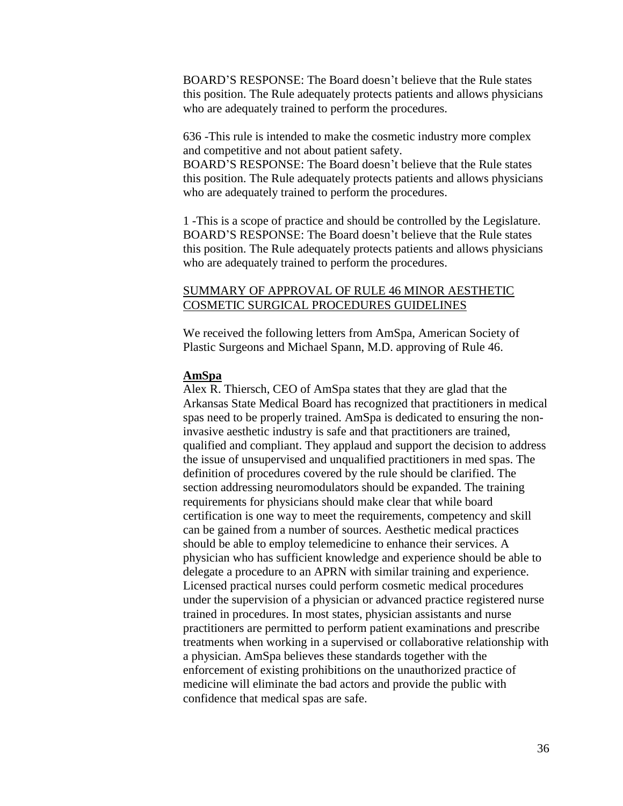BOARD'S RESPONSE: The Board doesn't believe that the Rule states this position. The Rule adequately protects patients and allows physicians who are adequately trained to perform the procedures.

636 -This rule is intended to make the cosmetic industry more complex and competitive and not about patient safety.

BOARD'S RESPONSE: The Board doesn't believe that the Rule states this position. The Rule adequately protects patients and allows physicians who are adequately trained to perform the procedures.

1 -This is a scope of practice and should be controlled by the Legislature. BOARD'S RESPONSE: The Board doesn't believe that the Rule states this position. The Rule adequately protects patients and allows physicians who are adequately trained to perform the procedures.

# SUMMARY OF APPROVAL OF RULE 46 MINOR AESTHETIC COSMETIC SURGICAL PROCEDURES GUIDELINES

We received the following letters from AmSpa, American Society of Plastic Surgeons and Michael Spann, M.D. approving of Rule 46.

### **AmSpa**

Alex R. Thiersch, CEO of AmSpa states that they are glad that the Arkansas State Medical Board has recognized that practitioners in medical spas need to be properly trained. AmSpa is dedicated to ensuring the noninvasive aesthetic industry is safe and that practitioners are trained, qualified and compliant. They applaud and support the decision to address the issue of unsupervised and unqualified practitioners in med spas. The definition of procedures covered by the rule should be clarified. The section addressing neuromodulators should be expanded. The training requirements for physicians should make clear that while board certification is one way to meet the requirements, competency and skill can be gained from a number of sources. Aesthetic medical practices should be able to employ telemedicine to enhance their services. A physician who has sufficient knowledge and experience should be able to delegate a procedure to an APRN with similar training and experience. Licensed practical nurses could perform cosmetic medical procedures under the supervision of a physician or advanced practice registered nurse trained in procedures. In most states, physician assistants and nurse practitioners are permitted to perform patient examinations and prescribe treatments when working in a supervised or collaborative relationship with a physician. AmSpa believes these standards together with the enforcement of existing prohibitions on the unauthorized practice of medicine will eliminate the bad actors and provide the public with confidence that medical spas are safe.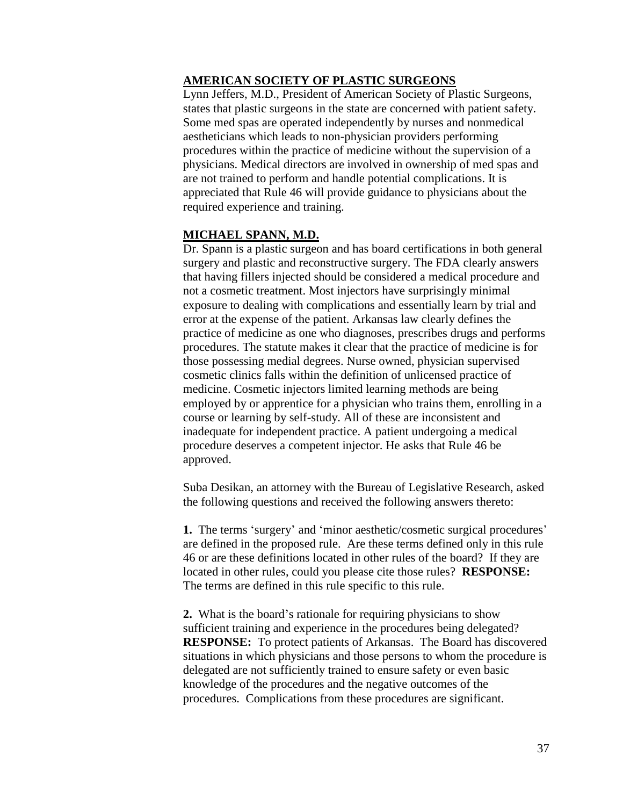## **AMERICAN SOCIETY OF PLASTIC SURGEONS**

Lynn Jeffers, M.D., President of American Society of Plastic Surgeons, states that plastic surgeons in the state are concerned with patient safety. Some med spas are operated independently by nurses and nonmedical aestheticians which leads to non-physician providers performing procedures within the practice of medicine without the supervision of a physicians. Medical directors are involved in ownership of med spas and are not trained to perform and handle potential complications. It is appreciated that Rule 46 will provide guidance to physicians about the required experience and training.

#### **MICHAEL SPANN, M.D.**

Dr. Spann is a plastic surgeon and has board certifications in both general surgery and plastic and reconstructive surgery. The FDA clearly answers that having fillers injected should be considered a medical procedure and not a cosmetic treatment. Most injectors have surprisingly minimal exposure to dealing with complications and essentially learn by trial and error at the expense of the patient. Arkansas law clearly defines the practice of medicine as one who diagnoses, prescribes drugs and performs procedures. The statute makes it clear that the practice of medicine is for those possessing medial degrees. Nurse owned, physician supervised cosmetic clinics falls within the definition of unlicensed practice of medicine. Cosmetic injectors limited learning methods are being employed by or apprentice for a physician who trains them, enrolling in a course or learning by self-study. All of these are inconsistent and inadequate for independent practice. A patient undergoing a medical procedure deserves a competent injector. He asks that Rule 46 be approved.

Suba Desikan, an attorney with the Bureau of Legislative Research, asked the following questions and received the following answers thereto:

**1.** The terms 'surgery' and 'minor aesthetic/cosmetic surgical procedures' are defined in the proposed rule. Are these terms defined only in this rule 46 or are these definitions located in other rules of the board? If they are located in other rules, could you please cite those rules? **RESPONSE:**  The terms are defined in this rule specific to this rule.

**2.** What is the board's rationale for requiring physicians to show sufficient training and experience in the procedures being delegated? **RESPONSE:** To protect patients of Arkansas. The Board has discovered situations in which physicians and those persons to whom the procedure is delegated are not sufficiently trained to ensure safety or even basic knowledge of the procedures and the negative outcomes of the procedures. Complications from these procedures are significant.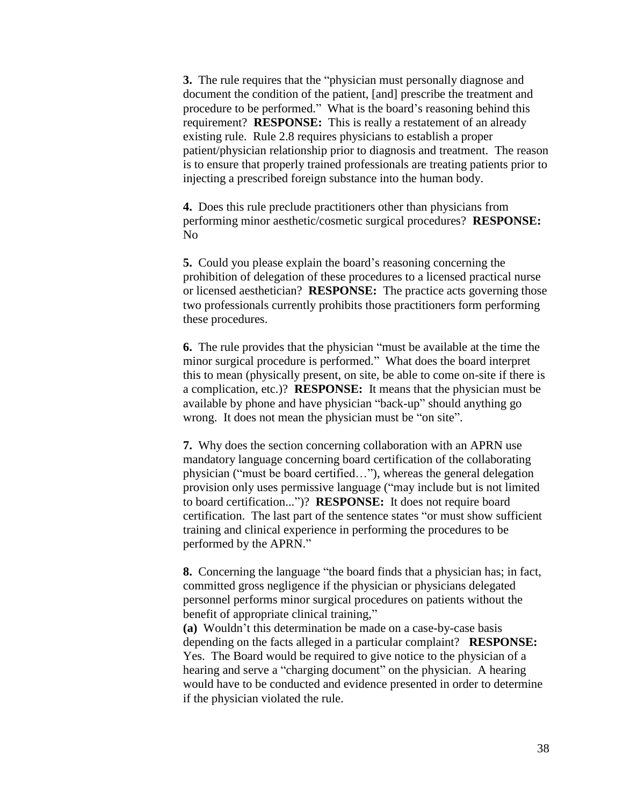**3.** The rule requires that the "physician must personally diagnose and document the condition of the patient, [and] prescribe the treatment and procedure to be performed." What is the board's reasoning behind this requirement? **RESPONSE:** This is really a restatement of an already existing rule. Rule 2.8 requires physicians to establish a proper patient/physician relationship prior to diagnosis and treatment. The reason is to ensure that properly trained professionals are treating patients prior to injecting a prescribed foreign substance into the human body.

**4.** Does this rule preclude practitioners other than physicians from performing minor aesthetic/cosmetic surgical procedures? **RESPONSE:**  No

**5.** Could you please explain the board's reasoning concerning the prohibition of delegation of these procedures to a licensed practical nurse or licensed aesthetician? **RESPONSE:** The practice acts governing those two professionals currently prohibits those practitioners form performing these procedures.

**6.** The rule provides that the physician "must be available at the time the minor surgical procedure is performed." What does the board interpret this to mean (physically present, on site, be able to come on-site if there is a complication, etc.)? **RESPONSE:** It means that the physician must be available by phone and have physician "back-up" should anything go wrong. It does not mean the physician must be "on site".

**7.** Why does the section concerning collaboration with an APRN use mandatory language concerning board certification of the collaborating physician ("must be board certified…"), whereas the general delegation provision only uses permissive language ("may include but is not limited to board certification...")? **RESPONSE:** It does not require board certification. The last part of the sentence states "or must show sufficient training and clinical experience in performing the procedures to be performed by the APRN."

**8.** Concerning the language "the board finds that a physician has; in fact, committed gross negligence if the physician or physicians delegated personnel performs minor surgical procedures on patients without the benefit of appropriate clinical training,"

**(a)** Wouldn't this determination be made on a case-by-case basis depending on the facts alleged in a particular complaint? **RESPONSE:**  Yes. The Board would be required to give notice to the physician of a hearing and serve a "charging document" on the physician. A hearing would have to be conducted and evidence presented in order to determine if the physician violated the rule.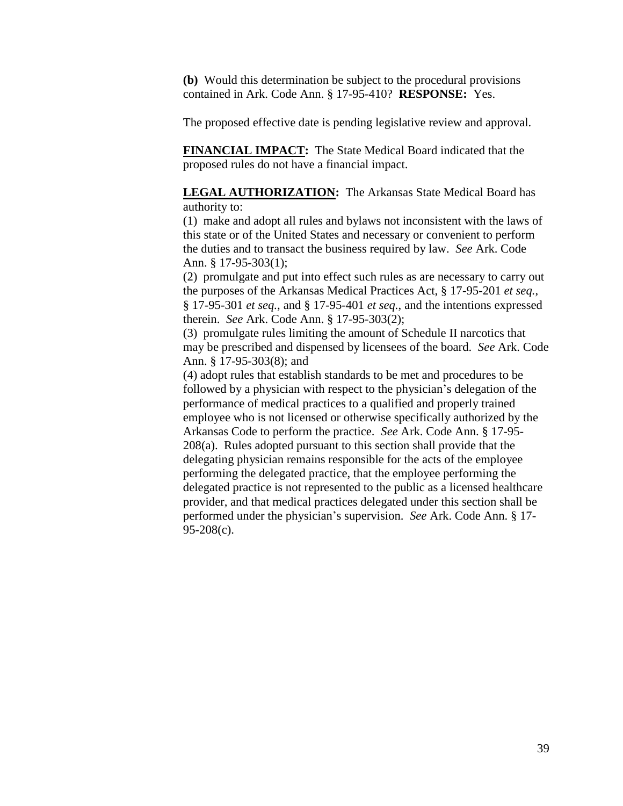**(b)** Would this determination be subject to the procedural provisions contained in Ark. Code Ann. § 17-95-410? **RESPONSE:** Yes.

The proposed effective date is pending legislative review and approval.

**FINANCIAL IMPACT:** The State Medical Board indicated that the proposed rules do not have a financial impact.

**LEGAL AUTHORIZATION:** The Arkansas State Medical Board has authority to:

(1) make and adopt all rules and bylaws not inconsistent with the laws of this state or of the United States and necessary or convenient to perform the duties and to transact the business required by law. *See* Ark. Code Ann. § 17-95-303(1);

(2) promulgate and put into effect such rules as are necessary to carry out the purposes of the Arkansas Medical Practices Act, § 17-95-201 *et seq.*, § 17-95-301 *et seq.*, and § 17-95-401 *et seq.*, and the intentions expressed therein. *See* Ark. Code Ann. § 17-95-303(2);

(3) promulgate rules limiting the amount of Schedule II narcotics that may be prescribed and dispensed by licensees of the board. *See* Ark. Code Ann. § 17-95-303(8); and

(4) adopt rules that establish standards to be met and procedures to be followed by a physician with respect to the physician's delegation of the performance of medical practices to a qualified and properly trained employee who is not licensed or otherwise specifically authorized by the Arkansas Code to perform the practice. *See* Ark. Code Ann. § 17-95- 208(a). Rules adopted pursuant to this section shall provide that the delegating physician remains responsible for the acts of the employee performing the delegated practice, that the employee performing the delegated practice is not represented to the public as a licensed healthcare provider, and that medical practices delegated under this section shall be performed under the physician's supervision. *See* Ark. Code Ann. § 17- 95-208(c).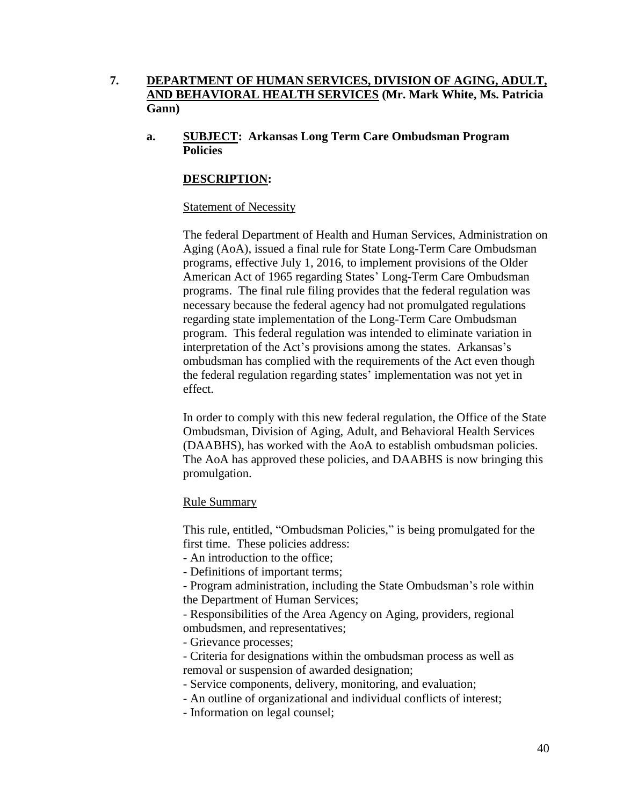# **7. DEPARTMENT OF HUMAN SERVICES, DIVISION OF AGING, ADULT, AND BEHAVIORAL HEALTH SERVICES (Mr. Mark White, Ms. Patricia Gann)**

**a. SUBJECT: Arkansas Long Term Care Ombudsman Program Policies**

# **DESCRIPTION:**

### Statement of Necessity

The federal Department of Health and Human Services, Administration on Aging (AoA), issued a final rule for State Long-Term Care Ombudsman programs, effective July 1, 2016, to implement provisions of the Older American Act of 1965 regarding States' Long-Term Care Ombudsman programs. The final rule filing provides that the federal regulation was necessary because the federal agency had not promulgated regulations regarding state implementation of the Long-Term Care Ombudsman program. This federal regulation was intended to eliminate variation in interpretation of the Act's provisions among the states. Arkansas's ombudsman has complied with the requirements of the Act even though the federal regulation regarding states' implementation was not yet in effect.

In order to comply with this new federal regulation, the Office of the State Ombudsman, Division of Aging, Adult, and Behavioral Health Services (DAABHS), has worked with the AoA to establish ombudsman policies. The AoA has approved these policies, and DAABHS is now bringing this promulgation.

### Rule Summary

This rule, entitled, "Ombudsman Policies," is being promulgated for the first time. These policies address:

- An introduction to the office;

- Definitions of important terms;

- Program administration, including the State Ombudsman's role within the Department of Human Services;

- Responsibilities of the Area Agency on Aging, providers, regional ombudsmen, and representatives;

- Grievance processes;

- Criteria for designations within the ombudsman process as well as removal or suspension of awarded designation;

- Service components, delivery, monitoring, and evaluation;

- An outline of organizational and individual conflicts of interest;

- Information on legal counsel;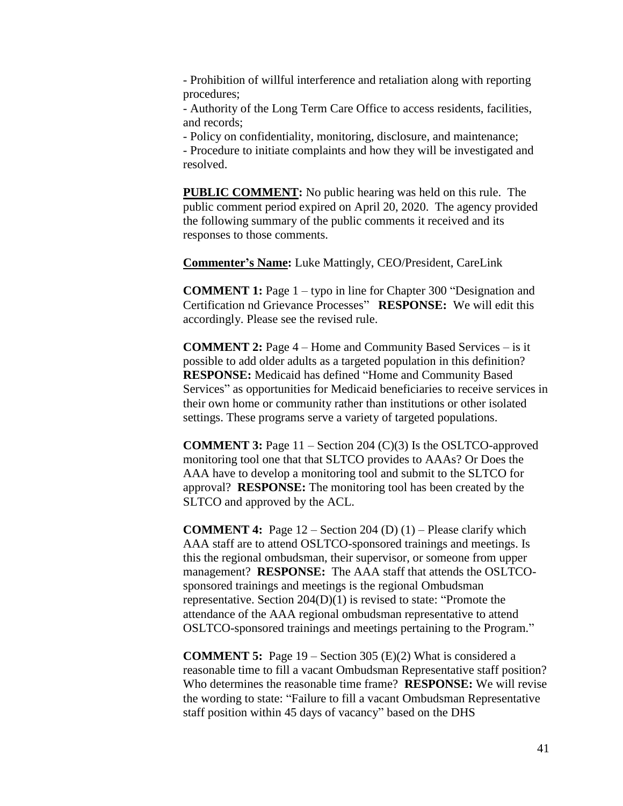- Prohibition of willful interference and retaliation along with reporting procedures;

- Authority of the Long Term Care Office to access residents, facilities, and records;

- Policy on confidentiality, monitoring, disclosure, and maintenance;

- Procedure to initiate complaints and how they will be investigated and resolved.

**PUBLIC COMMENT:** No public hearing was held on this rule. The public comment period expired on April 20, 2020. The agency provided the following summary of the public comments it received and its responses to those comments.

**Commenter's Name:** Luke Mattingly, CEO/President, CareLink

**COMMENT 1:** Page 1 – typo in line for Chapter 300 "Designation and Certification nd Grievance Processes" **RESPONSE:** We will edit this accordingly. Please see the revised rule.

**COMMENT 2:** Page 4 – Home and Community Based Services – is it possible to add older adults as a targeted population in this definition? **RESPONSE:** Medicaid has defined "Home and Community Based Services" as opportunities for Medicaid beneficiaries to receive services in their own home or community rather than institutions or other isolated settings. These programs serve a variety of targeted populations.

**COMMENT 3:** Page 11 – Section 204 (C)(3) Is the OSLTCO-approved monitoring tool one that that SLTCO provides to AAAs? Or Does the AAA have to develop a monitoring tool and submit to the SLTCO for approval? **RESPONSE:** The monitoring tool has been created by the SLTCO and approved by the ACL.

**COMMENT 4:** Page 12 – Section 204 (D) (1) – Please clarify which AAA staff are to attend OSLTCO-sponsored trainings and meetings. Is this the regional ombudsman, their supervisor, or someone from upper management? **RESPONSE:** The AAA staff that attends the OSLTCOsponsored trainings and meetings is the regional Ombudsman representative. Section 204(D)(1) is revised to state: "Promote the attendance of the AAA regional ombudsman representative to attend OSLTCO-sponsored trainings and meetings pertaining to the Program."

**COMMENT 5:** Page 19 – Section 305 (E)(2) What is considered a reasonable time to fill a vacant Ombudsman Representative staff position? Who determines the reasonable time frame? **RESPONSE:** We will revise the wording to state: "Failure to fill a vacant Ombudsman Representative staff position within 45 days of vacancy" based on the DHS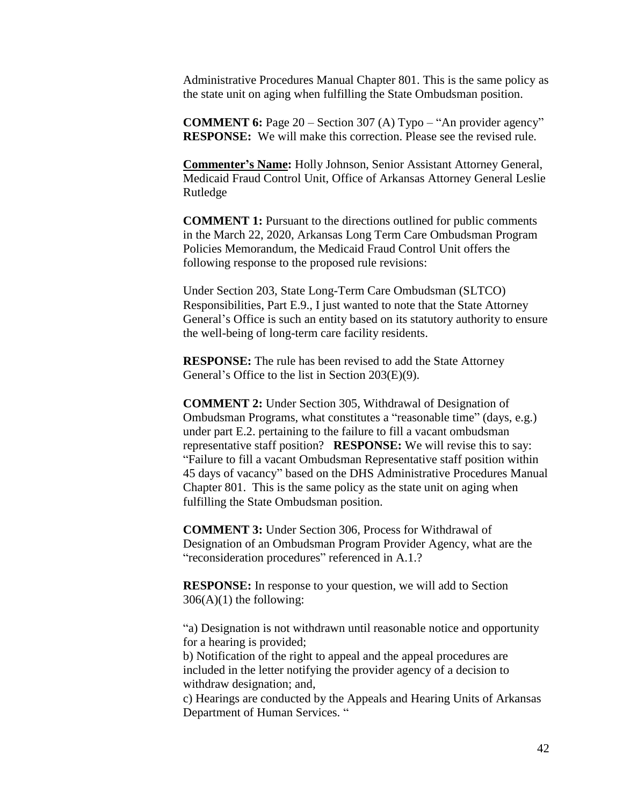Administrative Procedures Manual Chapter 801. This is the same policy as the state unit on aging when fulfilling the State Ombudsman position.

**COMMENT 6:** Page 20 – Section 307 (A) Typo – "An provider agency" **RESPONSE:** We will make this correction. Please see the revised rule.

**Commenter's Name:** Holly Johnson, Senior Assistant Attorney General, Medicaid Fraud Control Unit, Office of Arkansas Attorney General Leslie Rutledge

**COMMENT 1:** Pursuant to the directions outlined for public comments in the March 22, 2020, Arkansas Long Term Care Ombudsman Program Policies Memorandum, the Medicaid Fraud Control Unit offers the following response to the proposed rule revisions:

Under Section 203, State Long-Term Care Ombudsman (SLTCO) Responsibilities, Part E.9., I just wanted to note that the State Attorney General's Office is such an entity based on its statutory authority to ensure the well-being of long-term care facility residents.

**RESPONSE:** The rule has been revised to add the State Attorney General's Office to the list in Section 203(E)(9).

**COMMENT 2:** Under Section 305, Withdrawal of Designation of Ombudsman Programs, what constitutes a "reasonable time" (days, e.g.) under part E.2. pertaining to the failure to fill a vacant ombudsman representative staff position? **RESPONSE:** We will revise this to say: "Failure to fill a vacant Ombudsman Representative staff position within 45 days of vacancy" based on the DHS Administrative Procedures Manual Chapter 801. This is the same policy as the state unit on aging when fulfilling the State Ombudsman position.

**COMMENT 3:** Under Section 306, Process for Withdrawal of Designation of an Ombudsman Program Provider Agency, what are the "reconsideration procedures" referenced in A.1.?

**RESPONSE:** In response to your question, we will add to Section  $306(A)(1)$  the following:

"a) Designation is not withdrawn until reasonable notice and opportunity for a hearing is provided;

b) Notification of the right to appeal and the appeal procedures are included in the letter notifying the provider agency of a decision to withdraw designation; and,

c) Hearings are conducted by the Appeals and Hearing Units of Arkansas Department of Human Services. "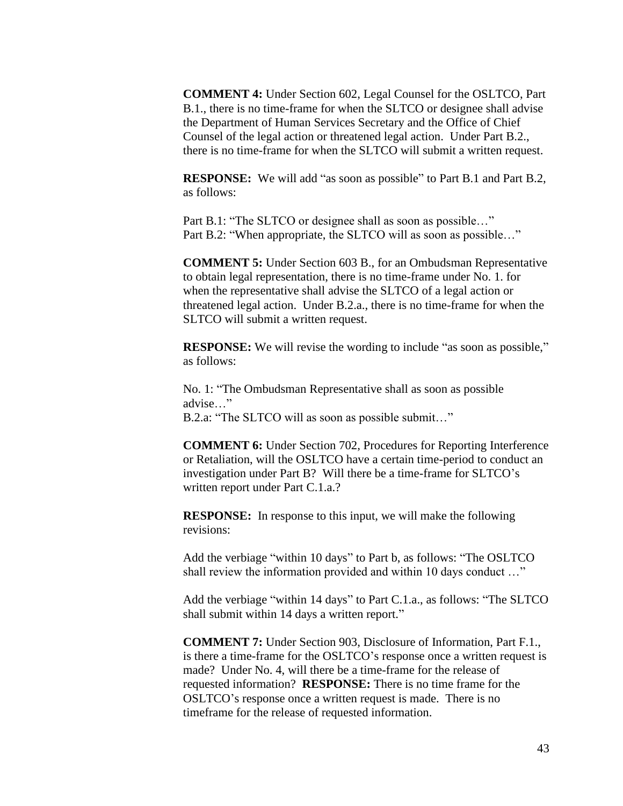**COMMENT 4:** Under Section 602, Legal Counsel for the OSLTCO, Part B.1., there is no time-frame for when the SLTCO or designee shall advise the Department of Human Services Secretary and the Office of Chief Counsel of the legal action or threatened legal action. Under Part B.2., there is no time-frame for when the SLTCO will submit a written request.

**RESPONSE:** We will add "as soon as possible" to Part B.1 and Part B.2, as follows:

Part B.1: "The SLTCO or designee shall as soon as possible…" Part B.2: "When appropriate, the SLTCO will as soon as possible…"

**COMMENT 5:** Under Section 603 B., for an Ombudsman Representative to obtain legal representation, there is no time-frame under No. 1. for when the representative shall advise the SLTCO of a legal action or threatened legal action. Under B.2.a., there is no time-frame for when the SLTCO will submit a written request.

**RESPONSE:** We will revise the wording to include "as soon as possible," as follows:

No. 1: "The Ombudsman Representative shall as soon as possible advise…" B.2.a: "The SLTCO will as soon as possible submit…"

**COMMENT 6:** Under Section 702, Procedures for Reporting Interference or Retaliation, will the OSLTCO have a certain time-period to conduct an investigation under Part B? Will there be a time-frame for SLTCO's written report under Part C.1.a.?

**RESPONSE:** In response to this input, we will make the following revisions:

Add the verbiage "within 10 days" to Part b, as follows: "The OSLTCO shall review the information provided and within 10 days conduct …"

Add the verbiage "within 14 days" to Part C.1.a., as follows: "The SLTCO shall submit within 14 days a written report."

**COMMENT 7:** Under Section 903, Disclosure of Information, Part F.1., is there a time-frame for the OSLTCO's response once a written request is made? Under No. 4, will there be a time-frame for the release of requested information? **RESPONSE:** There is no time frame for the OSLTCO's response once a written request is made. There is no timeframe for the release of requested information.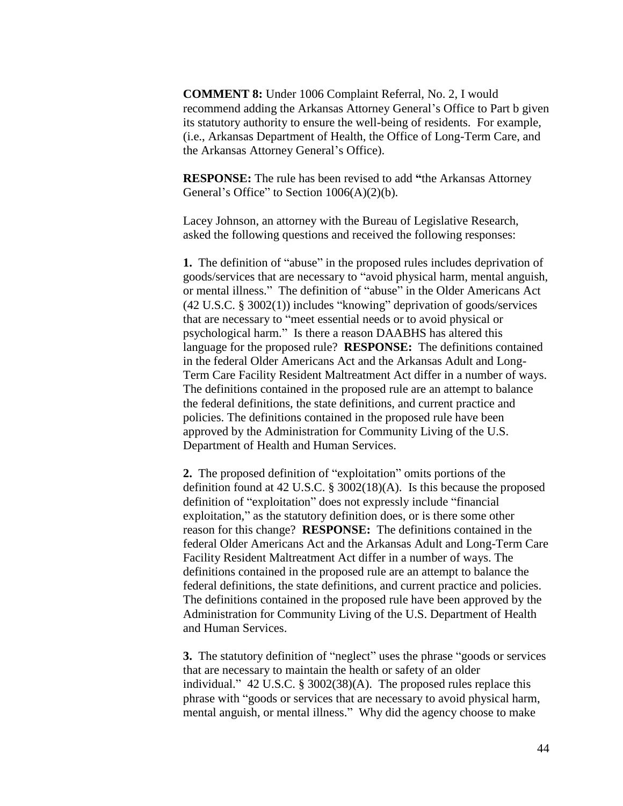**COMMENT 8:** Under 1006 Complaint Referral, No. 2, I would recommend adding the Arkansas Attorney General's Office to Part b given its statutory authority to ensure the well-being of residents. For example, (i.e., Arkansas Department of Health, the Office of Long-Term Care, and the Arkansas Attorney General's Office).

**RESPONSE:** The rule has been revised to add **"**the Arkansas Attorney General's Office" to Section  $1006(A)(2)(b)$ .

Lacey Johnson, an attorney with the Bureau of Legislative Research, asked the following questions and received the following responses:

**1.** The definition of "abuse" in the proposed rules includes deprivation of goods/services that are necessary to "avoid physical harm, mental anguish, or mental illness." The definition of "abuse" in the Older Americans Act (42 U.S.C. § 3002(1)) includes "knowing" deprivation of goods/services that are necessary to "meet essential needs or to avoid physical or psychological harm." Is there a reason DAABHS has altered this language for the proposed rule? **RESPONSE:** The definitions contained in the federal Older Americans Act and the Arkansas Adult and Long-Term Care Facility Resident Maltreatment Act differ in a number of ways. The definitions contained in the proposed rule are an attempt to balance the federal definitions, the state definitions, and current practice and policies. The definitions contained in the proposed rule have been approved by the Administration for Community Living of the U.S. Department of Health and Human Services.

**2.** The proposed definition of "exploitation" omits portions of the definition found at 42 U.S.C. § 3002(18)(A). Is this because the proposed definition of "exploitation" does not expressly include "financial exploitation," as the statutory definition does, or is there some other reason for this change? **RESPONSE:** The definitions contained in the federal Older Americans Act and the Arkansas Adult and Long-Term Care Facility Resident Maltreatment Act differ in a number of ways. The definitions contained in the proposed rule are an attempt to balance the federal definitions, the state definitions, and current practice and policies. The definitions contained in the proposed rule have been approved by the Administration for Community Living of the U.S. Department of Health and Human Services.

**3.** The statutory definition of "neglect" uses the phrase "goods or services that are necessary to maintain the health or safety of an older individual." 42 U.S.C. § 3002(38)(A). The proposed rules replace this phrase with "goods or services that are necessary to avoid physical harm, mental anguish, or mental illness." Why did the agency choose to make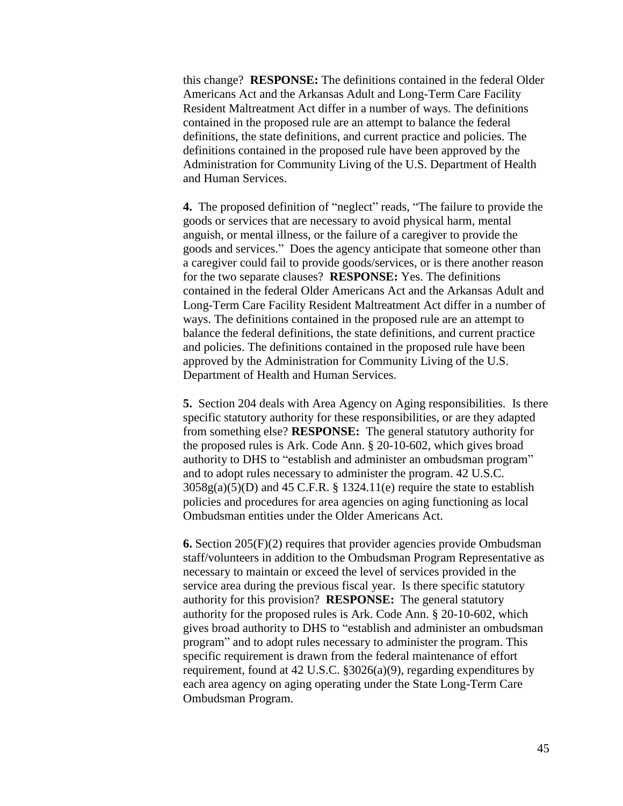this change? **RESPONSE:** The definitions contained in the federal Older Americans Act and the Arkansas Adult and Long-Term Care Facility Resident Maltreatment Act differ in a number of ways. The definitions contained in the proposed rule are an attempt to balance the federal definitions, the state definitions, and current practice and policies. The definitions contained in the proposed rule have been approved by the Administration for Community Living of the U.S. Department of Health and Human Services.

**4.** The proposed definition of "neglect" reads, "The failure to provide the goods or services that are necessary to avoid physical harm, mental anguish, or mental illness, or the failure of a caregiver to provide the goods and services." Does the agency anticipate that someone other than a caregiver could fail to provide goods/services, or is there another reason for the two separate clauses? **RESPONSE:** Yes. The definitions contained in the federal Older Americans Act and the Arkansas Adult and Long-Term Care Facility Resident Maltreatment Act differ in a number of ways. The definitions contained in the proposed rule are an attempt to balance the federal definitions, the state definitions, and current practice and policies. The definitions contained in the proposed rule have been approved by the Administration for Community Living of the U.S. Department of Health and Human Services.

**5.** Section 204 deals with Area Agency on Aging responsibilities. Is there specific statutory authority for these responsibilities, or are they adapted from something else? **RESPONSE:** The general statutory authority for the proposed rules is Ark. Code Ann. § 20-10-602, which gives broad authority to DHS to "establish and administer an ombudsman program" and to adopt rules necessary to administer the program. 42 U.S.C.  $3058g(a)(5)(D)$  and  $45$  C.F.R. § 1324.11(e) require the state to establish policies and procedures for area agencies on aging functioning as local Ombudsman entities under the Older Americans Act.

**6.** Section 205(F)(2) requires that provider agencies provide Ombudsman staff/volunteers in addition to the Ombudsman Program Representative as necessary to maintain or exceed the level of services provided in the service area during the previous fiscal year. Is there specific statutory authority for this provision? **RESPONSE:** The general statutory authority for the proposed rules is Ark. Code Ann. § 20-10-602, which gives broad authority to DHS to "establish and administer an ombudsman program" and to adopt rules necessary to administer the program. This specific requirement is drawn from the federal maintenance of effort requirement, found at 42 U.S.C. §3026(a)(9), regarding expenditures by each area agency on aging operating under the State Long-Term Care Ombudsman Program.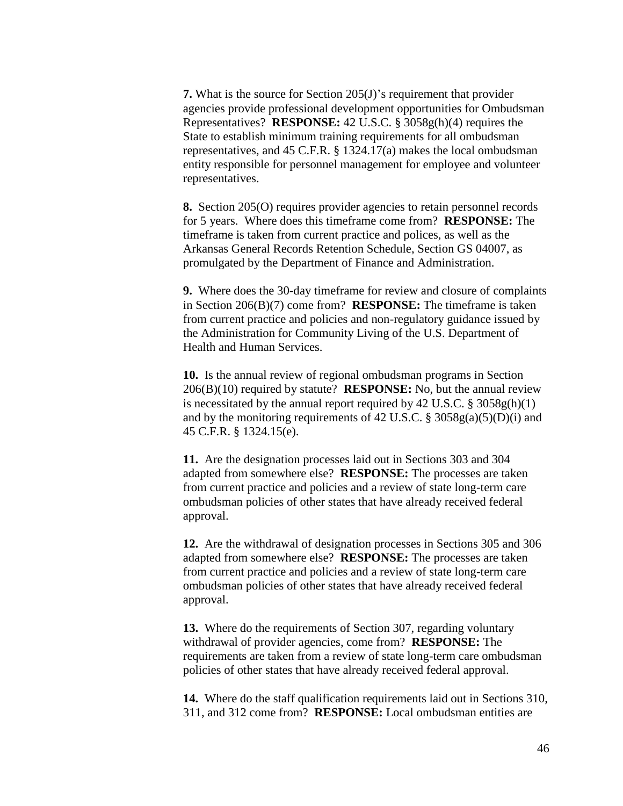**7.** What is the source for Section 205(J)'s requirement that provider agencies provide professional development opportunities for Ombudsman Representatives? **RESPONSE:** 42 U.S.C. § 3058g(h)(4) requires the State to establish minimum training requirements for all ombudsman representatives, and 45 C.F.R. § 1324.17(a) makes the local ombudsman entity responsible for personnel management for employee and volunteer representatives.

**8.** Section 205(O) requires provider agencies to retain personnel records for 5 years. Where does this timeframe come from? **RESPONSE:** The timeframe is taken from current practice and polices, as well as the Arkansas General Records Retention Schedule, Section GS 04007, as promulgated by the Department of Finance and Administration.

**9.** Where does the 30-day timeframe for review and closure of complaints in Section 206(B)(7) come from? **RESPONSE:** The timeframe is taken from current practice and policies and non-regulatory guidance issued by the Administration for Community Living of the U.S. Department of Health and Human Services.

**10.** Is the annual review of regional ombudsman programs in Section 206(B)(10) required by statute? **RESPONSE:** No, but the annual review is necessitated by the annual report required by  $42 \text{ U.S.C. }$  §  $3058 \text{ g(h)}(1)$ and by the monitoring requirements of 42 U.S.C.  $\S 3058g(a)(5)(D)(i)$  and 45 C.F.R. § 1324.15(e).

**11.** Are the designation processes laid out in Sections 303 and 304 adapted from somewhere else? **RESPONSE:** The processes are taken from current practice and policies and a review of state long-term care ombudsman policies of other states that have already received federal approval.

**12.** Are the withdrawal of designation processes in Sections 305 and 306 adapted from somewhere else? **RESPONSE:** The processes are taken from current practice and policies and a review of state long-term care ombudsman policies of other states that have already received federal approval.

**13.** Where do the requirements of Section 307, regarding voluntary withdrawal of provider agencies, come from? **RESPONSE:** The requirements are taken from a review of state long-term care ombudsman policies of other states that have already received federal approval.

**14.** Where do the staff qualification requirements laid out in Sections 310, 311, and 312 come from? **RESPONSE:** Local ombudsman entities are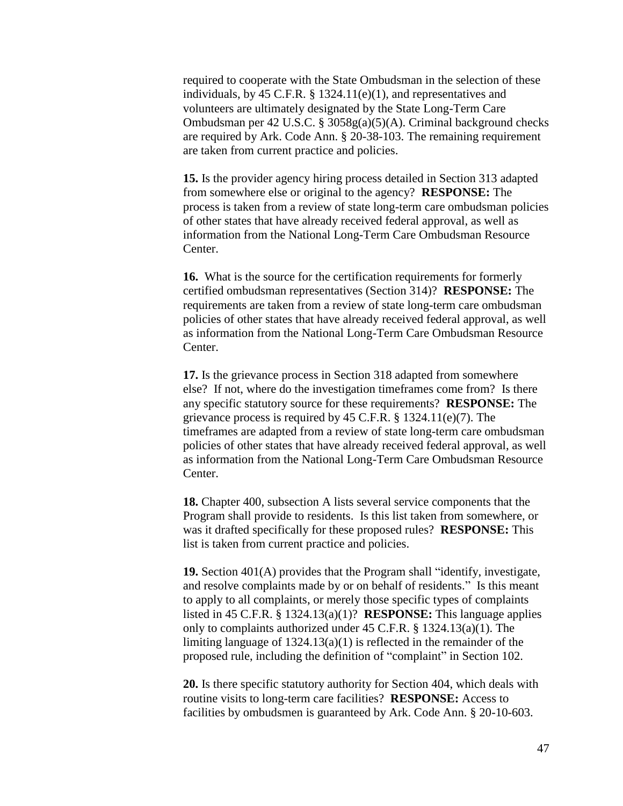required to cooperate with the State Ombudsman in the selection of these individuals, by 45 C.F.R. § 1324.11(e)(1), and representatives and volunteers are ultimately designated by the State Long-Term Care Ombudsman per 42 U.S.C. § 3058g(a)(5)(A). Criminal background checks are required by Ark. Code Ann. § 20-38-103. The remaining requirement are taken from current practice and policies.

**15.** Is the provider agency hiring process detailed in Section 313 adapted from somewhere else or original to the agency? **RESPONSE:** The process is taken from a review of state long-term care ombudsman policies of other states that have already received federal approval, as well as information from the National Long-Term Care Ombudsman Resource Center.

**16.** What is the source for the certification requirements for formerly certified ombudsman representatives (Section 314)? **RESPONSE:** The requirements are taken from a review of state long-term care ombudsman policies of other states that have already received federal approval, as well as information from the National Long-Term Care Ombudsman Resource Center.

**17.** Is the grievance process in Section 318 adapted from somewhere else? If not, where do the investigation timeframes come from? Is there any specific statutory source for these requirements? **RESPONSE:** The grievance process is required by 45 C.F.R. § 1324.11(e)(7). The timeframes are adapted from a review of state long-term care ombudsman policies of other states that have already received federal approval, as well as information from the National Long-Term Care Ombudsman Resource Center.

**18.** Chapter 400, subsection A lists several service components that the Program shall provide to residents. Is this list taken from somewhere, or was it drafted specifically for these proposed rules? **RESPONSE:** This list is taken from current practice and policies.

**19.** Section 401(A) provides that the Program shall "identify, investigate, and resolve complaints made by or on behalf of residents." Is this meant to apply to all complaints, or merely those specific types of complaints listed in 45 C.F.R. § 1324.13(a)(1)? **RESPONSE:** This language applies only to complaints authorized under 45 C.F.R. § 1324.13(a)(1). The limiting language of 1324.13(a)(1) is reflected in the remainder of the proposed rule, including the definition of "complaint" in Section 102.

**20.** Is there specific statutory authority for Section 404, which deals with routine visits to long-term care facilities? **RESPONSE:** Access to facilities by ombudsmen is guaranteed by Ark. Code Ann. § 20-10-603.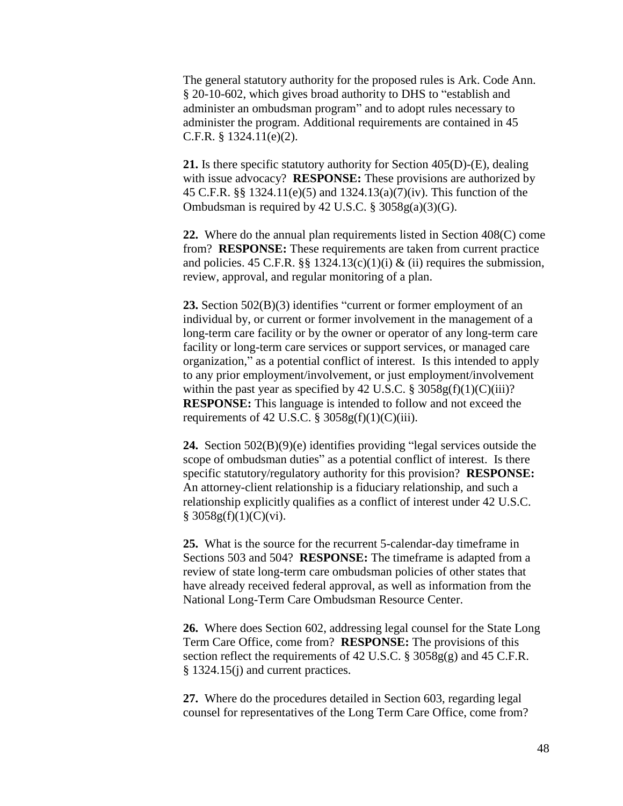The general statutory authority for the proposed rules is Ark. Code Ann. § 20-10-602, which gives broad authority to DHS to "establish and administer an ombudsman program" and to adopt rules necessary to administer the program. Additional requirements are contained in 45 C.F.R. § 1324.11(e)(2).

**21.** Is there specific statutory authority for Section 405(D)-(E), dealing with issue advocacy? **RESPONSE:** These provisions are authorized by 45 C.F.R. §§ 1324.11(e)(5) and 1324.13(a)(7)(iv). This function of the Ombudsman is required by 42 U.S.C.  $\S 3058g(a)(3)(G)$ .

**22.** Where do the annual plan requirements listed in Section 408(C) come from? **RESPONSE:** These requirements are taken from current practice and policies. 45 C.F.R. §§ 1324.13(c)(1)(i) & (ii) requires the submission, review, approval, and regular monitoring of a plan.

**23.** Section 502(B)(3) identifies "current or former employment of an individual by, or current or former involvement in the management of a long-term care facility or by the owner or operator of any long-term care facility or long-term care services or support services, or managed care organization," as a potential conflict of interest. Is this intended to apply to any prior employment/involvement, or just employment/involvement within the past year as specified by 42 U.S.C.  $\S 3058g(f)(1)(C)(iii)$ ? **RESPONSE:** This language is intended to follow and not exceed the requirements of 42 U.S.C.  $\S 3058g(f)(1)(C)(iii)$ .

**24.** Section 502(B)(9)(e) identifies providing "legal services outside the scope of ombudsman duties" as a potential conflict of interest. Is there specific statutory/regulatory authority for this provision? **RESPONSE:** An attorney-client relationship is a fiduciary relationship, and such a relationship explicitly qualifies as a conflict of interest under 42 U.S.C.  $§ 3058g(f)(1)(C)(vi).$ 

**25.** What is the source for the recurrent 5-calendar-day timeframe in Sections 503 and 504? **RESPONSE:** The timeframe is adapted from a review of state long-term care ombudsman policies of other states that have already received federal approval, as well as information from the National Long-Term Care Ombudsman Resource Center.

**26.** Where does Section 602, addressing legal counsel for the State Long Term Care Office, come from? **RESPONSE:** The provisions of this section reflect the requirements of 42 U.S.C.  $\S 3058g(g)$  and 45 C.F.R. § 1324.15(j) and current practices.

**27.** Where do the procedures detailed in Section 603, regarding legal counsel for representatives of the Long Term Care Office, come from?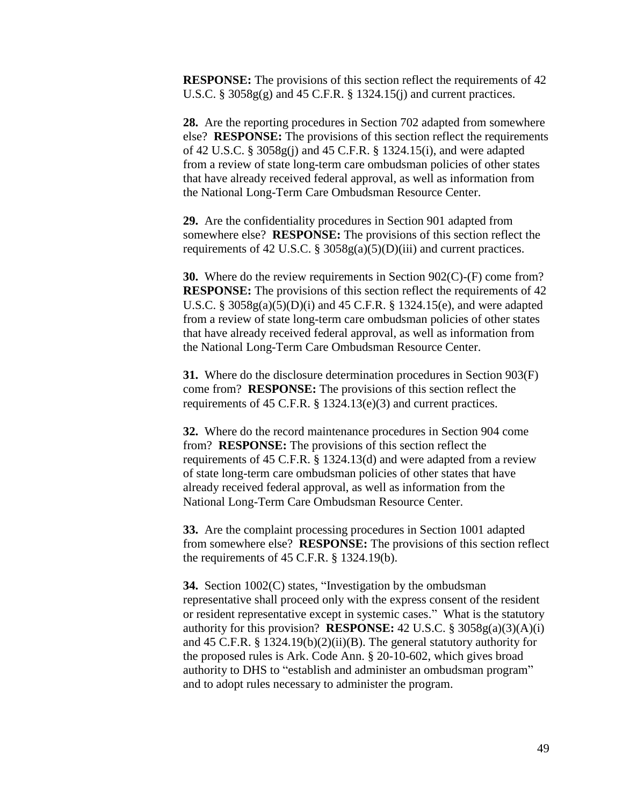**RESPONSE:** The provisions of this section reflect the requirements of 42 U.S.C.  $\S 3058g(g)$  and 45 C.F.R.  $\S 1324.15(i)$  and current practices.

**28.** Are the reporting procedures in Section 702 adapted from somewhere else? **RESPONSE:** The provisions of this section reflect the requirements of 42 U.S.C. § 3058g(j) and 45 C.F.R. § 1324.15(i), and were adapted from a review of state long-term care ombudsman policies of other states that have already received federal approval, as well as information from the National Long-Term Care Ombudsman Resource Center.

**29.** Are the confidentiality procedures in Section 901 adapted from somewhere else? **RESPONSE:** The provisions of this section reflect the requirements of 42 U.S.C. § 3058g(a)(5)(D)(iii) and current practices.

**30.** Where do the review requirements in Section 902(C)-(F) come from? **RESPONSE:** The provisions of this section reflect the requirements of 42 U.S.C. § 3058g(a)(5)(D)(i) and 45 C.F.R. § 1324.15(e), and were adapted from a review of state long-term care ombudsman policies of other states that have already received federal approval, as well as information from the National Long-Term Care Ombudsman Resource Center.

**31.** Where do the disclosure determination procedures in Section 903(F) come from? **RESPONSE:** The provisions of this section reflect the requirements of 45 C.F.R. § 1324.13(e)(3) and current practices.

**32.** Where do the record maintenance procedures in Section 904 come from? **RESPONSE:** The provisions of this section reflect the requirements of 45 C.F.R. § 1324.13(d) and were adapted from a review of state long-term care ombudsman policies of other states that have already received federal approval, as well as information from the National Long-Term Care Ombudsman Resource Center.

**33.** Are the complaint processing procedures in Section 1001 adapted from somewhere else? **RESPONSE:** The provisions of this section reflect the requirements of 45 C.F.R. § 1324.19(b).

**34.** Section 1002(C) states, "Investigation by the ombudsman representative shall proceed only with the express consent of the resident or resident representative except in systemic cases." What is the statutory authority for this provision? **RESPONSE:** 42 U.S.C. § 3058g(a)(3)(A)(i) and 45 C.F.R. § 1324.19(b)(2)(ii)(B). The general statutory authority for the proposed rules is Ark. Code Ann. § 20-10-602, which gives broad authority to DHS to "establish and administer an ombudsman program" and to adopt rules necessary to administer the program.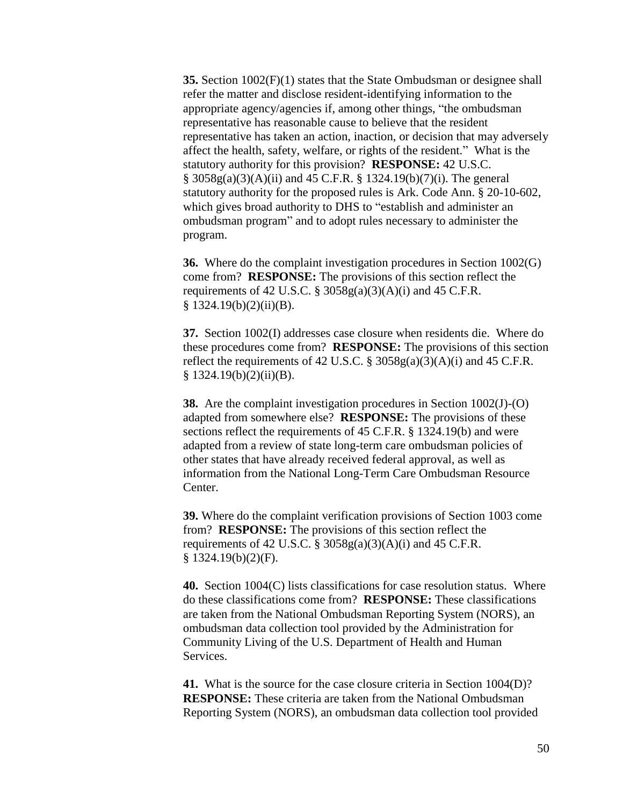**35.** Section 1002(F)(1) states that the State Ombudsman or designee shall refer the matter and disclose resident-identifying information to the appropriate agency/agencies if, among other things, "the ombudsman representative has reasonable cause to believe that the resident representative has taken an action, inaction, or decision that may adversely affect the health, safety, welfare, or rights of the resident." What is the statutory authority for this provision? **RESPONSE:** 42 U.S.C. § 3058g(a)(3)(A)(ii) and 45 C.F.R. § 1324.19(b)(7)(i). The general statutory authority for the proposed rules is Ark. Code Ann. § 20-10-602, which gives broad authority to DHS to "establish and administer an ombudsman program" and to adopt rules necessary to administer the program.

**36.** Where do the complaint investigation procedures in Section 1002(G) come from? **RESPONSE:** The provisions of this section reflect the requirements of 42 U.S.C. §  $3058g(a)(3)(A)(i)$  and 45 C.F.R.  $§ 1324.19(b)(2)(ii)(B).$ 

**37.** Section 1002(I) addresses case closure when residents die. Where do these procedures come from? **RESPONSE:** The provisions of this section reflect the requirements of 42 U.S.C.  $\S 3058g(a)(3)(A)(i)$  and 45 C.F.R.  $§ 1324.19(b)(2)(ii)(B).$ 

**38.** Are the complaint investigation procedures in Section 1002(J)-(O) adapted from somewhere else? **RESPONSE:** The provisions of these sections reflect the requirements of 45 C.F.R. § 1324.19(b) and were adapted from a review of state long-term care ombudsman policies of other states that have already received federal approval, as well as information from the National Long-Term Care Ombudsman Resource Center.

**39.** Where do the complaint verification provisions of Section 1003 come from? **RESPONSE:** The provisions of this section reflect the requirements of 42 U.S.C.  $\S 3058g(a)(3)(A)(i)$  and 45 C.F.R.  $§ 1324.19(b)(2)(F).$ 

**40.** Section 1004(C) lists classifications for case resolution status. Where do these classifications come from? **RESPONSE:** These classifications are taken from the National Ombudsman Reporting System (NORS), an ombudsman data collection tool provided by the Administration for Community Living of the U.S. Department of Health and Human Services.

**41.** What is the source for the case closure criteria in Section 1004(D)? **RESPONSE:** These criteria are taken from the National Ombudsman Reporting System (NORS), an ombudsman data collection tool provided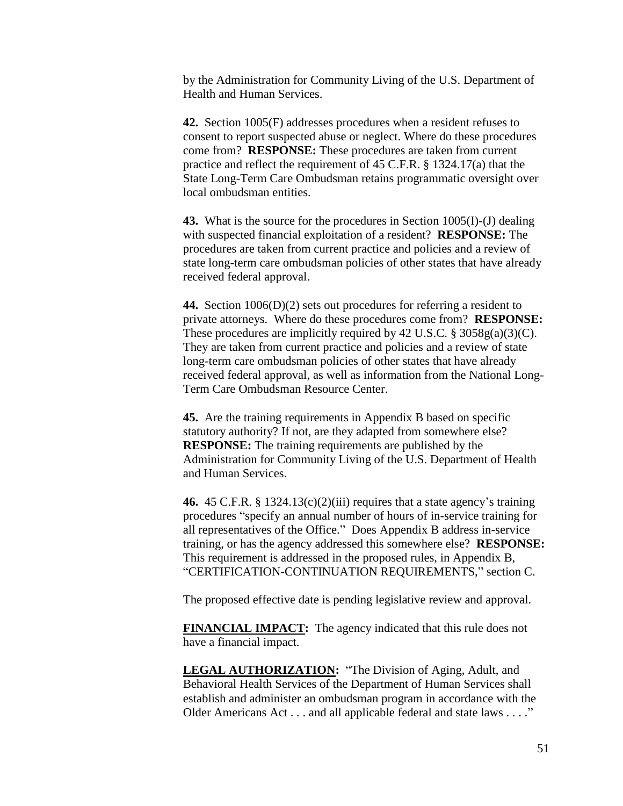by the Administration for Community Living of the U.S. Department of Health and Human Services.

**42.** Section 1005(F) addresses procedures when a resident refuses to consent to report suspected abuse or neglect. Where do these procedures come from? **RESPONSE:** These procedures are taken from current practice and reflect the requirement of 45 C.F.R. § 1324.17(a) that the State Long-Term Care Ombudsman retains programmatic oversight over local ombudsman entities.

**43.** What is the source for the procedures in Section 1005(I)-(J) dealing with suspected financial exploitation of a resident? **RESPONSE:** The procedures are taken from current practice and policies and a review of state long-term care ombudsman policies of other states that have already received federal approval.

**44.** Section 1006(D)(2) sets out procedures for referring a resident to private attorneys. Where do these procedures come from? **RESPONSE:** These procedures are implicitly required by 42 U.S.C.  $\S 3058g(a)(3)(C)$ . They are taken from current practice and policies and a review of state long-term care ombudsman policies of other states that have already received federal approval, as well as information from the National Long-Term Care Ombudsman Resource Center.

**45.** Are the training requirements in Appendix B based on specific statutory authority? If not, are they adapted from somewhere else? **RESPONSE:** The training requirements are published by the Administration for Community Living of the U.S. Department of Health and Human Services.

**46.** 45 C.F.R. § 1324.13(c)(2)(iii) requires that a state agency's training procedures "specify an annual number of hours of in-service training for all representatives of the Office." Does Appendix B address in-service training, or has the agency addressed this somewhere else? **RESPONSE:** This requirement is addressed in the proposed rules, in Appendix B, "CERTIFICATION-CONTINUATION REQUIREMENTS," section C.

The proposed effective date is pending legislative review and approval.

**FINANCIAL IMPACT:** The agency indicated that this rule does not have a financial impact.

**LEGAL AUTHORIZATION:** "The Division of Aging, Adult, and Behavioral Health Services of the Department of Human Services shall establish and administer an ombudsman program in accordance with the Older Americans Act . . . and all applicable federal and state laws . . . ."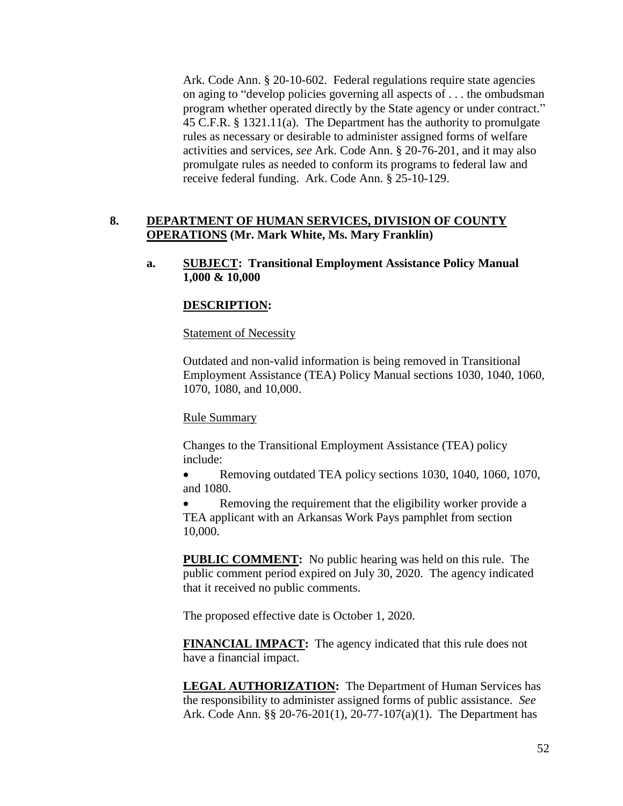Ark. Code Ann. § 20-10-602. Federal regulations require state agencies on aging to "develop policies governing all aspects of . . . the ombudsman program whether operated directly by the State agency or under contract." 45 C.F.R. § 1321.11(a). The Department has the authority to promulgate rules as necessary or desirable to administer assigned forms of welfare activities and services, *see* Ark. Code Ann. § 20-76-201, and it may also promulgate rules as needed to conform its programs to federal law and receive federal funding. Ark. Code Ann. § 25-10-129.

## **8. DEPARTMENT OF HUMAN SERVICES, DIVISION OF COUNTY OPERATIONS (Mr. Mark White, Ms. Mary Franklin)**

**a. SUBJECT: Transitional Employment Assistance Policy Manual 1,000 & 10,000**

### **DESCRIPTION:**

### Statement of Necessity

Outdated and non-valid information is being removed in Transitional Employment Assistance (TEA) Policy Manual sections 1030, 1040, 1060, 1070, 1080, and 10,000.

### Rule Summary

Changes to the Transitional Employment Assistance (TEA) policy include:

• Removing outdated TEA policy sections 1030, 1040, 1060, 1070, and 1080.

 Removing the requirement that the eligibility worker provide a TEA applicant with an Arkansas Work Pays pamphlet from section 10,000.

**PUBLIC COMMENT:** No public hearing was held on this rule. The public comment period expired on July 30, 2020. The agency indicated that it received no public comments.

The proposed effective date is October 1, 2020.

**FINANCIAL IMPACT:** The agency indicated that this rule does not have a financial impact.

**LEGAL AUTHORIZATION:** The Department of Human Services has the responsibility to administer assigned forms of public assistance. *See* Ark. Code Ann. §§ 20-76-201(1), 20-77-107(a)(1). The Department has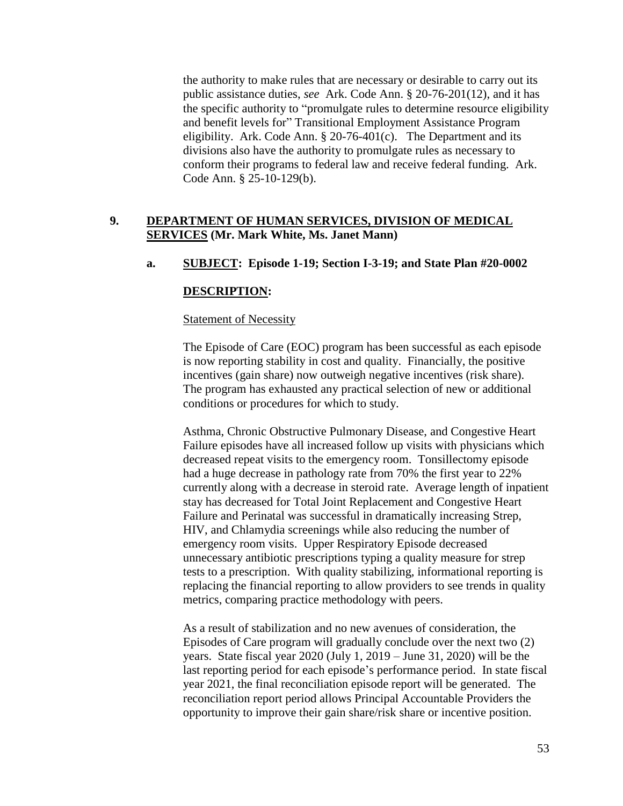the authority to make rules that are necessary or desirable to carry out its public assistance duties, *see* Ark. Code Ann. § 20-76-201(12), and it has the specific authority to "promulgate rules to determine resource eligibility and benefit levels for" Transitional Employment Assistance Program eligibility. Ark. Code Ann.  $\S 20-76-401(c)$ . The Department and its divisions also have the authority to promulgate rules as necessary to conform their programs to federal law and receive federal funding. Ark. Code Ann. § 25-10-129(b).

## **9. DEPARTMENT OF HUMAN SERVICES, DIVISION OF MEDICAL SERVICES (Mr. Mark White, Ms. Janet Mann)**

## **a. SUBJECT: Episode 1-19; Section I-3-19; and State Plan #20-0002**

### **DESCRIPTION:**

### Statement of Necessity

The Episode of Care (EOC) program has been successful as each episode is now reporting stability in cost and quality. Financially, the positive incentives (gain share) now outweigh negative incentives (risk share). The program has exhausted any practical selection of new or additional conditions or procedures for which to study.

Asthma, Chronic Obstructive Pulmonary Disease, and Congestive Heart Failure episodes have all increased follow up visits with physicians which decreased repeat visits to the emergency room. Tonsillectomy episode had a huge decrease in pathology rate from 70% the first year to 22% currently along with a decrease in steroid rate. Average length of inpatient stay has decreased for Total Joint Replacement and Congestive Heart Failure and Perinatal was successful in dramatically increasing Strep, HIV, and Chlamydia screenings while also reducing the number of emergency room visits. Upper Respiratory Episode decreased unnecessary antibiotic prescriptions typing a quality measure for strep tests to a prescription. With quality stabilizing, informational reporting is replacing the financial reporting to allow providers to see trends in quality metrics, comparing practice methodology with peers.

As a result of stabilization and no new avenues of consideration, the Episodes of Care program will gradually conclude over the next two (2) years. State fiscal year 2020 (July 1, 2019 – June 31, 2020) will be the last reporting period for each episode's performance period. In state fiscal year 2021, the final reconciliation episode report will be generated. The reconciliation report period allows Principal Accountable Providers the opportunity to improve their gain share/risk share or incentive position.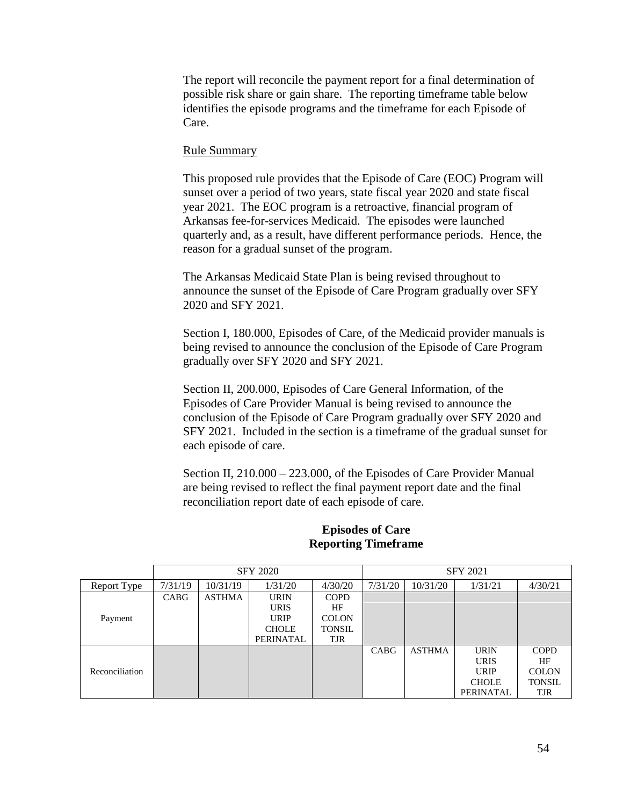The report will reconcile the payment report for a final determination of possible risk share or gain share. The reporting timeframe table below identifies the episode programs and the timeframe for each Episode of Care.

### Rule Summary

This proposed rule provides that the Episode of Care (EOC) Program will sunset over a period of two years, state fiscal year 2020 and state fiscal year 2021. The EOC program is a retroactive, financial program of Arkansas fee-for-services Medicaid. The episodes were launched quarterly and, as a result, have different performance periods. Hence, the reason for a gradual sunset of the program.

The Arkansas Medicaid State Plan is being revised throughout to announce the sunset of the Episode of Care Program gradually over SFY 2020 and SFY 2021.

Section I, 180.000, Episodes of Care, of the Medicaid provider manuals is being revised to announce the conclusion of the Episode of Care Program gradually over SFY 2020 and SFY 2021.

Section II, 200.000, Episodes of Care General Information, of the Episodes of Care Provider Manual is being revised to announce the conclusion of the Episode of Care Program gradually over SFY 2020 and SFY 2021. Included in the section is a timeframe of the gradual sunset for each episode of care.

Section II, 210.000 – 223.000, of the Episodes of Care Provider Manual are being revised to reflect the final payment report date and the final reconciliation report date of each episode of care.

|                | <b>SFY 2020</b> |               |              |               | <b>SFY 2021</b> |               |              |               |
|----------------|-----------------|---------------|--------------|---------------|-----------------|---------------|--------------|---------------|
| Report Type    | 7/31/19         | 10/31/19      | 1/31/20      | 4/30/20       | 7/31/20         | 10/31/20      | 1/31/21      | 4/30/21       |
|                | <b>CABG</b>     | <b>ASTHMA</b> | <b>URIN</b>  | <b>COPD</b>   |                 |               |              |               |
|                |                 |               | <b>URIS</b>  | HF            |                 |               |              |               |
| Payment        |                 |               | <b>URIP</b>  | <b>COLON</b>  |                 |               |              |               |
|                |                 |               | <b>CHOLE</b> | <b>TONSIL</b> |                 |               |              |               |
|                |                 |               | PERINATAL    | <b>TJR</b>    |                 |               |              |               |
|                |                 |               |              |               | <b>CABG</b>     | <b>ASTHMA</b> | <b>URIN</b>  | <b>COPD</b>   |
| Reconciliation |                 |               |              |               |                 |               | <b>URIS</b>  | HF            |
|                |                 |               |              |               |                 |               | <b>URIP</b>  | <b>COLON</b>  |
|                |                 |               |              |               |                 |               | <b>CHOLE</b> | <b>TONSIL</b> |
|                |                 |               |              |               |                 |               | PERINATAL    | <b>TJR</b>    |

### **Episodes of Care Reporting Timeframe**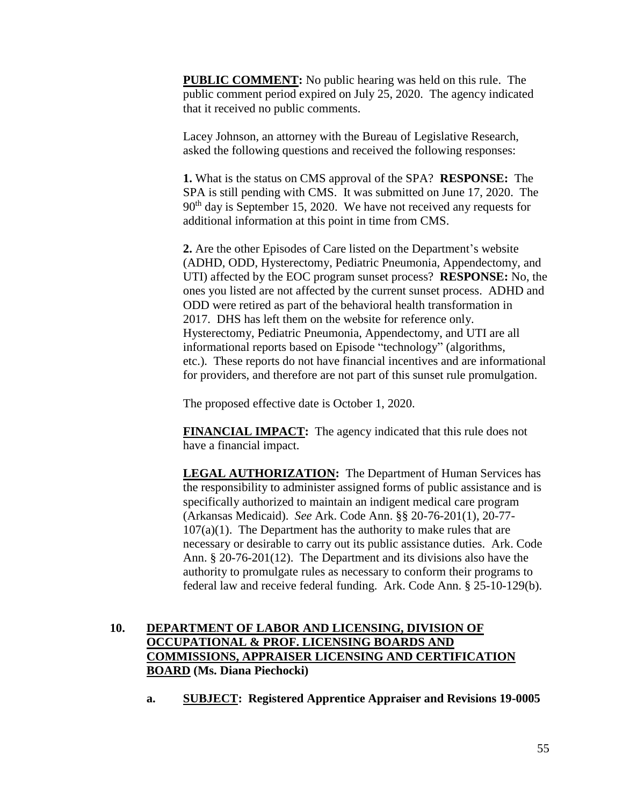**PUBLIC COMMENT:** No public hearing was held on this rule. The public comment period expired on July 25, 2020. The agency indicated that it received no public comments.

Lacey Johnson, an attorney with the Bureau of Legislative Research, asked the following questions and received the following responses:

**1.** What is the status on CMS approval of the SPA? **RESPONSE:** The SPA is still pending with CMS. It was submitted on June 17, 2020. The 90<sup>th</sup> day is September 15, 2020. We have not received any requests for additional information at this point in time from CMS.

**2.** Are the other Episodes of Care listed on the Department's website (ADHD, ODD, Hysterectomy, Pediatric Pneumonia, Appendectomy, and UTI) affected by the EOC program sunset process? **RESPONSE:** No, the ones you listed are not affected by the current sunset process. ADHD and ODD were retired as part of the behavioral health transformation in 2017. DHS has left them on the website for reference only. Hysterectomy, Pediatric Pneumonia, Appendectomy, and UTI are all informational reports based on Episode "technology" (algorithms, etc.). These reports do not have financial incentives and are informational for providers, and therefore are not part of this sunset rule promulgation.

The proposed effective date is October 1, 2020.

**FINANCIAL IMPACT:** The agency indicated that this rule does not have a financial impact.

**LEGAL AUTHORIZATION:** The Department of Human Services has the responsibility to administer assigned forms of public assistance and is specifically authorized to maintain an indigent medical care program (Arkansas Medicaid). *See* Ark. Code Ann. §§ 20-76-201(1), 20-77-  $107(a)(1)$ . The Department has the authority to make rules that are necessary or desirable to carry out its public assistance duties. Ark. Code Ann. § 20-76-201(12). The Department and its divisions also have the authority to promulgate rules as necessary to conform their programs to federal law and receive federal funding. Ark. Code Ann. § 25-10-129(b).

# **10. DEPARTMENT OF LABOR AND LICENSING, DIVISION OF OCCUPATIONAL & PROF. LICENSING BOARDS AND COMMISSIONS, APPRAISER LICENSING AND CERTIFICATION BOARD (Ms. Diana Piechocki)**

**a. SUBJECT: Registered Apprentice Appraiser and Revisions 19-0005**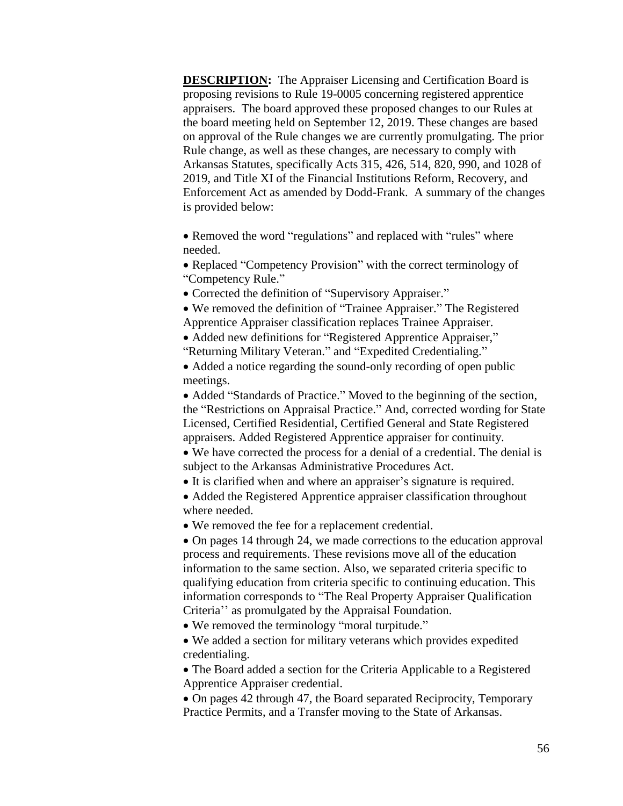**DESCRIPTION:** The Appraiser Licensing and Certification Board is proposing revisions to Rule 19-0005 concerning registered apprentice appraisers. The board approved these proposed changes to our Rules at the board meeting held on September 12, 2019. These changes are based on approval of the Rule changes we are currently promulgating. The prior Rule change, as well as these changes, are necessary to comply with Arkansas Statutes, specifically Acts 315, 426, 514, 820, 990, and 1028 of 2019, and Title XI of the Financial Institutions Reform, Recovery, and Enforcement Act as amended by Dodd-Frank. A summary of the changes is provided below:

• Removed the word "regulations" and replaced with "rules" where needed.

• Replaced "Competency Provision" with the correct terminology of "Competency Rule."

• Corrected the definition of "Supervisory Appraiser."

 We removed the definition of "Trainee Appraiser." The Registered Apprentice Appraiser classification replaces Trainee Appraiser.

 Added new definitions for "Registered Apprentice Appraiser," "Returning Military Veteran." and "Expedited Credentialing."

• Added a notice regarding the sound-only recording of open public meetings.

• Added "Standards of Practice." Moved to the beginning of the section, the "Restrictions on Appraisal Practice." And, corrected wording for State Licensed, Certified Residential, Certified General and State Registered appraisers. Added Registered Apprentice appraiser for continuity.

 We have corrected the process for a denial of a credential. The denial is subject to the Arkansas Administrative Procedures Act.

It is clarified when and where an appraiser's signature is required.

• Added the Registered Apprentice appraiser classification throughout where needed.

We removed the fee for a replacement credential.

 On pages 14 through 24, we made corrections to the education approval process and requirements. These revisions move all of the education information to the same section. Also, we separated criteria specific to qualifying education from criteria specific to continuing education. This information corresponds to "The Real Property Appraiser Qualification Criteria'' as promulgated by the Appraisal Foundation.

We removed the terminology "moral turpitude."

 We added a section for military veterans which provides expedited credentialing.

 The Board added a section for the Criteria Applicable to a Registered Apprentice Appraiser credential.

 On pages 42 through 47, the Board separated Reciprocity, Temporary Practice Permits, and a Transfer moving to the State of Arkansas.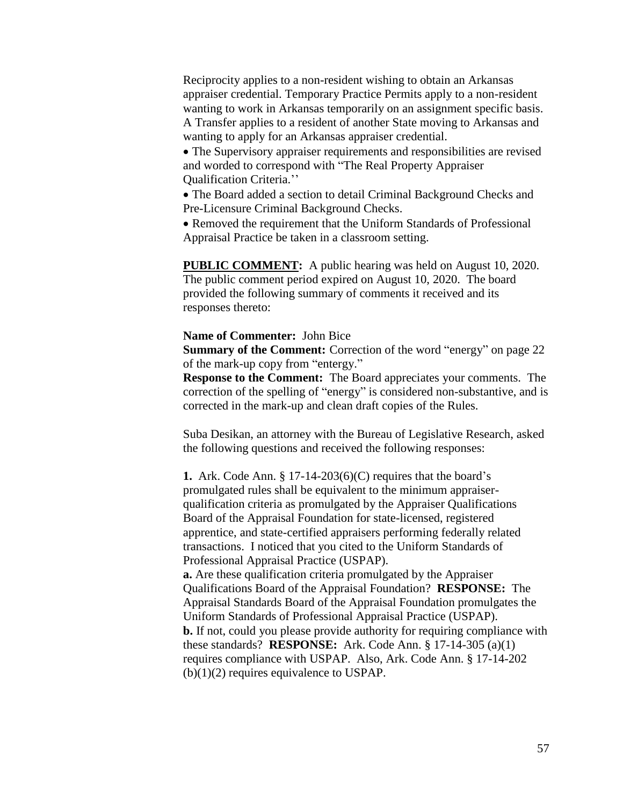Reciprocity applies to a non-resident wishing to obtain an Arkansas appraiser credential. Temporary Practice Permits apply to a non-resident wanting to work in Arkansas temporarily on an assignment specific basis. A Transfer applies to a resident of another State moving to Arkansas and wanting to apply for an Arkansas appraiser credential.

 The Supervisory appraiser requirements and responsibilities are revised and worded to correspond with "The Real Property Appraiser Qualification Criteria.''

 The Board added a section to detail Criminal Background Checks and Pre-Licensure Criminal Background Checks.

 Removed the requirement that the Uniform Standards of Professional Appraisal Practice be taken in a classroom setting.

**PUBLIC COMMENT:** A public hearing was held on August 10, 2020. The public comment period expired on August 10, 2020. The board provided the following summary of comments it received and its responses thereto:

### **Name of Commenter:** John Bice

**Summary of the Comment:** Correction of the word "energy" on page 22 of the mark-up copy from "entergy."

**Response to the Comment:** The Board appreciates your comments. The correction of the spelling of "energy" is considered non-substantive, and is corrected in the mark-up and clean draft copies of the Rules.

Suba Desikan, an attorney with the Bureau of Legislative Research, asked the following questions and received the following responses:

**1.** Ark. Code Ann. § 17-14-203(6)(C) requires that the board's promulgated rules shall be equivalent to the minimum appraiserqualification criteria as promulgated by the Appraiser Qualifications Board of the Appraisal Foundation for state-licensed, registered apprentice, and state-certified appraisers performing federally related transactions. I noticed that you cited to the Uniform Standards of Professional Appraisal Practice (USPAP).

**a.** Are these qualification criteria promulgated by the Appraiser Qualifications Board of the Appraisal Foundation? **RESPONSE:** The Appraisal Standards Board of the Appraisal Foundation promulgates the Uniform Standards of Professional Appraisal Practice (USPAP). **b.** If not, could you please provide authority for requiring compliance with these standards? **RESPONSE:** Ark. Code Ann. § 17-14-305 (a)(1) requires compliance with USPAP. Also, Ark. Code Ann. § 17-14-202 (b)(1)(2) requires equivalence to USPAP.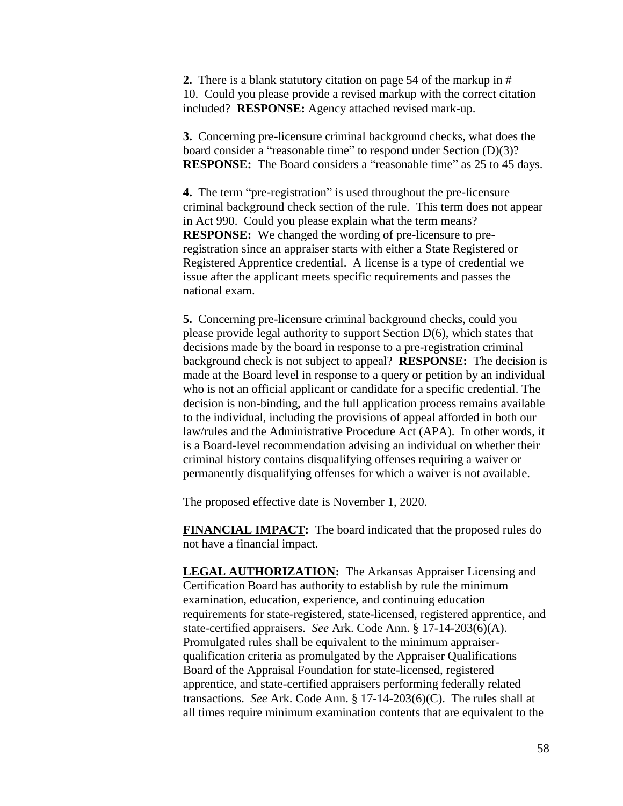**2.** There is a blank statutory citation on page 54 of the markup in # 10. Could you please provide a revised markup with the correct citation included? **RESPONSE:** Agency attached revised mark-up.

**3.** Concerning pre-licensure criminal background checks, what does the board consider a "reasonable time" to respond under Section (D)(3)? **RESPONSE:** The Board considers a "reasonable time" as 25 to 45 days.

**4.** The term "pre-registration" is used throughout the pre-licensure criminal background check section of the rule. This term does not appear in Act 990. Could you please explain what the term means? **RESPONSE:** We changed the wording of pre-licensure to preregistration since an appraiser starts with either a State Registered or Registered Apprentice credential. A license is a type of credential we issue after the applicant meets specific requirements and passes the national exam.

**5.** Concerning pre-licensure criminal background checks, could you please provide legal authority to support Section D(6), which states that decisions made by the board in response to a pre-registration criminal background check is not subject to appeal? **RESPONSE:** The decision is made at the Board level in response to a query or petition by an individual who is not an official applicant or candidate for a specific credential. The decision is non-binding, and the full application process remains available to the individual, including the provisions of appeal afforded in both our law/rules and the Administrative Procedure Act (APA). In other words, it is a Board-level recommendation advising an individual on whether their criminal history contains disqualifying offenses requiring a waiver or permanently disqualifying offenses for which a waiver is not available.

The proposed effective date is November 1, 2020.

**FINANCIAL IMPACT:** The board indicated that the proposed rules do not have a financial impact.

**LEGAL AUTHORIZATION:** The Arkansas Appraiser Licensing and Certification Board has authority to establish by rule the minimum examination, education, experience, and continuing education requirements for state-registered, state-licensed, registered apprentice, and state-certified appraisers. *See* Ark. Code Ann. § 17-14-203(6)(A). Promulgated rules shall be equivalent to the minimum appraiserqualification criteria as promulgated by the Appraiser Qualifications Board of the Appraisal Foundation for state-licensed, registered apprentice, and state-certified appraisers performing federally related transactions. *See* Ark. Code Ann. § 17-14-203(6)(C). The rules shall at all times require minimum examination contents that are equivalent to the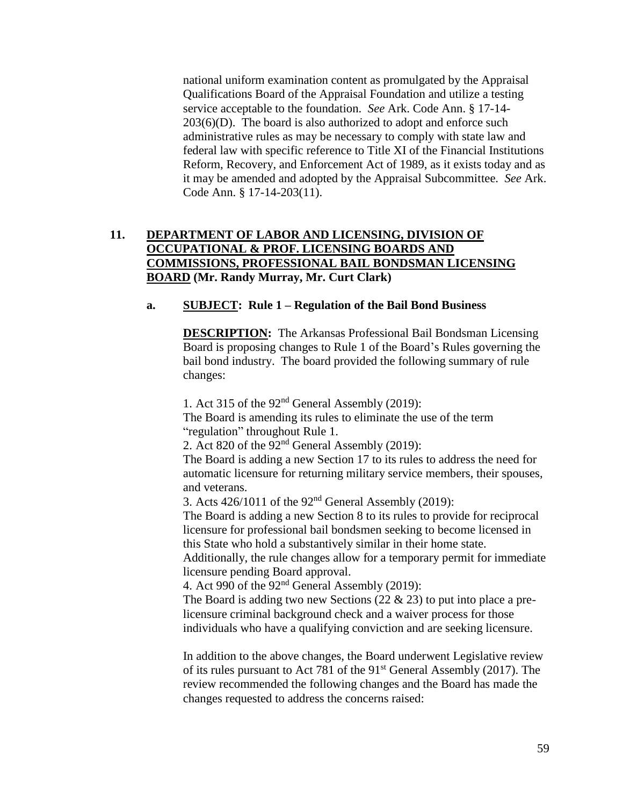national uniform examination content as promulgated by the Appraisal Qualifications Board of the Appraisal Foundation and utilize a testing service acceptable to the foundation. *See* Ark. Code Ann. § 17-14-  $203(6)(D)$ . The board is also authorized to adopt and enforce such administrative rules as may be necessary to comply with state law and federal law with specific reference to Title XI of the Financial Institutions Reform, Recovery, and Enforcement Act of 1989, as it exists today and as it may be amended and adopted by the Appraisal Subcommittee. *See* Ark. Code Ann. § 17-14-203(11).

## **11. DEPARTMENT OF LABOR AND LICENSING, DIVISION OF OCCUPATIONAL & PROF. LICENSING BOARDS AND COMMISSIONS, PROFESSIONAL BAIL BONDSMAN LICENSING BOARD (Mr. Randy Murray, Mr. Curt Clark)**

## **a. SUBJECT: Rule 1 – Regulation of the Bail Bond Business**

**DESCRIPTION:** The Arkansas Professional Bail Bondsman Licensing Board is proposing changes to Rule 1 of the Board's Rules governing the bail bond industry. The board provided the following summary of rule changes:

1. Act 315 of the 92nd General Assembly (2019): The Board is amending its rules to eliminate the use of the term "regulation" throughout Rule 1.

2. Act 820 of the 92nd General Assembly (2019):

The Board is adding a new Section 17 to its rules to address the need for automatic licensure for returning military service members, their spouses, and veterans.

3. Acts  $426/1011$  of the  $92<sup>nd</sup>$  General Assembly (2019):

The Board is adding a new Section 8 to its rules to provide for reciprocal licensure for professional bail bondsmen seeking to become licensed in this State who hold a substantively similar in their home state.

Additionally, the rule changes allow for a temporary permit for immediate licensure pending Board approval.

4. Act 990 of the 92nd General Assembly (2019):

The Board is adding two new Sections (22  $\&$  23) to put into place a prelicensure criminal background check and a waiver process for those individuals who have a qualifying conviction and are seeking licensure.

In addition to the above changes, the Board underwent Legislative review of its rules pursuant to Act 781 of the 91st General Assembly (2017). The review recommended the following changes and the Board has made the changes requested to address the concerns raised: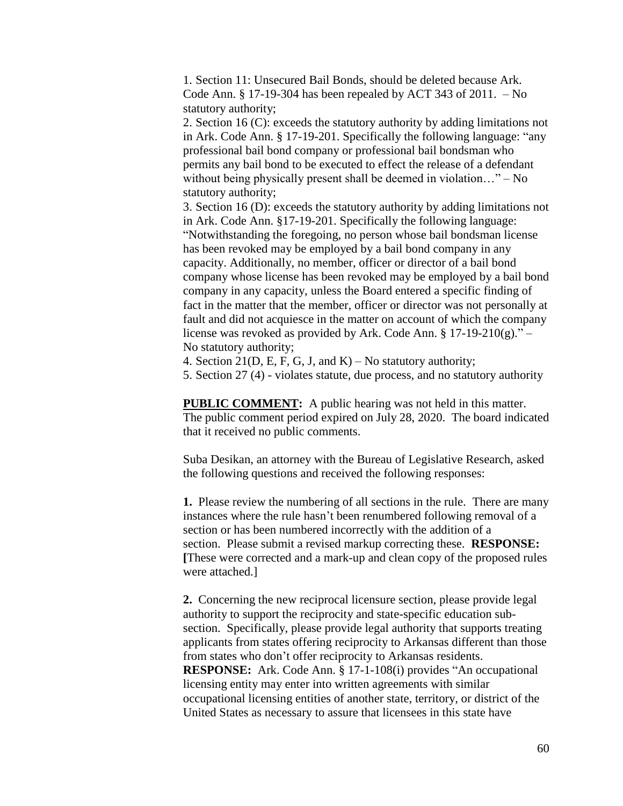1. Section 11: Unsecured Bail Bonds, should be deleted because Ark. Code Ann.  $\S 17-19-304$  has been repealed by ACT 343 of 2011.  $-$  No statutory authority;

2. Section 16 (C): exceeds the statutory authority by adding limitations not in Ark. Code Ann. § 17-19-201. Specifically the following language: "any professional bail bond company or professional bail bondsman who permits any bail bond to be executed to effect the release of a defendant without being physically present shall be deemed in violation..." – No statutory authority;

3. Section 16 (D): exceeds the statutory authority by adding limitations not in Ark. Code Ann. §17-19-201. Specifically the following language: "Notwithstanding the foregoing, no person whose bail bondsman license has been revoked may be employed by a bail bond company in any capacity. Additionally, no member, officer or director of a bail bond company whose license has been revoked may be employed by a bail bond company in any capacity, unless the Board entered a specific finding of fact in the matter that the member, officer or director was not personally at fault and did not acquiesce in the matter on account of which the company license was revoked as provided by Ark. Code Ann. §  $17-19-210(g)$ ." – No statutory authority;

4. Section 21(D, E, F, G, J, and K) – No statutory authority;

5. Section 27 (4) - violates statute, due process, and no statutory authority

**PUBLIC COMMENT:** A public hearing was not held in this matter. The public comment period expired on July 28, 2020. The board indicated that it received no public comments.

Suba Desikan, an attorney with the Bureau of Legislative Research, asked the following questions and received the following responses:

**1.** Please review the numbering of all sections in the rule. There are many instances where the rule hasn't been renumbered following removal of a section or has been numbered incorrectly with the addition of a section. Please submit a revised markup correcting these. **RESPONSE: [**These were corrected and a mark-up and clean copy of the proposed rules were attached.]

**2.** Concerning the new reciprocal licensure section, please provide legal authority to support the reciprocity and state-specific education subsection. Specifically, please provide legal authority that supports treating applicants from states offering reciprocity to Arkansas different than those from states who don't offer reciprocity to Arkansas residents. **RESPONSE:** Ark. Code Ann. § 17-1-108(i) provides "An occupational licensing entity may enter into written agreements with similar occupational licensing entities of another state, territory, or district of the United States as necessary to assure that licensees in this state have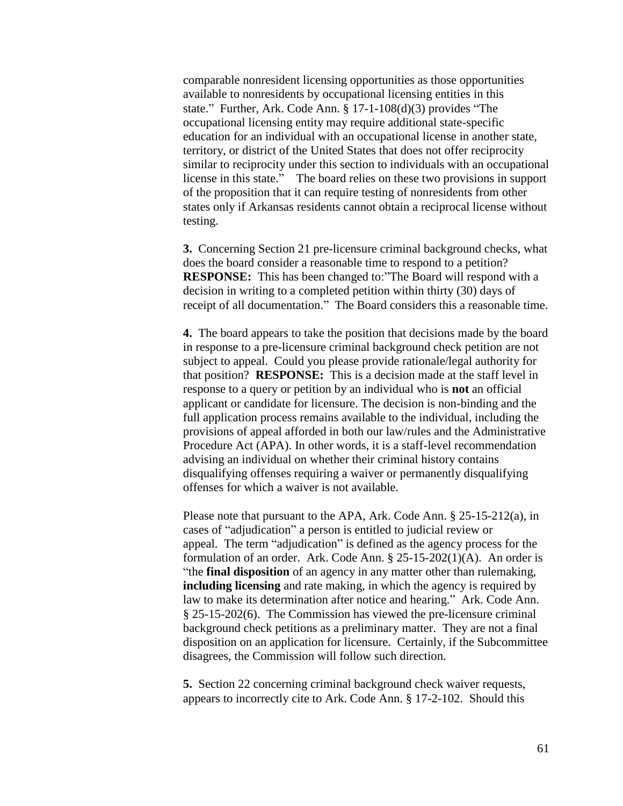comparable nonresident licensing opportunities as those opportunities available to nonresidents by occupational licensing entities in this state." Further, Ark. Code Ann. § 17-1-108(d)(3) provides "The occupational licensing entity may require additional state-specific education for an individual with an occupational license in another state, territory, or district of the United States that does not offer reciprocity similar to reciprocity under this section to individuals with an occupational license in this state." The board relies on these two provisions in support of the proposition that it can require testing of nonresidents from other states only if Arkansas residents cannot obtain a reciprocal license without testing.

**3.** Concerning Section 21 pre-licensure criminal background checks, what does the board consider a reasonable time to respond to a petition? **RESPONSE:** This has been changed to:"The Board will respond with a decision in writing to a completed petition within thirty (30) days of receipt of all documentation." The Board considers this a reasonable time.

**4.** The board appears to take the position that decisions made by the board in response to a pre-licensure criminal background check petition are not subject to appeal. Could you please provide rationale/legal authority for that position? **RESPONSE:** This is a decision made at the staff level in response to a query or petition by an individual who is **not** an official applicant or candidate for licensure. The decision is non-binding and the full application process remains available to the individual, including the provisions of appeal afforded in both our law/rules and the Administrative Procedure Act (APA). In other words, it is a staff-level recommendation advising an individual on whether their criminal history contains disqualifying offenses requiring a waiver or permanently disqualifying offenses for which a waiver is not available.

Please note that pursuant to the APA, Ark. Code Ann. § 25-15-212(a), in cases of "adjudication" a person is entitled to judicial review or appeal. The term "adjudication" is defined as the agency process for the formulation of an order. Ark. Code Ann. § 25-15-202(1)(A). An order is "the **final disposition** of an agency in any matter other than rulemaking, **including licensing** and rate making, in which the agency is required by law to make its determination after notice and hearing." Ark. Code Ann. § 25-15-202(6). The Commission has viewed the pre-licensure criminal background check petitions as a preliminary matter. They are not a final disposition on an application for licensure. Certainly, if the Subcommittee disagrees, the Commission will follow such direction.

**5.** Section 22 concerning criminal background check waiver requests, appears to incorrectly cite to Ark. Code Ann. § 17-2-102. Should this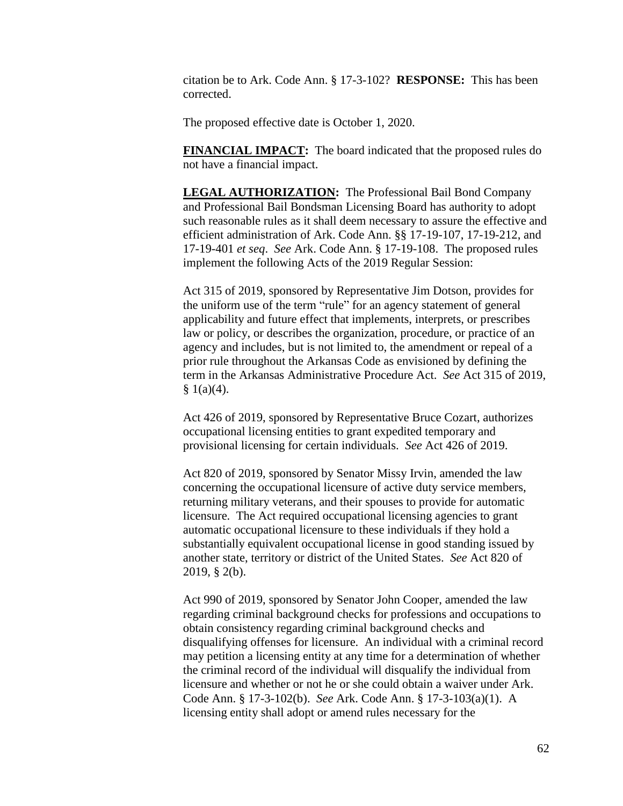citation be to Ark. Code Ann. § 17-3-102? **RESPONSE:** This has been corrected.

The proposed effective date is October 1, 2020.

**FINANCIAL IMPACT:** The board indicated that the proposed rules do not have a financial impact.

**LEGAL AUTHORIZATION:** The Professional Bail Bond Company and Professional Bail Bondsman Licensing Board has authority to adopt such reasonable rules as it shall deem necessary to assure the effective and efficient administration of Ark. Code Ann. §§ 17-19-107, 17-19-212, and 17-19-401 *et seq*. *See* Ark. Code Ann. § 17-19-108. The proposed rules implement the following Acts of the 2019 Regular Session:

Act 315 of 2019, sponsored by Representative Jim Dotson, provides for the uniform use of the term "rule" for an agency statement of general applicability and future effect that implements, interprets, or prescribes law or policy, or describes the organization, procedure, or practice of an agency and includes, but is not limited to, the amendment or repeal of a prior rule throughout the Arkansas Code as envisioned by defining the term in the Arkansas Administrative Procedure Act. *See* Act 315 of 2019,  $§ 1(a)(4).$ 

Act 426 of 2019, sponsored by Representative Bruce Cozart, authorizes occupational licensing entities to grant expedited temporary and provisional licensing for certain individuals. *See* Act 426 of 2019.

Act 820 of 2019, sponsored by Senator Missy Irvin, amended the law concerning the occupational licensure of active duty service members, returning military veterans, and their spouses to provide for automatic licensure. The Act required occupational licensing agencies to grant automatic occupational licensure to these individuals if they hold a substantially equivalent occupational license in good standing issued by another state, territory or district of the United States. *See* Act 820 of 2019, § 2(b).

Act 990 of 2019, sponsored by Senator John Cooper, amended the law regarding criminal background checks for professions and occupations to obtain consistency regarding criminal background checks and disqualifying offenses for licensure. An individual with a criminal record may petition a licensing entity at any time for a determination of whether the criminal record of the individual will disqualify the individual from licensure and whether or not he or she could obtain a waiver under Ark. Code Ann. § 17-3-102(b). *See* Ark. Code Ann. § 17-3-103(a)(1). A licensing entity shall adopt or amend rules necessary for the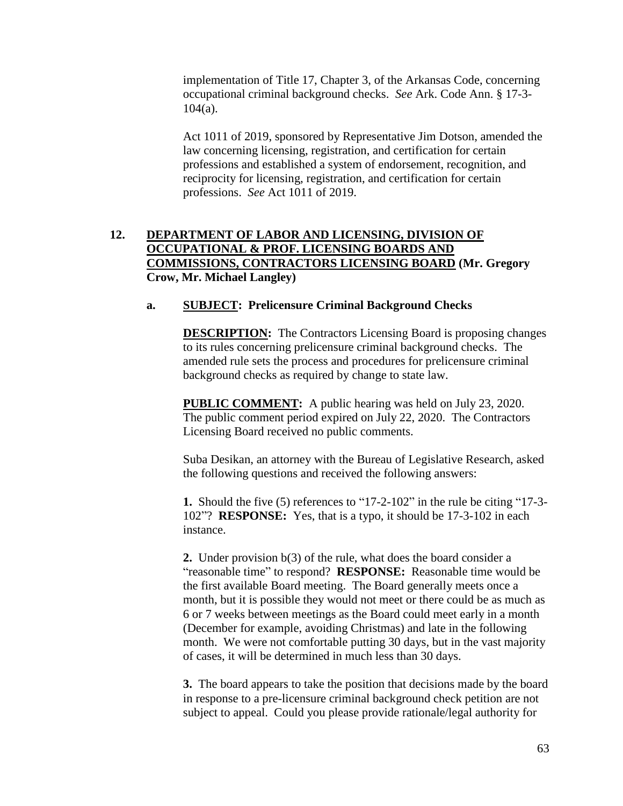implementation of Title 17, Chapter 3, of the Arkansas Code, concerning occupational criminal background checks. *See* Ark. Code Ann. § 17-3-  $104(a)$ .

Act 1011 of 2019, sponsored by Representative Jim Dotson, amended the law concerning licensing, registration, and certification for certain professions and established a system of endorsement, recognition, and reciprocity for licensing, registration, and certification for certain professions. *See* Act 1011 of 2019.

## **12. DEPARTMENT OF LABOR AND LICENSING, DIVISION OF OCCUPATIONAL & PROF. LICENSING BOARDS AND COMMISSIONS, CONTRACTORS LICENSING BOARD (Mr. Gregory Crow, Mr. Michael Langley)**

## **a. SUBJECT: Prelicensure Criminal Background Checks**

**DESCRIPTION:** The Contractors Licensing Board is proposing changes to its rules concerning prelicensure criminal background checks. The amended rule sets the process and procedures for prelicensure criminal background checks as required by change to state law.

**PUBLIC COMMENT:** A public hearing was held on July 23, 2020. The public comment period expired on July 22, 2020. The Contractors Licensing Board received no public comments.

Suba Desikan, an attorney with the Bureau of Legislative Research, asked the following questions and received the following answers:

**1.** Should the five (5) references to "17-2-102" in the rule be citing "17-3- 102"? **RESPONSE:** Yes, that is a typo, it should be 17-3-102 in each instance.

**2.** Under provision b(3) of the rule, what does the board consider a "reasonable time" to respond? **RESPONSE:** Reasonable time would be the first available Board meeting. The Board generally meets once a month, but it is possible they would not meet or there could be as much as 6 or 7 weeks between meetings as the Board could meet early in a month (December for example, avoiding Christmas) and late in the following month. We were not comfortable putting 30 days, but in the vast majority of cases, it will be determined in much less than 30 days.

**3.** The board appears to take the position that decisions made by the board in response to a pre-licensure criminal background check petition are not subject to appeal. Could you please provide rationale/legal authority for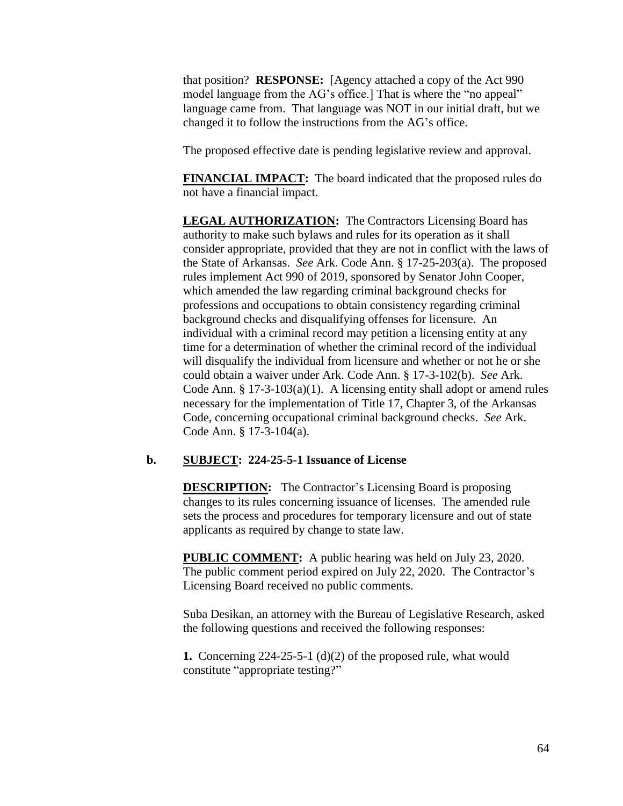that position? **RESPONSE:** [Agency attached a copy of the Act 990 model language from the AG's office.] That is where the "no appeal" language came from. That language was NOT in our initial draft, but we changed it to follow the instructions from the AG's office.

The proposed effective date is pending legislative review and approval.

**FINANCIAL IMPACT:** The board indicated that the proposed rules do not have a financial impact.

**LEGAL AUTHORIZATION:** The Contractors Licensing Board has authority to make such bylaws and rules for its operation as it shall consider appropriate, provided that they are not in conflict with the laws of the State of Arkansas. *See* Ark. Code Ann. § 17-25-203(a). The proposed rules implement Act 990 of 2019, sponsored by Senator John Cooper, which amended the law regarding criminal background checks for professions and occupations to obtain consistency regarding criminal background checks and disqualifying offenses for licensure. An individual with a criminal record may petition a licensing entity at any time for a determination of whether the criminal record of the individual will disqualify the individual from licensure and whether or not he or she could obtain a waiver under Ark. Code Ann. § 17-3-102(b). *See* Ark. Code Ann. § 17-3-103(a)(1). A licensing entity shall adopt or amend rules necessary for the implementation of Title 17, Chapter 3, of the Arkansas Code, concerning occupational criminal background checks. *See* Ark. Code Ann. § 17-3-104(a).

#### **b. SUBJECT: 224-25-5-1 Issuance of License**

**DESCRIPTION:** The Contractor's Licensing Board is proposing changes to its rules concerning issuance of licenses. The amended rule sets the process and procedures for temporary licensure and out of state applicants as required by change to state law.

**PUBLIC COMMENT:** A public hearing was held on July 23, 2020. The public comment period expired on July 22, 2020. The Contractor's Licensing Board received no public comments.

Suba Desikan, an attorney with the Bureau of Legislative Research, asked the following questions and received the following responses:

**1.** Concerning 224-25-5-1 (d)(2) of the proposed rule, what would constitute "appropriate testing?"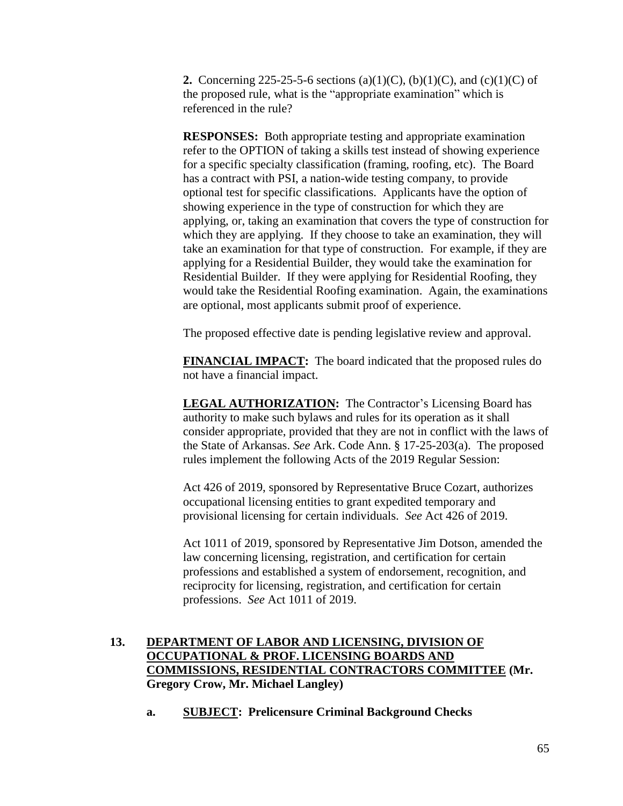**2.** Concerning 225-25-5-6 sections (a)(1)(C), (b)(1)(C), and (c)(1)(C) of the proposed rule, what is the "appropriate examination" which is referenced in the rule?

**RESPONSES:** Both appropriate testing and appropriate examination refer to the OPTION of taking a skills test instead of showing experience for a specific specialty classification (framing, roofing, etc). The Board has a contract with PSI, a nation-wide testing company, to provide optional test for specific classifications. Applicants have the option of showing experience in the type of construction for which they are applying, or, taking an examination that covers the type of construction for which they are applying. If they choose to take an examination, they will take an examination for that type of construction. For example, if they are applying for a Residential Builder, they would take the examination for Residential Builder. If they were applying for Residential Roofing, they would take the Residential Roofing examination. Again, the examinations are optional, most applicants submit proof of experience.

The proposed effective date is pending legislative review and approval.

**FINANCIAL IMPACT:** The board indicated that the proposed rules do not have a financial impact.

**LEGAL AUTHORIZATION:** The Contractor's Licensing Board has authority to make such bylaws and rules for its operation as it shall consider appropriate, provided that they are not in conflict with the laws of the State of Arkansas. *See* Ark. Code Ann. § 17-25-203(a). The proposed rules implement the following Acts of the 2019 Regular Session:

Act 426 of 2019, sponsored by Representative Bruce Cozart, authorizes occupational licensing entities to grant expedited temporary and provisional licensing for certain individuals. *See* Act 426 of 2019.

Act 1011 of 2019, sponsored by Representative Jim Dotson, amended the law concerning licensing, registration, and certification for certain professions and established a system of endorsement, recognition, and reciprocity for licensing, registration, and certification for certain professions. *See* Act 1011 of 2019.

# **13. DEPARTMENT OF LABOR AND LICENSING, DIVISION OF OCCUPATIONAL & PROF. LICENSING BOARDS AND COMMISSIONS, RESIDENTIAL CONTRACTORS COMMITTEE (Mr. Gregory Crow, Mr. Michael Langley)**

**a. SUBJECT: Prelicensure Criminal Background Checks**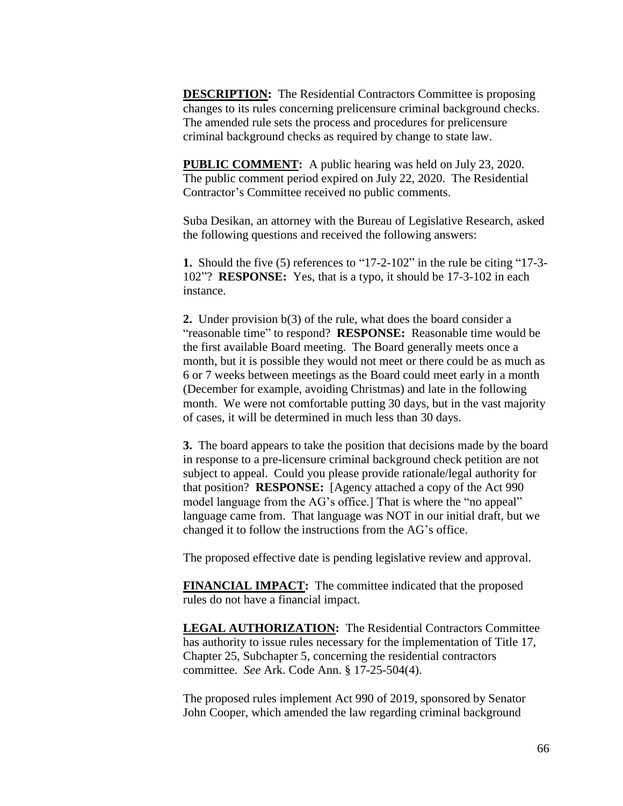**DESCRIPTION:** The Residential Contractors Committee is proposing changes to its rules concerning prelicensure criminal background checks. The amended rule sets the process and procedures for prelicensure criminal background checks as required by change to state law.

**PUBLIC COMMENT:** A public hearing was held on July 23, 2020. The public comment period expired on July 22, 2020. The Residential Contractor's Committee received no public comments.

Suba Desikan, an attorney with the Bureau of Legislative Research, asked the following questions and received the following answers:

**1.** Should the five (5) references to "17-2-102" in the rule be citing "17-3- 102"? **RESPONSE:** Yes, that is a typo, it should be 17-3-102 in each instance.

**2.** Under provision b(3) of the rule, what does the board consider a "reasonable time" to respond? **RESPONSE:** Reasonable time would be the first available Board meeting. The Board generally meets once a month, but it is possible they would not meet or there could be as much as 6 or 7 weeks between meetings as the Board could meet early in a month (December for example, avoiding Christmas) and late in the following month. We were not comfortable putting 30 days, but in the vast majority of cases, it will be determined in much less than 30 days.

**3.** The board appears to take the position that decisions made by the board in response to a pre-licensure criminal background check petition are not subject to appeal. Could you please provide rationale/legal authority for that position? **RESPONSE:** [Agency attached a copy of the Act 990 model language from the AG's office.] That is where the "no appeal" language came from. That language was NOT in our initial draft, but we changed it to follow the instructions from the AG's office.

The proposed effective date is pending legislative review and approval.

**FINANCIAL IMPACT:** The committee indicated that the proposed rules do not have a financial impact.

**LEGAL AUTHORIZATION:** The Residential Contractors Committee has authority to issue rules necessary for the implementation of Title 17, Chapter 25, Subchapter 5, concerning the residential contractors committee. *See* Ark. Code Ann. § 17-25-504(4).

The proposed rules implement Act 990 of 2019, sponsored by Senator John Cooper, which amended the law regarding criminal background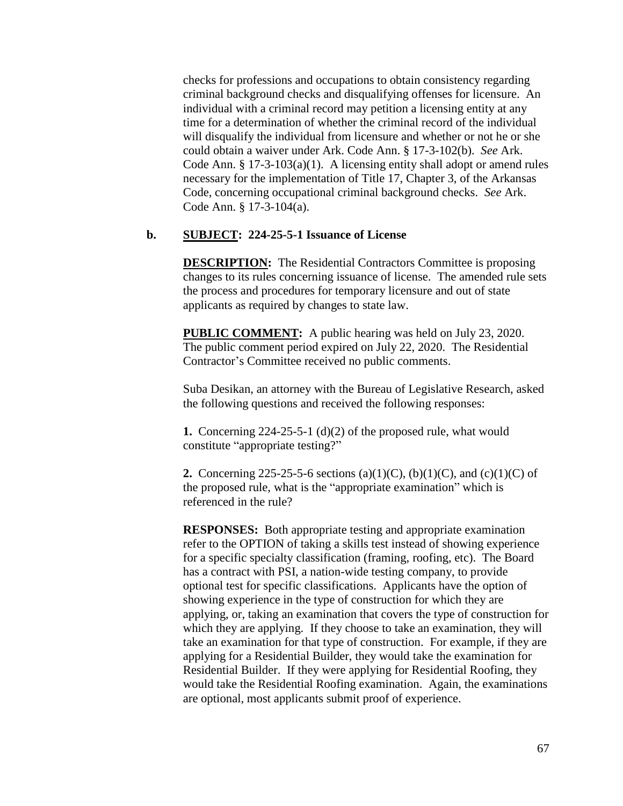checks for professions and occupations to obtain consistency regarding criminal background checks and disqualifying offenses for licensure. An individual with a criminal record may petition a licensing entity at any time for a determination of whether the criminal record of the individual will disqualify the individual from licensure and whether or not he or she could obtain a waiver under Ark. Code Ann. § 17-3-102(b). *See* Ark. Code Ann. § 17-3-103(a)(1). A licensing entity shall adopt or amend rules necessary for the implementation of Title 17, Chapter 3, of the Arkansas Code, concerning occupational criminal background checks. *See* Ark. Code Ann. § 17-3-104(a).

## **b. SUBJECT: 224-25-5-1 Issuance of License**

**DESCRIPTION:** The Residential Contractors Committee is proposing changes to its rules concerning issuance of license. The amended rule sets the process and procedures for temporary licensure and out of state applicants as required by changes to state law.

**PUBLIC COMMENT:** A public hearing was held on July 23, 2020. The public comment period expired on July 22, 2020. The Residential Contractor's Committee received no public comments.

Suba Desikan, an attorney with the Bureau of Legislative Research, asked the following questions and received the following responses:

**1.** Concerning 224-25-5-1 (d)(2) of the proposed rule, what would constitute "appropriate testing?"

**2.** Concerning 225-25-5-6 sections (a)(1)(C), (b)(1)(C), and (c)(1)(C) of the proposed rule, what is the "appropriate examination" which is referenced in the rule?

**RESPONSES:** Both appropriate testing and appropriate examination refer to the OPTION of taking a skills test instead of showing experience for a specific specialty classification (framing, roofing, etc). The Board has a contract with PSI, a nation-wide testing company, to provide optional test for specific classifications. Applicants have the option of showing experience in the type of construction for which they are applying, or, taking an examination that covers the type of construction for which they are applying. If they choose to take an examination, they will take an examination for that type of construction. For example, if they are applying for a Residential Builder, they would take the examination for Residential Builder. If they were applying for Residential Roofing, they would take the Residential Roofing examination. Again, the examinations are optional, most applicants submit proof of experience.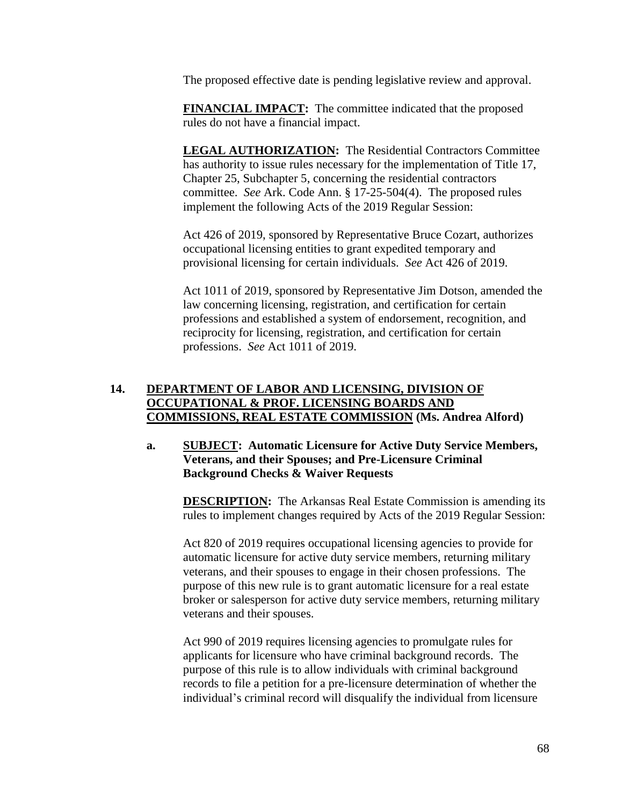The proposed effective date is pending legislative review and approval.

**FINANCIAL IMPACT:** The committee indicated that the proposed rules do not have a financial impact.

**LEGAL AUTHORIZATION:** The Residential Contractors Committee has authority to issue rules necessary for the implementation of Title 17, Chapter 25, Subchapter 5, concerning the residential contractors committee. *See* Ark. Code Ann. § 17-25-504(4). The proposed rules implement the following Acts of the 2019 Regular Session:

Act 426 of 2019, sponsored by Representative Bruce Cozart, authorizes occupational licensing entities to grant expedited temporary and provisional licensing for certain individuals. *See* Act 426 of 2019.

Act 1011 of 2019, sponsored by Representative Jim Dotson, amended the law concerning licensing, registration, and certification for certain professions and established a system of endorsement, recognition, and reciprocity for licensing, registration, and certification for certain professions. *See* Act 1011 of 2019.

## **14. DEPARTMENT OF LABOR AND LICENSING, DIVISION OF OCCUPATIONAL & PROF. LICENSING BOARDS AND COMMISSIONS, REAL ESTATE COMMISSION (Ms. Andrea Alford)**

## **a. SUBJECT: Automatic Licensure for Active Duty Service Members, Veterans, and their Spouses; and Pre-Licensure Criminal Background Checks & Waiver Requests**

**DESCRIPTION:** The Arkansas Real Estate Commission is amending its rules to implement changes required by Acts of the 2019 Regular Session:

Act 820 of 2019 requires occupational licensing agencies to provide for automatic licensure for active duty service members, returning military veterans, and their spouses to engage in their chosen professions. The purpose of this new rule is to grant automatic licensure for a real estate broker or salesperson for active duty service members, returning military veterans and their spouses.

Act 990 of 2019 requires licensing agencies to promulgate rules for applicants for licensure who have criminal background records. The purpose of this rule is to allow individuals with criminal background records to file a petition for a pre-licensure determination of whether the individual's criminal record will disqualify the individual from licensure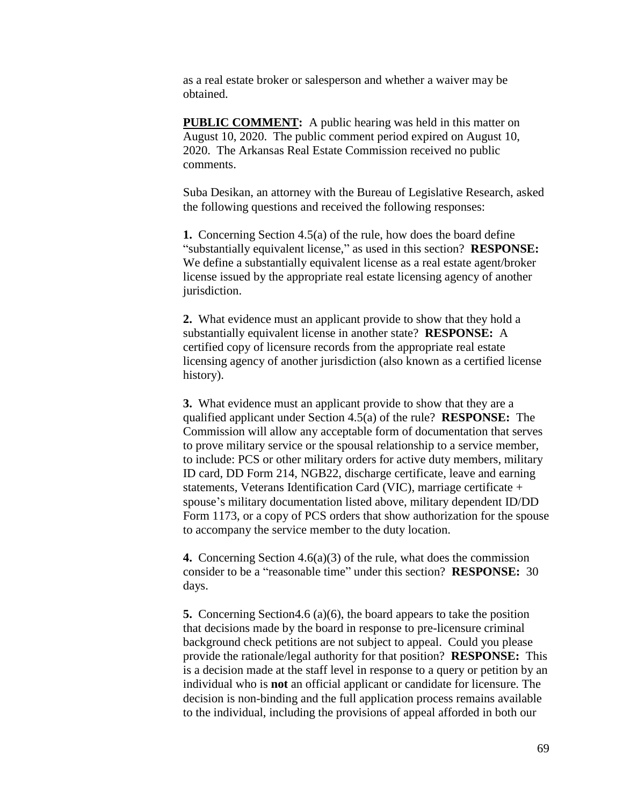as a real estate broker or salesperson and whether a waiver may be obtained.

**PUBLIC COMMENT:** A public hearing was held in this matter on August 10, 2020. The public comment period expired on August 10, 2020. The Arkansas Real Estate Commission received no public comments.

Suba Desikan, an attorney with the Bureau of Legislative Research, asked the following questions and received the following responses:

**1.** Concerning Section 4.5(a) of the rule, how does the board define "substantially equivalent license," as used in this section? **RESPONSE:** We define a substantially equivalent license as a real estate agent/broker license issued by the appropriate real estate licensing agency of another jurisdiction.

**2.** What evidence must an applicant provide to show that they hold a substantially equivalent license in another state? **RESPONSE:** A certified copy of licensure records from the appropriate real estate licensing agency of another jurisdiction (also known as a certified license history).

**3.** What evidence must an applicant provide to show that they are a qualified applicant under Section 4.5(a) of the rule? **RESPONSE:** The Commission will allow any acceptable form of documentation that serves to prove military service or the spousal relationship to a service member, to include: PCS or other military orders for active duty members, military ID card, DD Form 214, NGB22, discharge certificate, leave and earning statements, Veterans Identification Card (VIC), marriage certificate + spouse's military documentation listed above, military dependent ID/DD Form 1173, or a copy of PCS orders that show authorization for the spouse to accompany the service member to the duty location.

**4.** Concerning Section 4.6(a)(3) of the rule, what does the commission consider to be a "reasonable time" under this section? **RESPONSE:** 30 days.

**5.** Concerning Section4.6 (a)(6), the board appears to take the position that decisions made by the board in response to pre-licensure criminal background check petitions are not subject to appeal. Could you please provide the rationale/legal authority for that position? **RESPONSE:** This is a decision made at the staff level in response to a query or petition by an individual who is **not** an official applicant or candidate for licensure. The decision is non-binding and the full application process remains available to the individual, including the provisions of appeal afforded in both our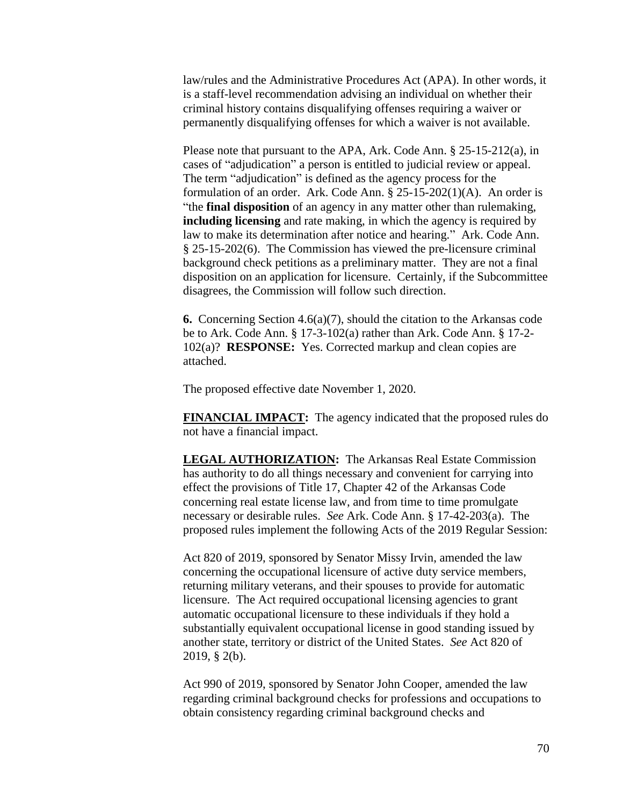law/rules and the Administrative Procedures Act (APA). In other words, it is a staff-level recommendation advising an individual on whether their criminal history contains disqualifying offenses requiring a waiver or permanently disqualifying offenses for which a waiver is not available.

Please note that pursuant to the APA, Ark. Code Ann. § 25-15-212(a), in cases of "adjudication" a person is entitled to judicial review or appeal. The term "adjudication" is defined as the agency process for the formulation of an order. Ark. Code Ann. § 25-15-202(1)(A). An order is "the **final disposition** of an agency in any matter other than rulemaking, **including licensing** and rate making, in which the agency is required by law to make its determination after notice and hearing." Ark. Code Ann. § 25-15-202(6). The Commission has viewed the pre-licensure criminal background check petitions as a preliminary matter. They are not a final disposition on an application for licensure. Certainly, if the Subcommittee disagrees, the Commission will follow such direction.

**6.** Concerning Section 4.6(a)(7), should the citation to the Arkansas code be to Ark. Code Ann. § 17-3-102(a) rather than Ark. Code Ann. § 17-2- 102(a)? **RESPONSE:** Yes. Corrected markup and clean copies are attached.

The proposed effective date November 1, 2020.

**FINANCIAL IMPACT:** The agency indicated that the proposed rules do not have a financial impact.

**LEGAL AUTHORIZATION:** The Arkansas Real Estate Commission has authority to do all things necessary and convenient for carrying into effect the provisions of Title 17, Chapter 42 of the Arkansas Code concerning real estate license law, and from time to time promulgate necessary or desirable rules. *See* Ark. Code Ann. § 17-42-203(a). The proposed rules implement the following Acts of the 2019 Regular Session:

Act 820 of 2019, sponsored by Senator Missy Irvin, amended the law concerning the occupational licensure of active duty service members, returning military veterans, and their spouses to provide for automatic licensure. The Act required occupational licensing agencies to grant automatic occupational licensure to these individuals if they hold a substantially equivalent occupational license in good standing issued by another state, territory or district of the United States. *See* Act 820 of 2019, § 2(b).

Act 990 of 2019, sponsored by Senator John Cooper, amended the law regarding criminal background checks for professions and occupations to obtain consistency regarding criminal background checks and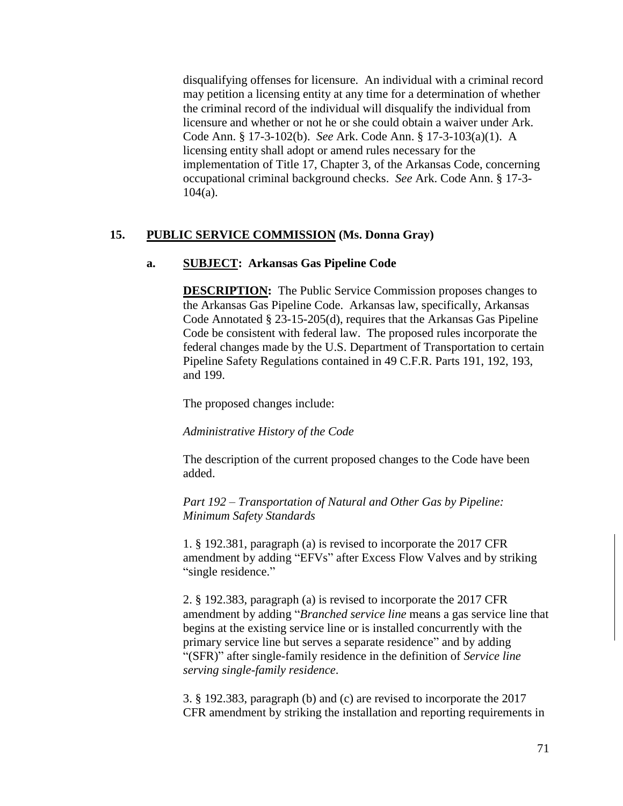disqualifying offenses for licensure. An individual with a criminal record may petition a licensing entity at any time for a determination of whether the criminal record of the individual will disqualify the individual from licensure and whether or not he or she could obtain a waiver under Ark. Code Ann. § 17-3-102(b). *See* Ark. Code Ann. § 17-3-103(a)(1). A licensing entity shall adopt or amend rules necessary for the implementation of Title 17, Chapter 3, of the Arkansas Code, concerning occupational criminal background checks. *See* Ark. Code Ann. § 17-3- 104(a).

### **15. PUBLIC SERVICE COMMISSION (Ms. Donna Gray)**

#### **a. SUBJECT: Arkansas Gas Pipeline Code**

**DESCRIPTION:** The Public Service Commission proposes changes to the Arkansas Gas Pipeline Code. Arkansas law, specifically, Arkansas Code Annotated § 23-15-205(d), requires that the Arkansas Gas Pipeline Code be consistent with federal law. The proposed rules incorporate the federal changes made by the U.S. Department of Transportation to certain Pipeline Safety Regulations contained in 49 C.F.R. Parts 191, 192, 193, and 199.

The proposed changes include:

*Administrative History of the Code*

The description of the current proposed changes to the Code have been added.

*Part 192 – Transportation of Natural and Other Gas by Pipeline: Minimum Safety Standards*

1. § 192.381, paragraph (a) is revised to incorporate the 2017 CFR amendment by adding "EFVs" after Excess Flow Valves and by striking "single residence."

2. § 192.383, paragraph (a) is revised to incorporate the 2017 CFR amendment by adding "*Branched service line* means a gas service line that begins at the existing service line or is installed concurrently with the primary service line but serves a separate residence" and by adding "(SFR)" after single-family residence in the definition of *Service line serving single-family residence*.

3. § 192.383, paragraph (b) and (c) are revised to incorporate the 2017 CFR amendment by striking the installation and reporting requirements in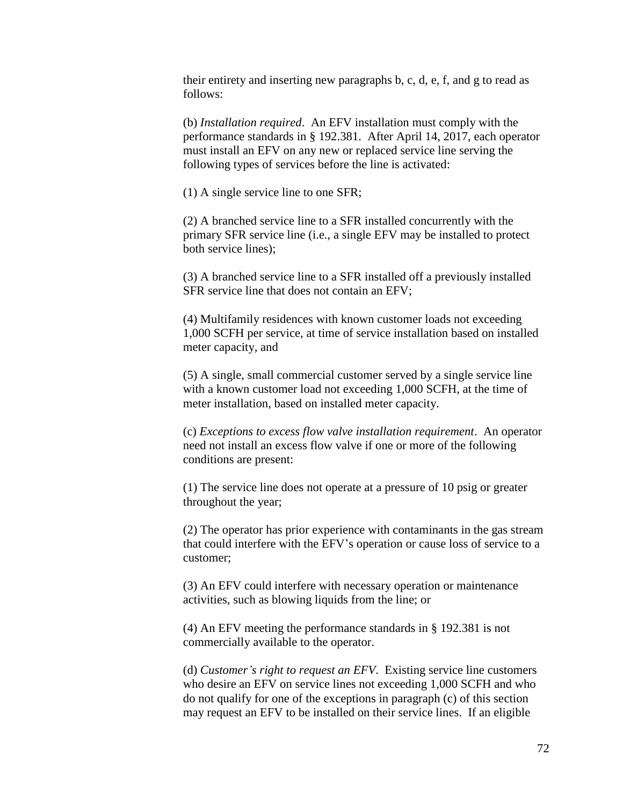their entirety and inserting new paragraphs b, c, d, e, f, and g to read as follows:

(b) *Installation required*. An EFV installation must comply with the performance standards in § 192.381. After April 14, 2017, each operator must install an EFV on any new or replaced service line serving the following types of services before the line is activated:

(1) A single service line to one SFR;

(2) A branched service line to a SFR installed concurrently with the primary SFR service line (i.e., a single EFV may be installed to protect both service lines);

(3) A branched service line to a SFR installed off a previously installed SFR service line that does not contain an EFV;

(4) Multifamily residences with known customer loads not exceeding 1,000 SCFH per service, at time of service installation based on installed meter capacity, and

(5) A single, small commercial customer served by a single service line with a known customer load not exceeding 1,000 SCFH, at the time of meter installation, based on installed meter capacity.

(c) *Exceptions to excess flow valve installation requirement*. An operator need not install an excess flow valve if one or more of the following conditions are present:

(1) The service line does not operate at a pressure of 10 psig or greater throughout the year;

(2) The operator has prior experience with contaminants in the gas stream that could interfere with the EFV's operation or cause loss of service to a customer;

(3) An EFV could interfere with necessary operation or maintenance activities, such as blowing liquids from the line; or

(4) An EFV meeting the performance standards in § 192.381 is not commercially available to the operator.

(d) *Customer's right to request an EFV*. Existing service line customers who desire an EFV on service lines not exceeding 1,000 SCFH and who do not qualify for one of the exceptions in paragraph (c) of this section may request an EFV to be installed on their service lines. If an eligible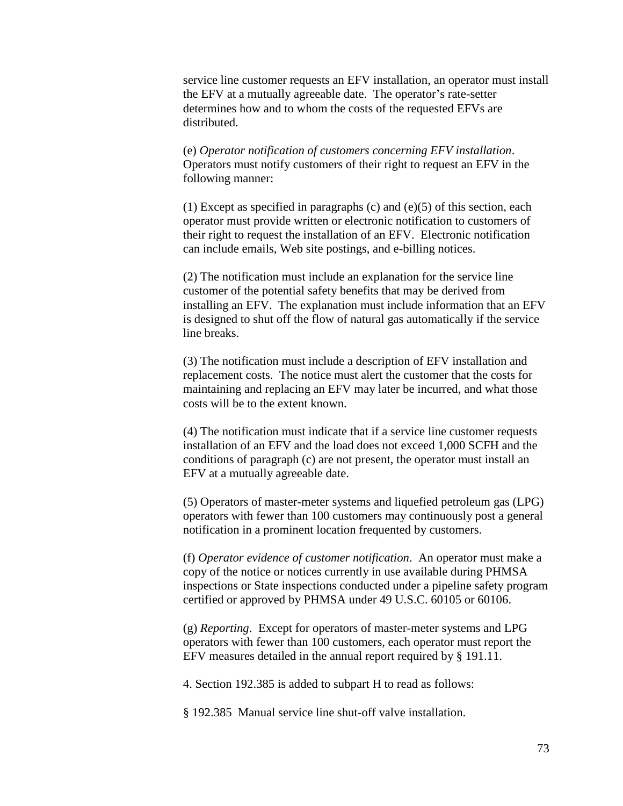service line customer requests an EFV installation, an operator must install the EFV at a mutually agreeable date. The operator's rate-setter determines how and to whom the costs of the requested EFVs are distributed.

(e) *Operator notification of customers concerning EFV installation*. Operators must notify customers of their right to request an EFV in the following manner:

(1) Except as specified in paragraphs (c) and (e)(5) of this section, each operator must provide written or electronic notification to customers of their right to request the installation of an EFV. Electronic notification can include emails, Web site postings, and e-billing notices.

(2) The notification must include an explanation for the service line customer of the potential safety benefits that may be derived from installing an EFV. The explanation must include information that an EFV is designed to shut off the flow of natural gas automatically if the service line breaks.

(3) The notification must include a description of EFV installation and replacement costs. The notice must alert the customer that the costs for maintaining and replacing an EFV may later be incurred, and what those costs will be to the extent known.

(4) The notification must indicate that if a service line customer requests installation of an EFV and the load does not exceed 1,000 SCFH and the conditions of paragraph (c) are not present, the operator must install an EFV at a mutually agreeable date.

(5) Operators of master-meter systems and liquefied petroleum gas (LPG) operators with fewer than 100 customers may continuously post a general notification in a prominent location frequented by customers.

(f) *Operator evidence of customer notification*. An operator must make a copy of the notice or notices currently in use available during PHMSA inspections or State inspections conducted under a pipeline safety program certified or approved by PHMSA under 49 U.S.C. 60105 or 60106.

(g) *Reporting*. Except for operators of master-meter systems and LPG operators with fewer than 100 customers, each operator must report the EFV measures detailed in the annual report required by § 191.11.

4. Section 192.385 is added to subpart H to read as follows:

§ 192.385 Manual service line shut-off valve installation.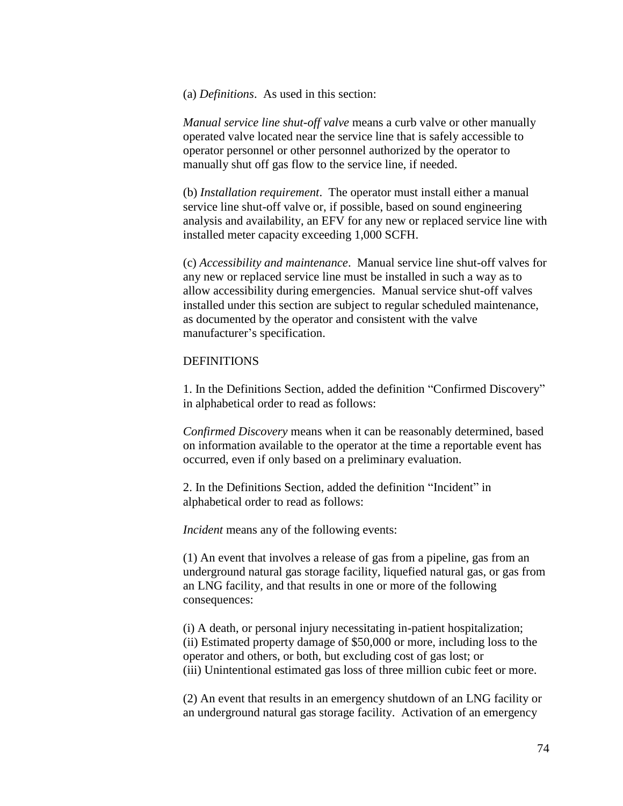(a) *Definitions*. As used in this section:

*Manual service line shut-off valve* means a curb valve or other manually operated valve located near the service line that is safely accessible to operator personnel or other personnel authorized by the operator to manually shut off gas flow to the service line, if needed.

(b) *Installation requirement*. The operator must install either a manual service line shut-off valve or, if possible, based on sound engineering analysis and availability, an EFV for any new or replaced service line with installed meter capacity exceeding 1,000 SCFH.

(c) *Accessibility and maintenance*. Manual service line shut-off valves for any new or replaced service line must be installed in such a way as to allow accessibility during emergencies. Manual service shut-off valves installed under this section are subject to regular scheduled maintenance, as documented by the operator and consistent with the valve manufacturer's specification.

## **DEFINITIONS**

1. In the Definitions Section, added the definition "Confirmed Discovery" in alphabetical order to read as follows:

*Confirmed Discovery* means when it can be reasonably determined, based on information available to the operator at the time a reportable event has occurred, even if only based on a preliminary evaluation.

2. In the Definitions Section, added the definition "Incident" in alphabetical order to read as follows:

*Incident* means any of the following events:

(1) An event that involves a release of gas from a pipeline, gas from an underground natural gas storage facility, liquefied natural gas, or gas from an LNG facility, and that results in one or more of the following consequences:

(i) A death, or personal injury necessitating in-patient hospitalization; (ii) Estimated property damage of \$50,000 or more, including loss to the operator and others, or both, but excluding cost of gas lost; or (iii) Unintentional estimated gas loss of three million cubic feet or more.

(2) An event that results in an emergency shutdown of an LNG facility or an underground natural gas storage facility. Activation of an emergency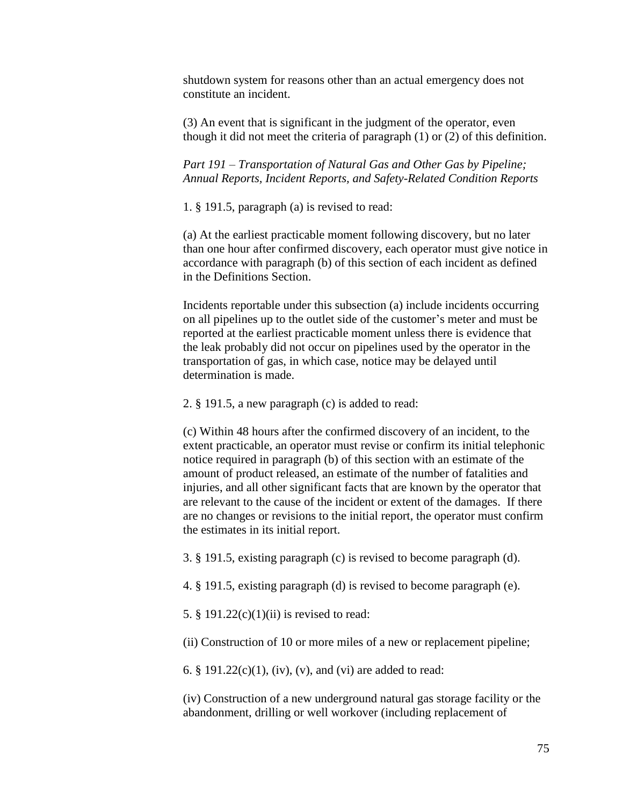shutdown system for reasons other than an actual emergency does not constitute an incident.

(3) An event that is significant in the judgment of the operator, even though it did not meet the criteria of paragraph (1) or (2) of this definition.

*Part 191 – Transportation of Natural Gas and Other Gas by Pipeline; Annual Reports, Incident Reports, and Safety-Related Condition Reports*

1. § 191.5, paragraph (a) is revised to read:

(a) At the earliest practicable moment following discovery, but no later than one hour after confirmed discovery, each operator must give notice in accordance with paragraph (b) of this section of each incident as defined in the Definitions Section.

Incidents reportable under this subsection (a) include incidents occurring on all pipelines up to the outlet side of the customer's meter and must be reported at the earliest practicable moment unless there is evidence that the leak probably did not occur on pipelines used by the operator in the transportation of gas, in which case, notice may be delayed until determination is made.

2. § 191.5, a new paragraph (c) is added to read:

(c) Within 48 hours after the confirmed discovery of an incident, to the extent practicable, an operator must revise or confirm its initial telephonic notice required in paragraph (b) of this section with an estimate of the amount of product released, an estimate of the number of fatalities and injuries, and all other significant facts that are known by the operator that are relevant to the cause of the incident or extent of the damages. If there are no changes or revisions to the initial report, the operator must confirm the estimates in its initial report.

3. § 191.5, existing paragraph (c) is revised to become paragraph (d).

4. § 191.5, existing paragraph (d) is revised to become paragraph (e).

5. § 191.22 $(c)(1)(ii)$  is revised to read:

(ii) Construction of 10 or more miles of a new or replacement pipeline;

6. § 191.22(c)(1), (iv), (v), and (vi) are added to read:

(iv) Construction of a new underground natural gas storage facility or the abandonment, drilling or well workover (including replacement of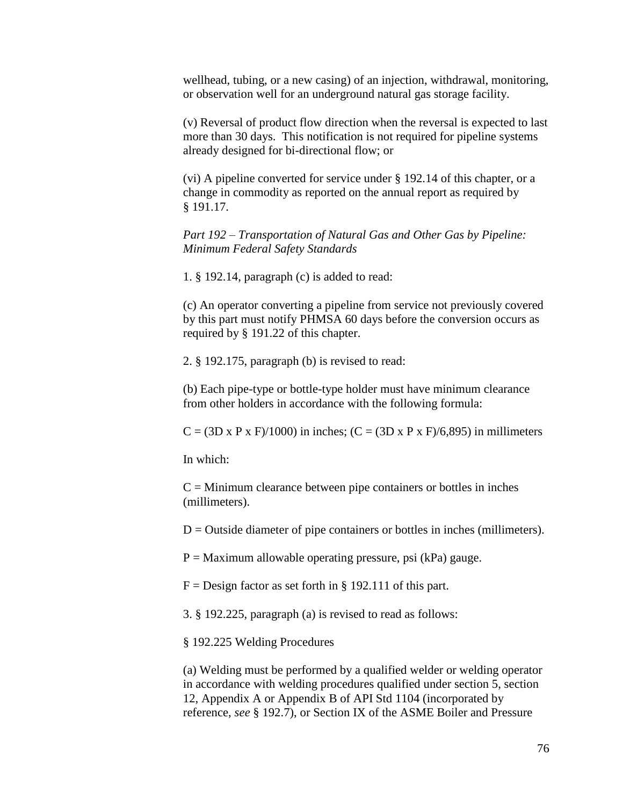wellhead, tubing, or a new casing) of an injection, withdrawal, monitoring, or observation well for an underground natural gas storage facility.

(v) Reversal of product flow direction when the reversal is expected to last more than 30 days. This notification is not required for pipeline systems already designed for bi-directional flow; or

(vi) A pipeline converted for service under § 192.14 of this chapter, or a change in commodity as reported on the annual report as required by § 191.17.

*Part 192 – Transportation of Natural Gas and Other Gas by Pipeline: Minimum Federal Safety Standards*

1. § 192.14, paragraph (c) is added to read:

(c) An operator converting a pipeline from service not previously covered by this part must notify PHMSA 60 days before the conversion occurs as required by § 191.22 of this chapter.

2. § 192.175, paragraph (b) is revised to read:

(b) Each pipe-type or bottle-type holder must have minimum clearance from other holders in accordance with the following formula:

 $C = (3D \times P \times F)/1000$  in inches;  $(C = (3D \times P \times F)/6,895)$  in millimeters

In which:

 $C =$  Minimum clearance between pipe containers or bottles in inches (millimeters).

 $D =$  Outside diameter of pipe containers or bottles in inches (millimeters).

 $P =$  Maximum allowable operating pressure, psi (kPa) gauge.

 $F =$  Design factor as set forth in § 192.111 of this part.

3. § 192.225, paragraph (a) is revised to read as follows:

§ 192.225 Welding Procedures

(a) Welding must be performed by a qualified welder or welding operator in accordance with welding procedures qualified under section 5, section 12, Appendix A or Appendix B of API Std 1104 (incorporated by reference, *see* § 192.7), or Section IX of the ASME Boiler and Pressure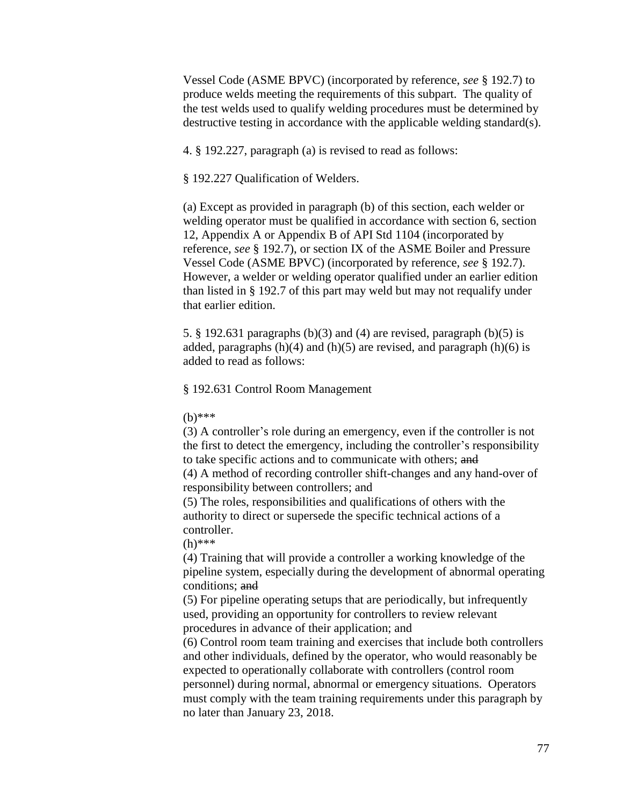Vessel Code (ASME BPVC) (incorporated by reference, *see* § 192.7) to produce welds meeting the requirements of this subpart. The quality of the test welds used to qualify welding procedures must be determined by destructive testing in accordance with the applicable welding standard(s).

4. § 192.227, paragraph (a) is revised to read as follows:

§ 192.227 Qualification of Welders.

(a) Except as provided in paragraph (b) of this section, each welder or welding operator must be qualified in accordance with section 6, section 12, Appendix A or Appendix B of API Std 1104 (incorporated by reference, *see* § 192.7), or section IX of the ASME Boiler and Pressure Vessel Code (ASME BPVC) (incorporated by reference, *see* § 192.7). However, a welder or welding operator qualified under an earlier edition than listed in § 192.7 of this part may weld but may not requalify under that earlier edition.

5. § 192.631 paragraphs (b)(3) and (4) are revised, paragraph (b)(5) is added, paragraphs  $(h)(4)$  and  $(h)(5)$  are revised, and paragraph  $(h)(6)$  is added to read as follows:

§ 192.631 Control Room Management

(b)\*\*\*

(3) A controller's role during an emergency, even if the controller is not the first to detect the emergency, including the controller's responsibility to take specific actions and to communicate with others; and

(4) A method of recording controller shift-changes and any hand-over of responsibility between controllers; and

(5) The roles, responsibilities and qualifications of others with the authority to direct or supersede the specific technical actions of a controller.

(h)\*\*\*

(4) Training that will provide a controller a working knowledge of the pipeline system, especially during the development of abnormal operating conditions; and

(5) For pipeline operating setups that are periodically, but infrequently used, providing an opportunity for controllers to review relevant procedures in advance of their application; and

(6) Control room team training and exercises that include both controllers and other individuals, defined by the operator, who would reasonably be expected to operationally collaborate with controllers (control room personnel) during normal, abnormal or emergency situations. Operators must comply with the team training requirements under this paragraph by no later than January 23, 2018.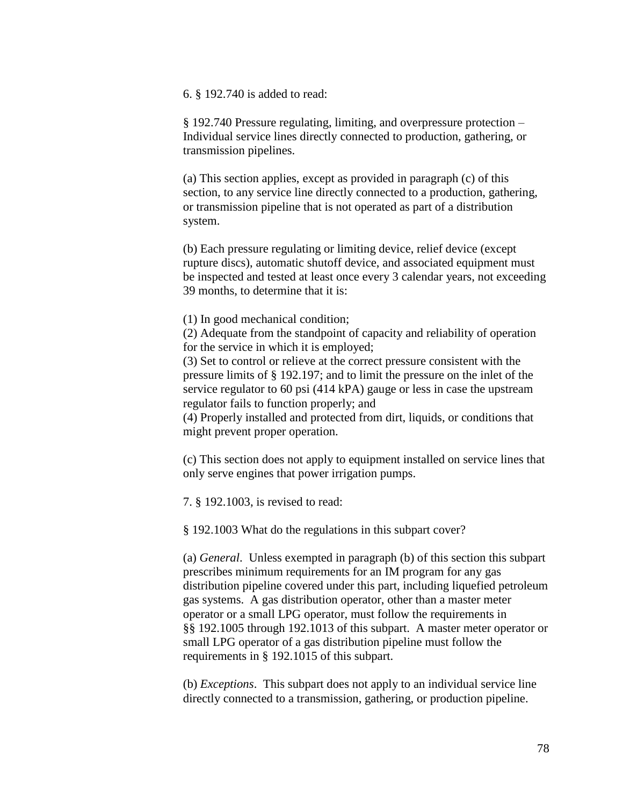6. § 192.740 is added to read:

§ 192.740 Pressure regulating, limiting, and overpressure protection – Individual service lines directly connected to production, gathering, or transmission pipelines.

(a) This section applies, except as provided in paragraph (c) of this section, to any service line directly connected to a production, gathering, or transmission pipeline that is not operated as part of a distribution system.

(b) Each pressure regulating or limiting device, relief device (except rupture discs), automatic shutoff device, and associated equipment must be inspected and tested at least once every 3 calendar years, not exceeding 39 months, to determine that it is:

(1) In good mechanical condition;

(2) Adequate from the standpoint of capacity and reliability of operation for the service in which it is employed;

(3) Set to control or relieve at the correct pressure consistent with the pressure limits of § 192.197; and to limit the pressure on the inlet of the service regulator to 60 psi (414 kPA) gauge or less in case the upstream regulator fails to function properly; and

(4) Properly installed and protected from dirt, liquids, or conditions that might prevent proper operation.

(c) This section does not apply to equipment installed on service lines that only serve engines that power irrigation pumps.

7. § 192.1003, is revised to read:

§ 192.1003 What do the regulations in this subpart cover?

(a) *General*. Unless exempted in paragraph (b) of this section this subpart prescribes minimum requirements for an IM program for any gas distribution pipeline covered under this part, including liquefied petroleum gas systems. A gas distribution operator, other than a master meter operator or a small LPG operator, must follow the requirements in §§ 192.1005 through 192.1013 of this subpart. A master meter operator or small LPG operator of a gas distribution pipeline must follow the requirements in § 192.1015 of this subpart.

(b) *Exceptions*. This subpart does not apply to an individual service line directly connected to a transmission, gathering, or production pipeline.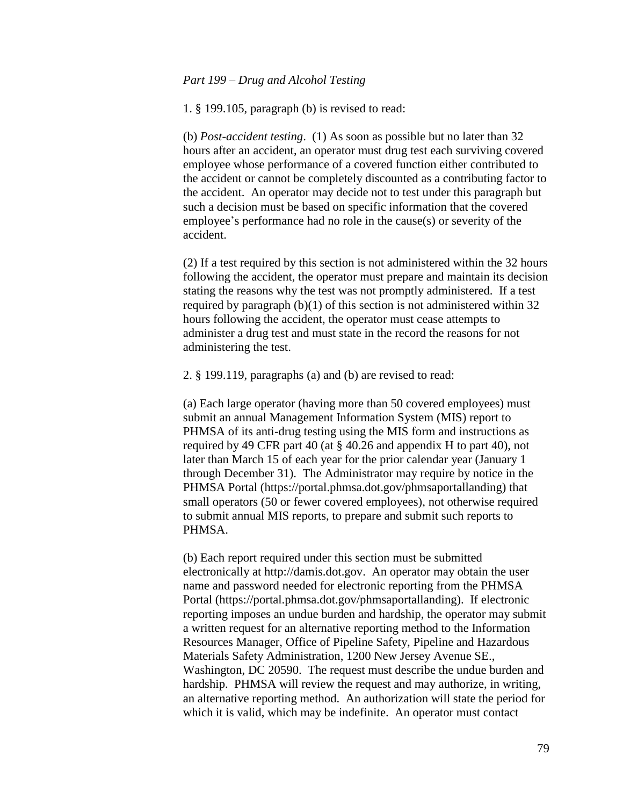1. § 199.105, paragraph (b) is revised to read:

(b) *Post-accident testing*. (1) As soon as possible but no later than 32 hours after an accident, an operator must drug test each surviving covered employee whose performance of a covered function either contributed to the accident or cannot be completely discounted as a contributing factor to the accident. An operator may decide not to test under this paragraph but such a decision must be based on specific information that the covered employee's performance had no role in the cause(s) or severity of the accident.

(2) If a test required by this section is not administered within the 32 hours following the accident, the operator must prepare and maintain its decision stating the reasons why the test was not promptly administered. If a test required by paragraph (b)(1) of this section is not administered within 32 hours following the accident, the operator must cease attempts to administer a drug test and must state in the record the reasons for not administering the test.

2. § 199.119, paragraphs (a) and (b) are revised to read:

(a) Each large operator (having more than 50 covered employees) must submit an annual Management Information System (MIS) report to PHMSA of its anti-drug testing using the MIS form and instructions as required by 49 CFR part 40 (at § 40.26 and appendix H to part 40), not later than March 15 of each year for the prior calendar year (January 1 through December 31). The Administrator may require by notice in the PHMSA Portal (https://portal.phmsa.dot.gov/phmsaportallanding) that small operators (50 or fewer covered employees), not otherwise required to submit annual MIS reports, to prepare and submit such reports to PHMSA.

(b) Each report required under this section must be submitted electronically at http://damis.dot.gov. An operator may obtain the user name and password needed for electronic reporting from the PHMSA Portal (https://portal.phmsa.dot.gov/phmsaportallanding). If electronic reporting imposes an undue burden and hardship, the operator may submit a written request for an alternative reporting method to the Information Resources Manager, Office of Pipeline Safety, Pipeline and Hazardous Materials Safety Administration, 1200 New Jersey Avenue SE., Washington, DC 20590. The request must describe the undue burden and hardship. PHMSA will review the request and may authorize, in writing, an alternative reporting method. An authorization will state the period for which it is valid, which may be indefinite. An operator must contact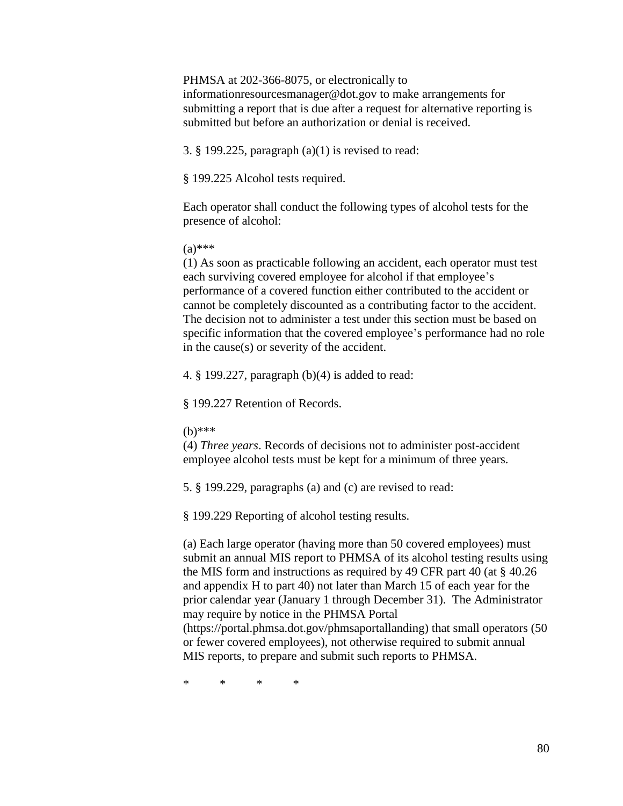#### PHMSA at 202-366-8075, or electronically to

informationresourcesmanager@dot.gov to make arrangements for submitting a report that is due after a request for alternative reporting is submitted but before an authorization or denial is received.

3. § 199.225, paragraph (a)(1) is revised to read:

§ 199.225 Alcohol tests required.

Each operator shall conduct the following types of alcohol tests for the presence of alcohol:

 $(a)$ \*\*\*

(1) As soon as practicable following an accident, each operator must test each surviving covered employee for alcohol if that employee's performance of a covered function either contributed to the accident or cannot be completely discounted as a contributing factor to the accident. The decision not to administer a test under this section must be based on specific information that the covered employee's performance had no role in the cause(s) or severity of the accident.

4. § 199.227, paragraph (b)(4) is added to read:

§ 199.227 Retention of Records.

(b)\*\*\*

(4) *Three years*. Records of decisions not to administer post-accident employee alcohol tests must be kept for a minimum of three years.

5. § 199.229, paragraphs (a) and (c) are revised to read:

§ 199.229 Reporting of alcohol testing results.

(a) Each large operator (having more than 50 covered employees) must submit an annual MIS report to PHMSA of its alcohol testing results using the MIS form and instructions as required by 49 CFR part 40 (at § 40.26 and appendix H to part 40) not later than March 15 of each year for the prior calendar year (January 1 through December 31). The Administrator may require by notice in the PHMSA Portal

(https://portal.phmsa.dot.gov/phmsaportallanding) that small operators (50 or fewer covered employees), not otherwise required to submit annual MIS reports, to prepare and submit such reports to PHMSA.

\* \* \* \*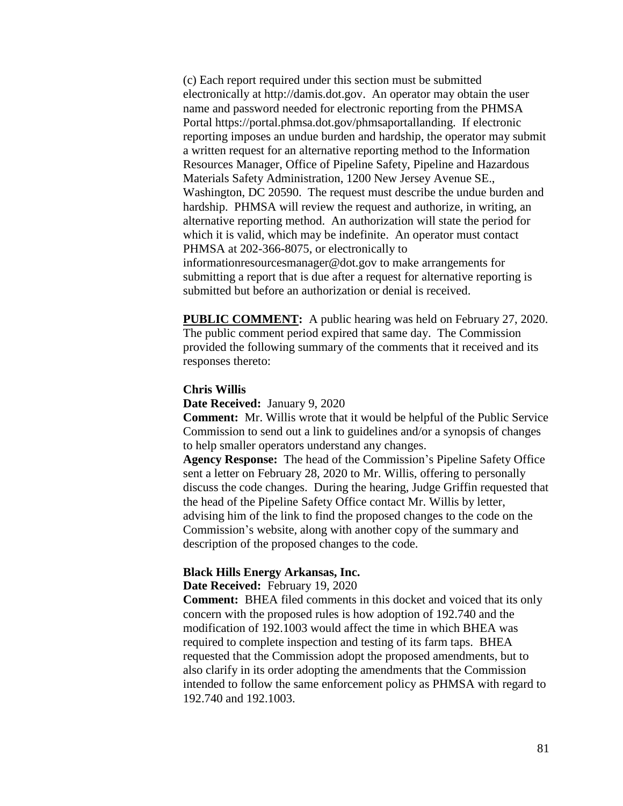(c) Each report required under this section must be submitted electronically at http://damis.dot.gov. An operator may obtain the user name and password needed for electronic reporting from the PHMSA Portal https://portal.phmsa.dot.gov/phmsaportallanding. If electronic reporting imposes an undue burden and hardship, the operator may submit a written request for an alternative reporting method to the Information Resources Manager, Office of Pipeline Safety, Pipeline and Hazardous Materials Safety Administration, 1200 New Jersey Avenue SE., Washington, DC 20590. The request must describe the undue burden and hardship. PHMSA will review the request and authorize, in writing, an alternative reporting method. An authorization will state the period for which it is valid, which may be indefinite. An operator must contact PHMSA at 202-366-8075, or electronically to informationresourcesmanager@dot.gov to make arrangements for submitting a report that is due after a request for alternative reporting is submitted but before an authorization or denial is received.

**PUBLIC COMMENT:** A public hearing was held on February 27, 2020. The public comment period expired that same day. The Commission provided the following summary of the comments that it received and its responses thereto:

#### **Chris Willis**

**Date Received:** January 9, 2020

**Comment:** Mr. Willis wrote that it would be helpful of the Public Service Commission to send out a link to guidelines and/or a synopsis of changes to help smaller operators understand any changes.

**Agency Response:** The head of the Commission's Pipeline Safety Office sent a letter on February 28, 2020 to Mr. Willis, offering to personally discuss the code changes. During the hearing, Judge Griffin requested that the head of the Pipeline Safety Office contact Mr. Willis by letter, advising him of the link to find the proposed changes to the code on the Commission's website, along with another copy of the summary and description of the proposed changes to the code.

## **Black Hills Energy Arkansas, Inc.**

**Date Received:** February 19, 2020

**Comment:** BHEA filed comments in this docket and voiced that its only concern with the proposed rules is how adoption of 192.740 and the modification of 192.1003 would affect the time in which BHEA was required to complete inspection and testing of its farm taps. BHEA requested that the Commission adopt the proposed amendments, but to also clarify in its order adopting the amendments that the Commission intended to follow the same enforcement policy as PHMSA with regard to 192.740 and 192.1003.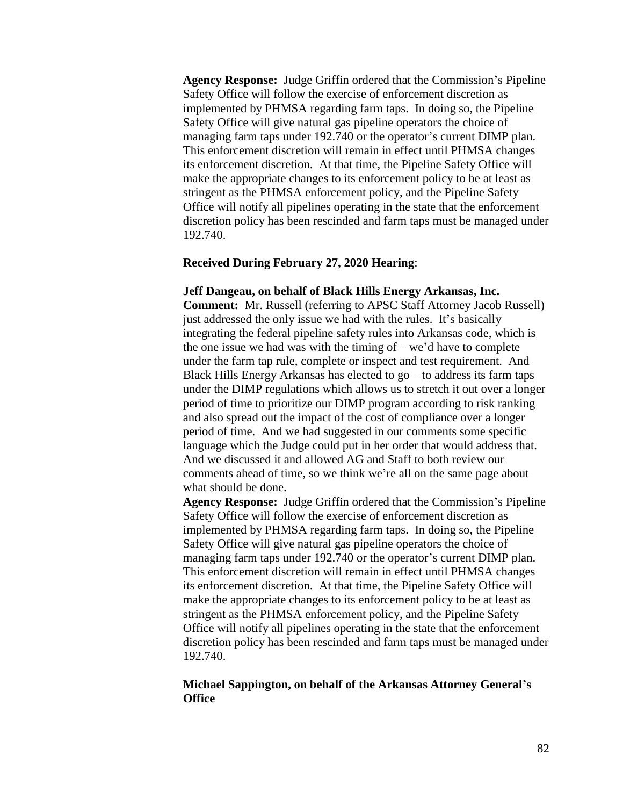**Agency Response:** Judge Griffin ordered that the Commission's Pipeline Safety Office will follow the exercise of enforcement discretion as implemented by PHMSA regarding farm taps. In doing so, the Pipeline Safety Office will give natural gas pipeline operators the choice of managing farm taps under 192.740 or the operator's current DIMP plan. This enforcement discretion will remain in effect until PHMSA changes its enforcement discretion. At that time, the Pipeline Safety Office will make the appropriate changes to its enforcement policy to be at least as stringent as the PHMSA enforcement policy, and the Pipeline Safety Office will notify all pipelines operating in the state that the enforcement discretion policy has been rescinded and farm taps must be managed under 192.740.

## **Received During February 27, 2020 Hearing**:

# **Jeff Dangeau, on behalf of Black Hills Energy Arkansas, Inc.**

**Comment:** Mr. Russell (referring to APSC Staff Attorney Jacob Russell) just addressed the only issue we had with the rules. It's basically integrating the federal pipeline safety rules into Arkansas code, which is the one issue we had was with the timing of  $-$  we'd have to complete under the farm tap rule, complete or inspect and test requirement. And Black Hills Energy Arkansas has elected to  $\mathfrak{g}_0$  – to address its farm taps under the DIMP regulations which allows us to stretch it out over a longer period of time to prioritize our DIMP program according to risk ranking and also spread out the impact of the cost of compliance over a longer period of time. And we had suggested in our comments some specific language which the Judge could put in her order that would address that. And we discussed it and allowed AG and Staff to both review our comments ahead of time, so we think we're all on the same page about what should be done.

**Agency Response:** Judge Griffin ordered that the Commission's Pipeline Safety Office will follow the exercise of enforcement discretion as implemented by PHMSA regarding farm taps. In doing so, the Pipeline Safety Office will give natural gas pipeline operators the choice of managing farm taps under 192.740 or the operator's current DIMP plan. This enforcement discretion will remain in effect until PHMSA changes its enforcement discretion. At that time, the Pipeline Safety Office will make the appropriate changes to its enforcement policy to be at least as stringent as the PHMSA enforcement policy, and the Pipeline Safety Office will notify all pipelines operating in the state that the enforcement discretion policy has been rescinded and farm taps must be managed under 192.740.

# **Michael Sappington, on behalf of the Arkansas Attorney General's Office**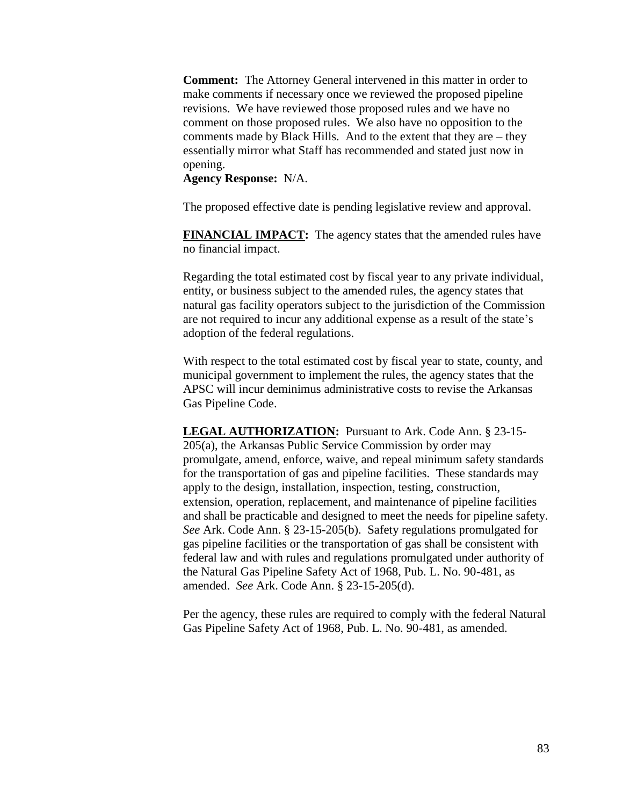**Comment:** The Attorney General intervened in this matter in order to make comments if necessary once we reviewed the proposed pipeline revisions. We have reviewed those proposed rules and we have no comment on those proposed rules. We also have no opposition to the comments made by Black Hills. And to the extent that they are – they essentially mirror what Staff has recommended and stated just now in opening.

**Agency Response:** N/A.

The proposed effective date is pending legislative review and approval.

**FINANCIAL IMPACT:** The agency states that the amended rules have no financial impact.

Regarding the total estimated cost by fiscal year to any private individual, entity, or business subject to the amended rules, the agency states that natural gas facility operators subject to the jurisdiction of the Commission are not required to incur any additional expense as a result of the state's adoption of the federal regulations.

With respect to the total estimated cost by fiscal year to state, county, and municipal government to implement the rules, the agency states that the APSC will incur deminimus administrative costs to revise the Arkansas Gas Pipeline Code.

**LEGAL AUTHORIZATION:** Pursuant to Ark. Code Ann. § 23-15- 205(a), the Arkansas Public Service Commission by order may promulgate, amend, enforce, waive, and repeal minimum safety standards for the transportation of gas and pipeline facilities. These standards may apply to the design, installation, inspection, testing, construction, extension, operation, replacement, and maintenance of pipeline facilities and shall be practicable and designed to meet the needs for pipeline safety. *See* Ark. Code Ann. § 23-15-205(b). Safety regulations promulgated for gas pipeline facilities or the transportation of gas shall be consistent with federal law and with rules and regulations promulgated under authority of the Natural Gas Pipeline Safety Act of 1968, Pub. L. No. 90-481, as amended. *See* Ark. Code Ann. § 23-15-205(d).

Per the agency, these rules are required to comply with the federal Natural Gas Pipeline Safety Act of 1968, Pub. L. No. 90-481, as amended.